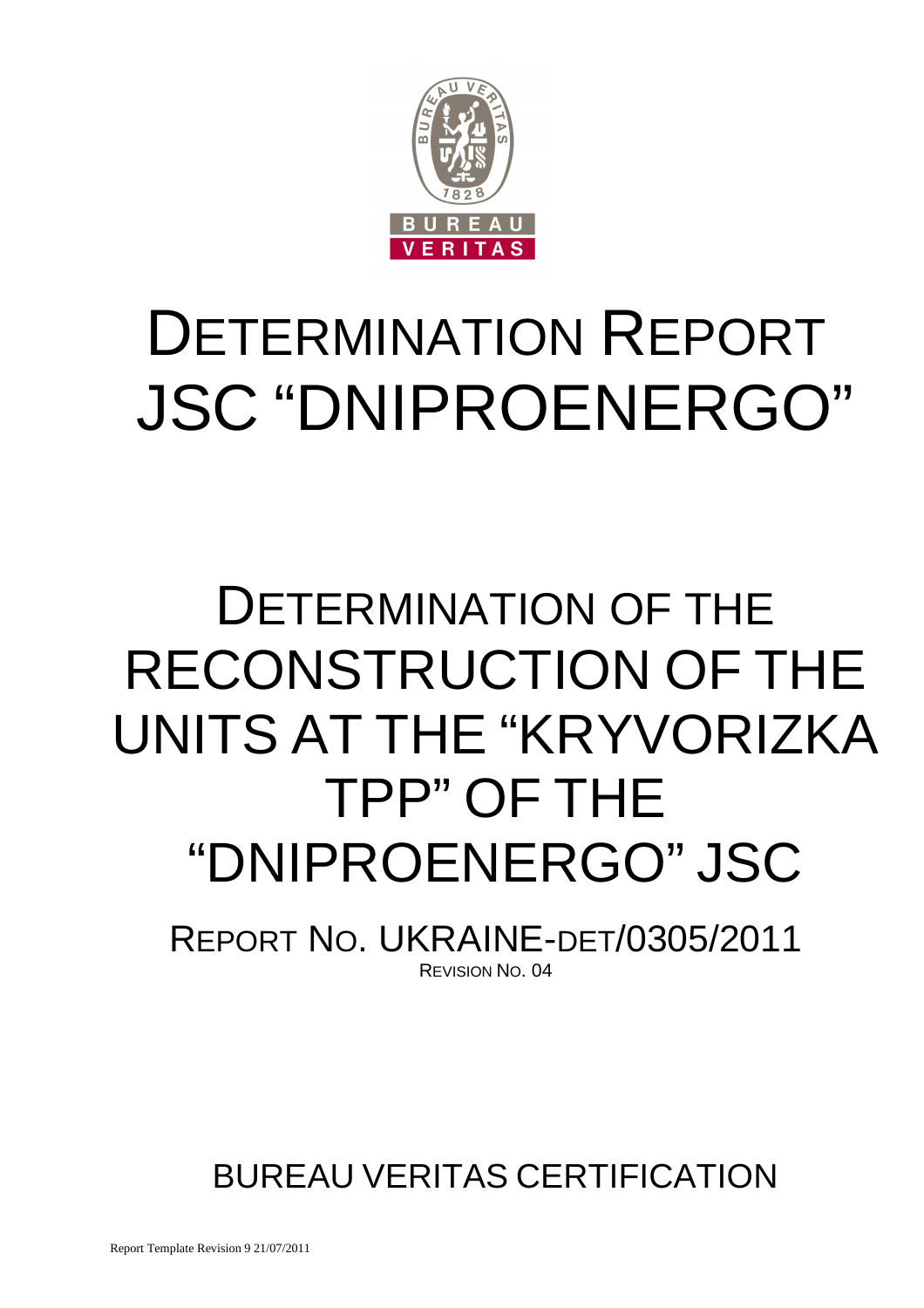

# DETERMINATION REPORT JSC "DNIPROENERGO"

# DETERMINATION OF THE RECONSTRUCTION OF THE UNITS AT THE "KRYVORIZKA TPP" OF THE "DNIPROENERGO" JSC

REPORT NO. UKRAINE-DET/0305/2011 REVISION NO. 04

BUREAU VERITAS CERTIFICATION

Report Template Revision 9 21/07/2011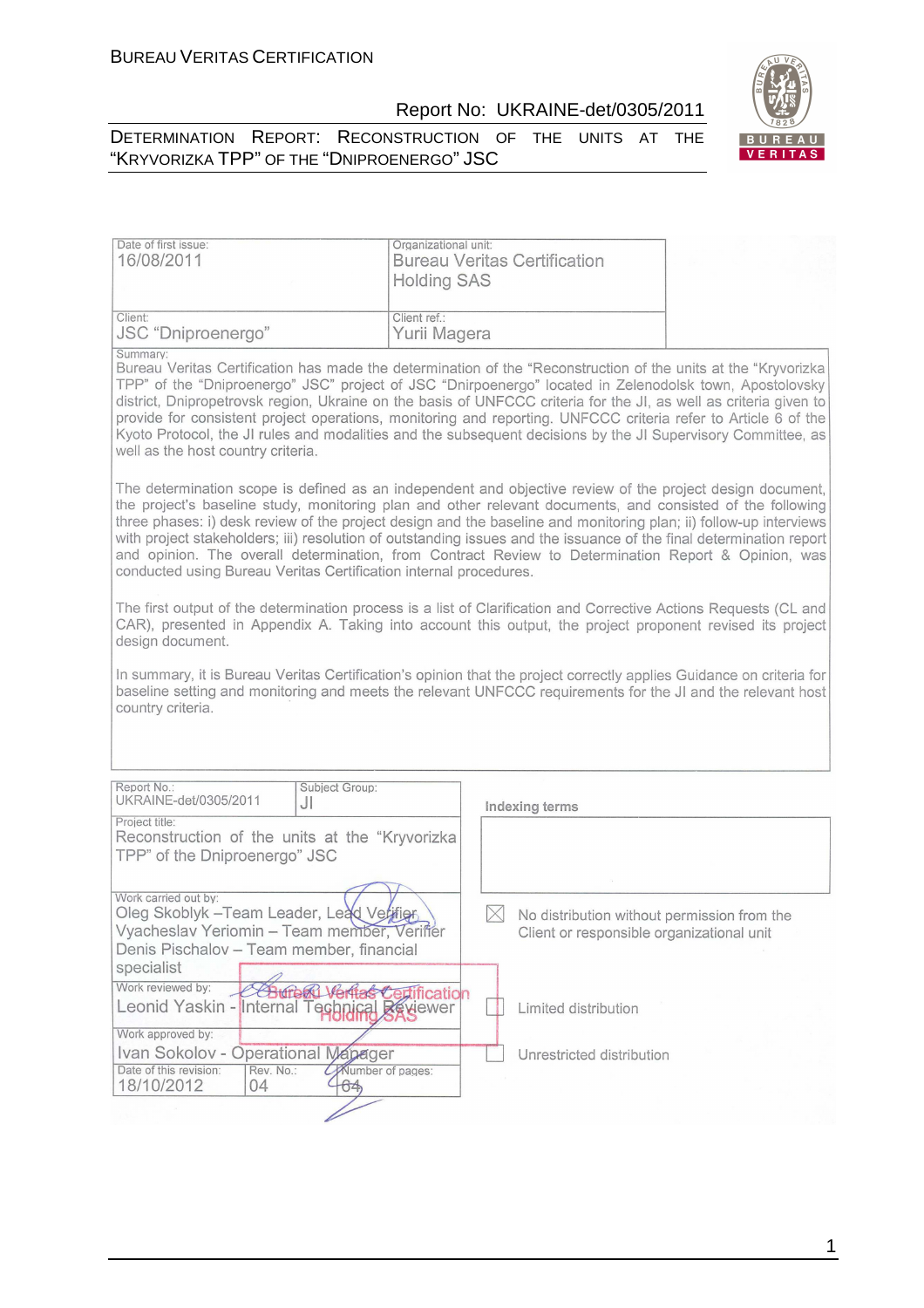



| Date of first issue:<br>16/08/2011                                                                                                                                         | Organizational unit:<br><b>Bureau Veritas Certification</b><br><b>Holding SAS</b>                                                                                                                                                                                                                                                                                                                                                                                                                                                                                                |
|----------------------------------------------------------------------------------------------------------------------------------------------------------------------------|----------------------------------------------------------------------------------------------------------------------------------------------------------------------------------------------------------------------------------------------------------------------------------------------------------------------------------------------------------------------------------------------------------------------------------------------------------------------------------------------------------------------------------------------------------------------------------|
| Client:<br>JSC "Dniproenergo"                                                                                                                                              | Client ref.:<br>Yurii Magera                                                                                                                                                                                                                                                                                                                                                                                                                                                                                                                                                     |
| Summary:<br>well as the host country criteria.                                                                                                                             | Bureau Veritas Certification has made the determination of the "Reconstruction of the units at the "Kryvorizka<br>TPP" of the "Dniproenergo" JSC" project of JSC "Dnirpoenergo" located in Zelenodolsk town, Apostolovsky<br>district, Dnipropetrovsk region, Ukraine on the basis of UNFCCC criteria for the JI, as well as criteria given to<br>provide for consistent project operations, monitoring and reporting. UNFCCC criteria refer to Article 6 of the<br>Kyoto Protocol, the JI rules and modalities and the subsequent decisions by the JI Supervisory Committee, as |
| conducted using Bureau Veritas Certification internal procedures.                                                                                                          | The determination scope is defined as an independent and objective review of the project design document,<br>the project's baseline study, monitoring plan and other relevant documents, and consisted of the following<br>three phases: i) desk review of the project design and the baseline and monitoring plan; ii) follow-up interviews<br>with project stakeholders; iii) resolution of outstanding issues and the issuance of the final determination report<br>and opinion. The overall determination, from Contract Review to Determination Report & Opinion, was       |
| design document.                                                                                                                                                           | The first output of the determination process is a list of Clarification and Corrective Actions Requests (CL and<br>CAR), presented in Appendix A. Taking into account this output, the project proponent revised its project                                                                                                                                                                                                                                                                                                                                                    |
| country criteria.                                                                                                                                                          | In summary, it is Bureau Veritas Certification's opinion that the project correctly applies Guidance on criteria for<br>baseline setting and monitoring and meets the relevant UNFCCC requirements for the JI and the relevant host                                                                                                                                                                                                                                                                                                                                              |
| Report No.:<br>Subject Group:<br>UKRAINE-det/0305/2011                                                                                                                     |                                                                                                                                                                                                                                                                                                                                                                                                                                                                                                                                                                                  |
| JI                                                                                                                                                                         | Indexing terms                                                                                                                                                                                                                                                                                                                                                                                                                                                                                                                                                                   |
| Project title:<br>Reconstruction of the units at the "Kryvorizka<br>TPP" of the Dniproenergo" JSC                                                                          |                                                                                                                                                                                                                                                                                                                                                                                                                                                                                                                                                                                  |
| Work carried out by:<br>Oleg Skoblyk - Team Leader, Lead Verifier<br>Vyacheslav Yeriomin - Team member, Veriffer<br>Denis Pischalov - Team member, financial<br>specialist | $\times$<br>No distribution without permission from the<br>Client or responsible organizational unit                                                                                                                                                                                                                                                                                                                                                                                                                                                                             |
| Work reviewed by:<br>Leonid Yaskin - Internal Technical Réviewer                                                                                                           | <b>ification</b><br>Limited distribution                                                                                                                                                                                                                                                                                                                                                                                                                                                                                                                                         |
| Work approved by:<br>Ivan Sokolov - Operational Mapager<br>Date of this revision:<br>Rev. No.:<br>Mumber of pages:                                                         | Unrestricted distribution                                                                                                                                                                                                                                                                                                                                                                                                                                                                                                                                                        |
| 18/10/2012<br>04<br>64,                                                                                                                                                    |                                                                                                                                                                                                                                                                                                                                                                                                                                                                                                                                                                                  |

1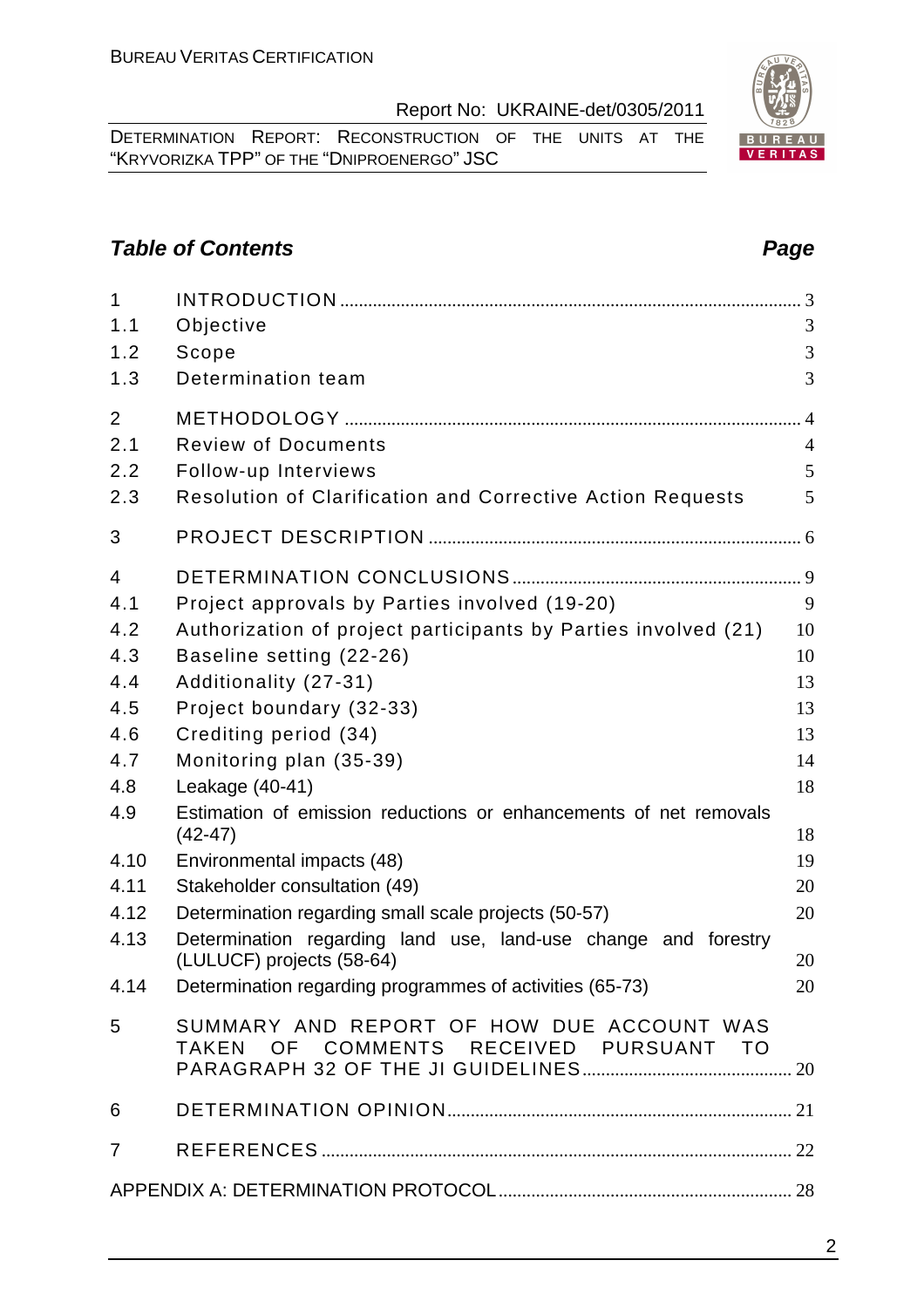2

Report No: UKRAINE-det/0305/2011

DETERMINATION REPORT: RECONSTRUCTION OF THE UNITS AT THE "KRYVORIZKA TPP" OF THE "DNIPROENERGO" JSC

# **Table of Contents Page 2014**

| $\mathbf{1}$<br>1.1 |                                                                                     | 3              |
|---------------------|-------------------------------------------------------------------------------------|----------------|
| 1.2                 | Objective<br>Scope                                                                  | 3              |
| 1.3                 | Determination team                                                                  | 3              |
| $\overline{2}$      |                                                                                     |                |
| 2.1                 | <b>Review of Documents</b>                                                          | $\overline{4}$ |
| 2.2                 | Follow-up Interviews                                                                | 5              |
| 2.3                 | <b>Resolution of Clarification and Corrective Action Requests</b>                   | 5              |
| 3                   |                                                                                     |                |
| 4                   |                                                                                     |                |
| 4.1                 | Project approvals by Parties involved (19-20)                                       | 9              |
| 4.2                 | Authorization of project participants by Parties involved (21)                      | 10             |
| 4.3                 | Baseline setting (22-26)                                                            | 10             |
| 4.4                 | Additionality (27-31)                                                               | 13             |
| 4.5                 | Project boundary (32-33)                                                            | 13             |
| 4.6                 | Crediting period (34)                                                               | 13             |
| 4.7                 | Monitoring plan (35-39)                                                             | 14             |
| 4.8                 | Leakage (40-41)                                                                     | 18             |
| 4.9                 | Estimation of emission reductions or enhancements of net removals<br>$(42 - 47)$    | 18             |
| 4.10                | Environmental impacts (48)                                                          | 19             |
| 4.11                | Stakeholder consultation (49)                                                       | 20             |
| 4.12                | Determination regarding small scale projects (50-57)                                | 20             |
| 4.13                | Determination regarding land use, land-use change and forestry                      |                |
|                     | (LULUCF) projects (58-64)                                                           | 20             |
| 4.14                | Determination regarding programmes of activities (65-73)                            | 20             |
| 5                   | SUMMARY AND REPORT OF HOW DUE ACCOUNT WAS<br>TAKEN OF COMMENTS RECEIVED PURSUANT TO |                |
| 6                   |                                                                                     |                |
| $\overline{7}$      |                                                                                     |                |
|                     |                                                                                     |                |
|                     |                                                                                     |                |

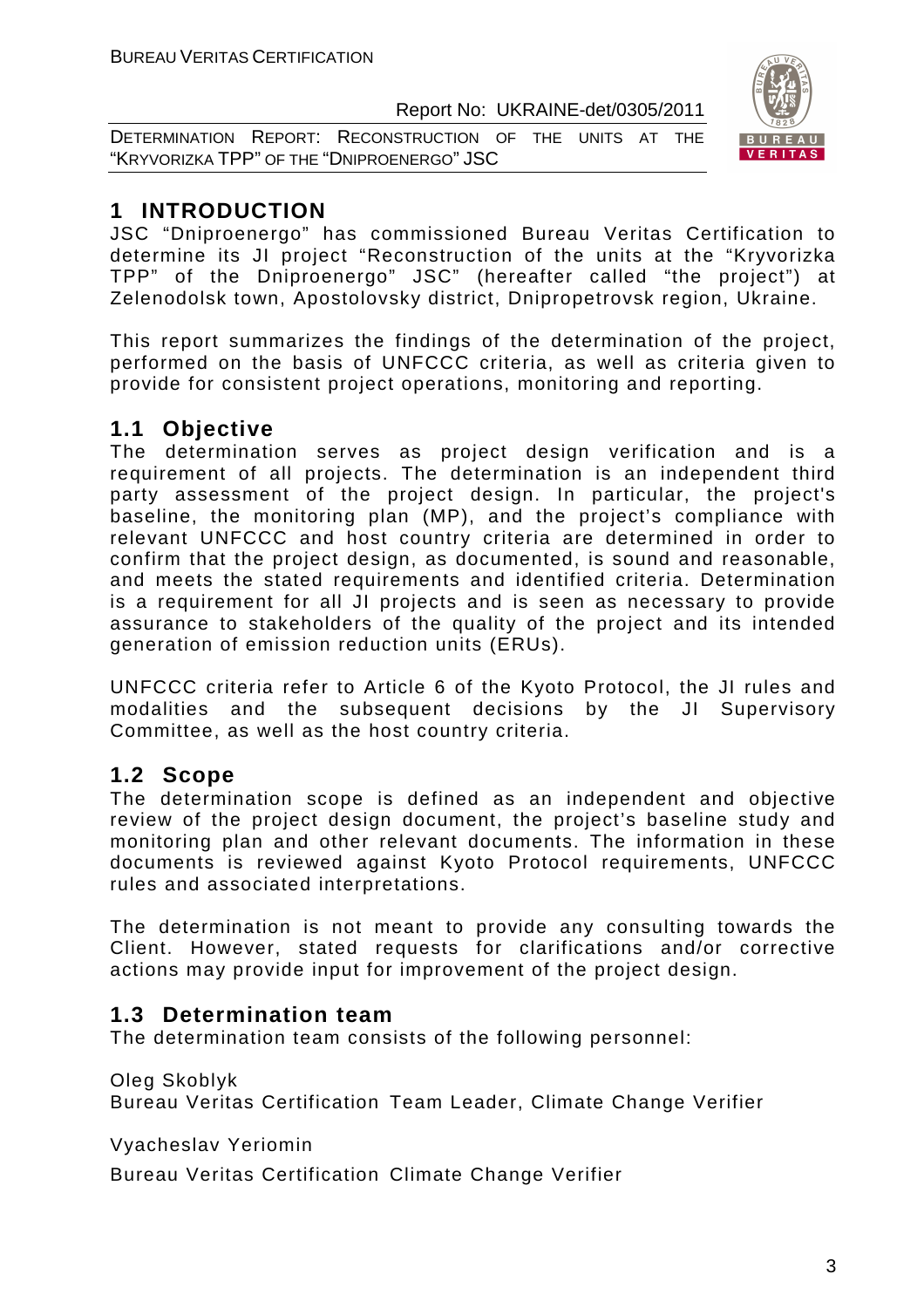DETERMINATION REPORT: RECONSTRUCTION OF THE UNITS AT THE "KRYVORIZKA TPP" OF THE "DNIPROENERGO" JSC



# **1 INTRODUCTION**

JSC "Dniproenergo" has commissioned Bureau Veritas Certification to determine its JI project "Reconstruction of the units at the "Kryvorizka TPP" of the Dniproenergo" JSC" (hereafter called "the project") at Zelenodolsk town, Apostolovsky district, Dnipropetrovsk region, Ukraine.

This report summarizes the findings of the determination of the project, performed on the basis of UNFCCC criteria, as well as criteria given to provide for consistent project operations, monitoring and reporting.

# **1.1 Objective**

The determination serves as project design verification and is a requirement of all projects. The determination is an independent third party assessment of the project design. In particular, the project's baseline, the monitoring plan (MP), and the project's compliance with relevant UNFCCC and host country criteria are determined in order to confirm that the project design, as documented, is sound and reasonable, and meets the stated requirements and identified criteria. Determination is a requirement for all JI projects and is seen as necessary to provide assurance to stakeholders of the quality of the project and its intended generation of emission reduction units (ERUs).

UNFCCC criteria refer to Article 6 of the Kyoto Protocol, the JI rules and modalities and the subsequent decisions by the JI Supervisory Committee, as well as the host country criteria.

# **1.2 Scope**

The determination scope is defined as an independent and objective review of the project design document, the project's baseline study and monitoring plan and other relevant documents. The information in these documents is reviewed against Kyoto Protocol requirements, UNFCCC rules and associated interpretations.

The determination is not meant to provide any consulting towards the Client. However, stated requests for clarifications and/or corrective actions may provide input for improvement of the project design.

# **1.3 Determination team**

The determination team consists of the following personnel:

Oleg Skoblyk

Bureau Veritas Certification Team Leader, Climate Change Verifier

Vyacheslav Yeriomin

Bureau Veritas Certification Climate Change Verifier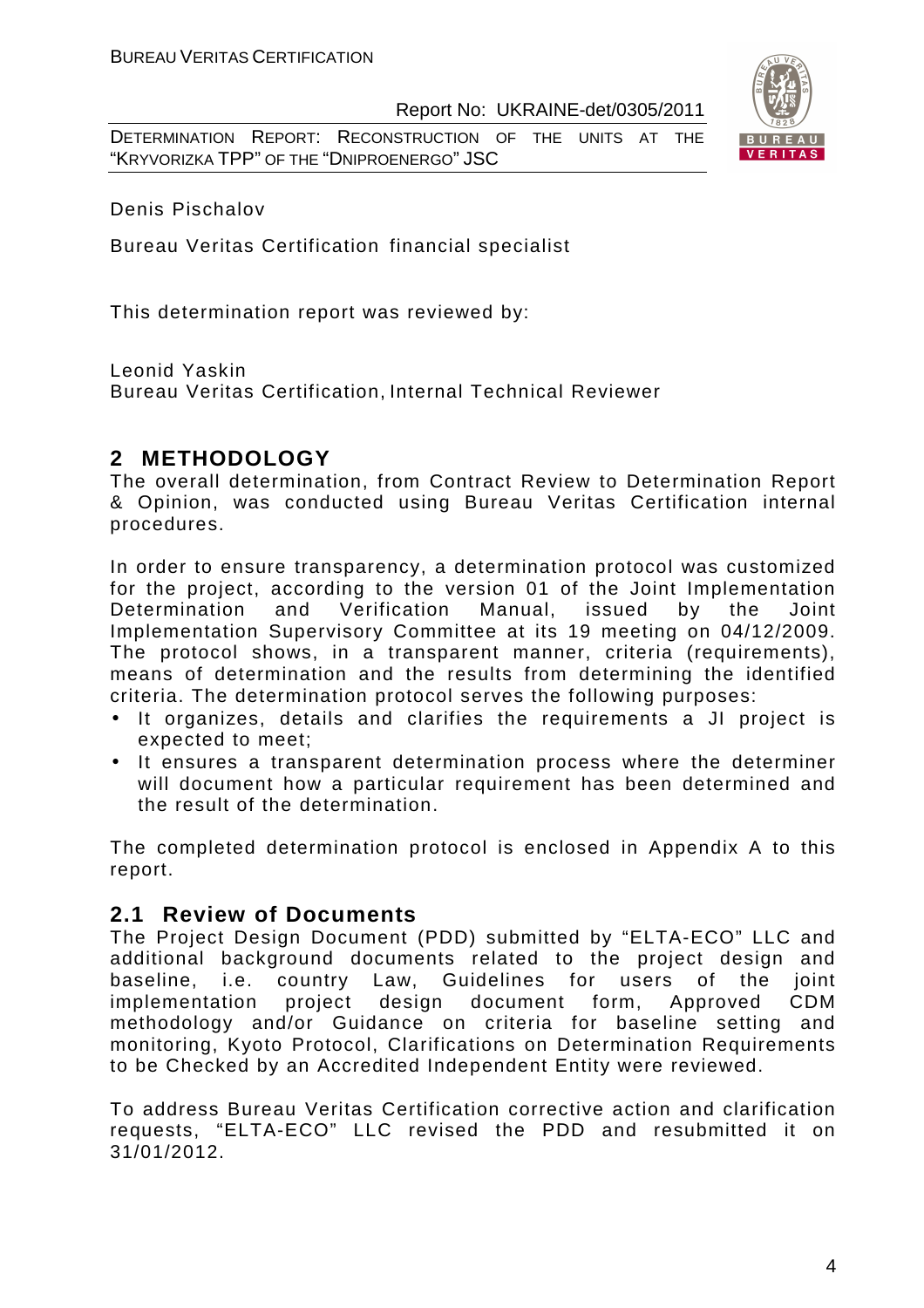DETERMINATION REPORT: RECONSTRUCTION OF THE UNITS AT THE "KRYVORIZKA TPP" OF THE "DNIPROENERGO" JSC



Denis Pischalov

Bureau Veritas Certification financial specialist

This determination report was reviewed by:

Leonid Yaskin

Bureau Veritas Certification, Internal Technical Reviewer

#### **2 METHODOLOGY**

The overall determination, from Contract Review to Determination Report & Opinion, was conducted using Bureau Veritas Certification internal procedures.

In order to ensure transparency, a determination protocol was customized for the project, according to the version 01 of the Joint Implementation Determination and Verification Manual, issued by the Joint Implementation Supervisory Committee at its 19 meeting on 04/12/2009. The protocol shows, in a transparent manner, criteria (requirements), means of determination and the results from determining the identified criteria. The determination protocol serves the following purposes:

- It organizes, details and clarifies the requirements a JI project is expected to meet;
- It ensures a transparent determination process where the determiner will document how a particular requirement has been determined and the result of the determination.

The completed determination protocol is enclosed in Appendix A to this report.

#### **2.1 Review of Documents**

The Project Design Document (PDD) submitted by "ELTA-ECO" LLC and additional background documents related to the project design and baseline, i.e. country Law, Guidelines for users of the joint implementation project design document form, Approved CDM methodology and/or Guidance on criteria for baseline setting and monitoring, Kyoto Protocol, Clarifications on Determination Requirements to be Checked by an Accredited Independent Entity were reviewed.

To address Bureau Veritas Certification corrective action and clarification requests, "ELTA-ECO" LLC revised the PDD and resubmitted it on 31/01/2012.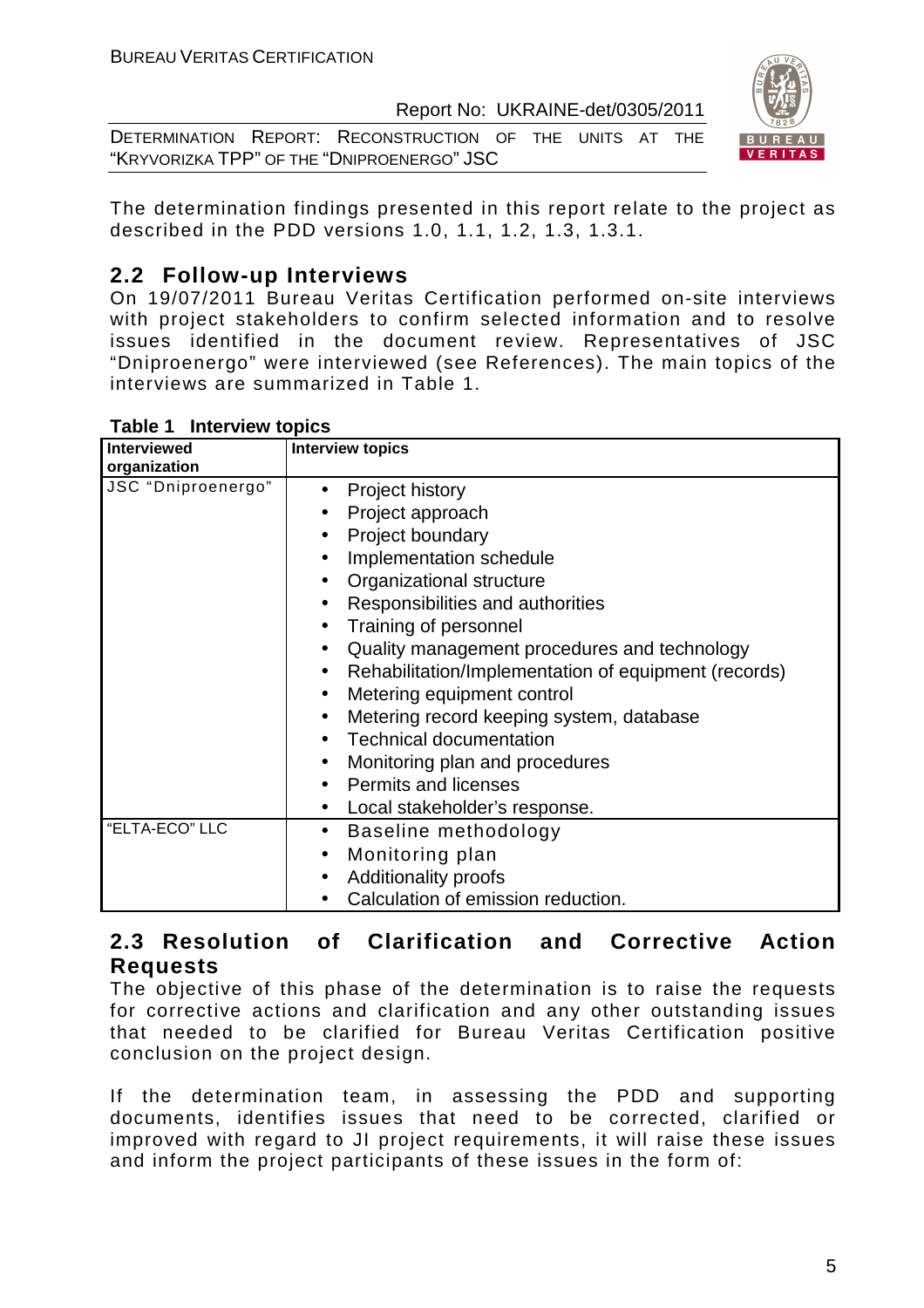DETERMINATION REPORT: RECONSTRUCTION OF THE UNITS AT THE "KRYVORIZKA TPP" OF THE "DNIPROENERGO" JSC



The determination findings presented in this report relate to the project as described in the PDD versions 1.0, 1.1, 1.2, 1.3, 1.3.1.

# **2.2 Follow-up Interviews**

On 19/07/2011 Bureau Veritas Certification performed on-site interviews with project stakeholders to confirm selected information and to resolve issues identified in the document review. Representatives of JSC "Dniproenergo" were interviewed (see References). The main topics of the interviews are summarized in Table 1.

| Table 1 | <b>Interview topics</b> |  |
|---------|-------------------------|--|
|---------|-------------------------|--|

| <b>Interviewed</b><br>organization | <b>Interview topics</b>                                                                                                                                                                                                                                                                                                                                                                                                                                                                                                                                                                                                      |
|------------------------------------|------------------------------------------------------------------------------------------------------------------------------------------------------------------------------------------------------------------------------------------------------------------------------------------------------------------------------------------------------------------------------------------------------------------------------------------------------------------------------------------------------------------------------------------------------------------------------------------------------------------------------|
| JSC "Dniproenergo"                 | Project history<br>$\bullet$<br>Project approach<br>Project boundary<br>Implementation schedule<br>$\bullet$<br>Organizational structure<br>$\bullet$<br>Responsibilities and authorities<br>$\bullet$<br>Training of personnel<br>$\bullet$<br>Quality management procedures and technology<br>$\bullet$<br>Rehabilitation/Implementation of equipment (records)<br>$\bullet$<br>Metering equipment control<br>$\bullet$<br>Metering record keeping system, database<br>$\bullet$<br><b>Technical documentation</b><br>$\bullet$<br>Monitoring plan and procedures<br>$\bullet$<br><b>Permits and licenses</b><br>$\bullet$ |
|                                    | Local stakeholder's response.<br>$\bullet$                                                                                                                                                                                                                                                                                                                                                                                                                                                                                                                                                                                   |
| "ELTA-ECO" LLC                     | Baseline methodology<br>$\bullet$<br>Monitoring plan<br>$\bullet$<br>Additionality proofs<br>$\bullet$<br>Calculation of emission reduction.                                                                                                                                                                                                                                                                                                                                                                                                                                                                                 |

# **2.3 Resolution of Clarification and Corrective Action Requests**

The objective of this phase of the determination is to raise the requests for corrective actions and clarification and any other outstanding issues that needed to be clarified for Bureau Veritas Certification positive conclusion on the project design.

If the determination team, in assessing the PDD and supporting documents, identifies issues that need to be corrected, clarified or improved with regard to JI project requirements, it will raise these issues and inform the project participants of these issues in the form of: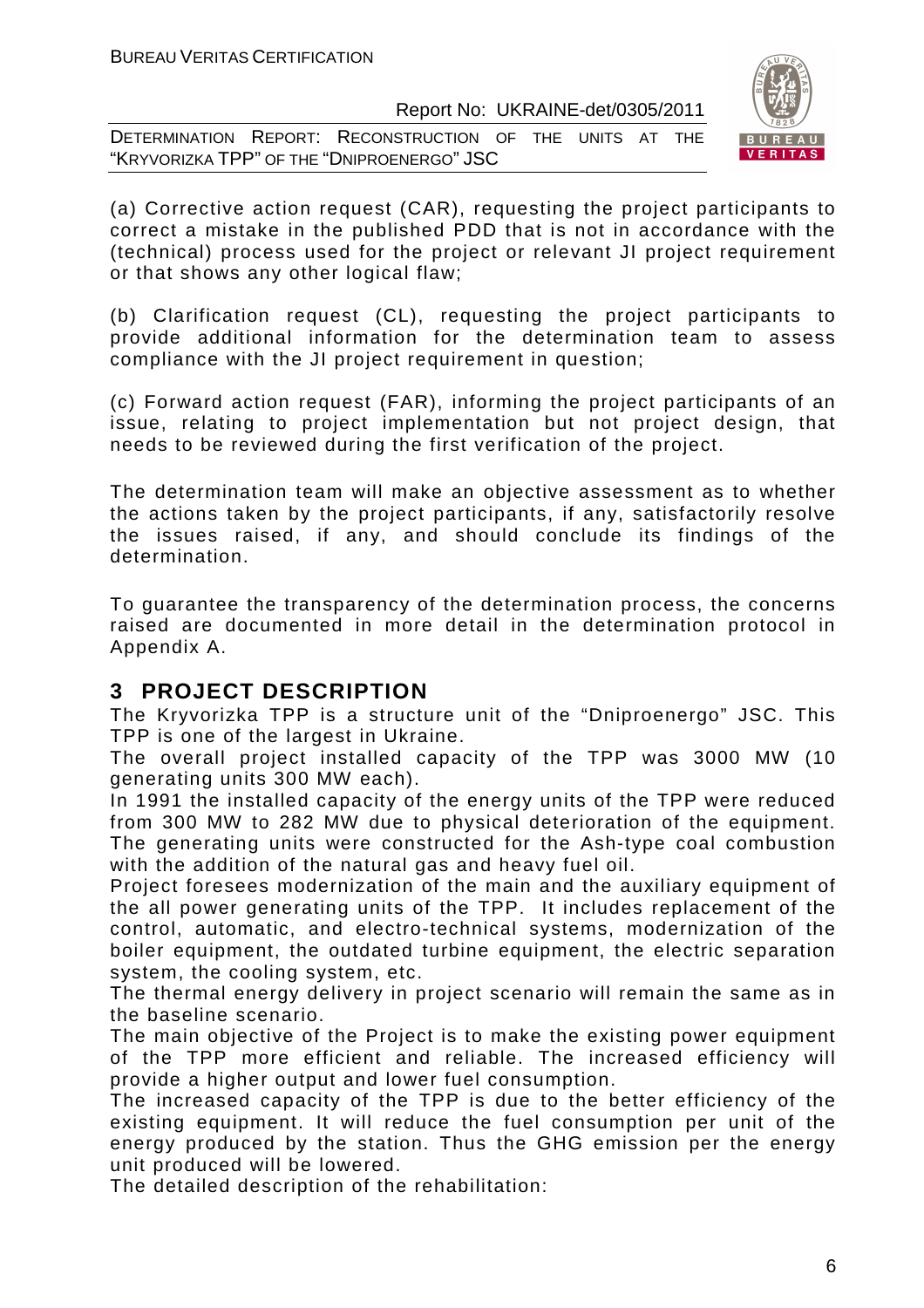DETERMINATION REPORT: RECONSTRUCTION OF THE UNITS AT THE "KRYVORIZKA TPP" OF THE "DNIPROENERGO" JSC



(a) Corrective action request (CAR), requesting the project participants to correct a mistake in the published PDD that is not in accordance with the (technical) process used for the project or relevant JI project requirement or that shows any other logical flaw;

(b) Clarification request (CL), requesting the project participants to provide additional information for the determination team to assess compliance with the JI project requirement in question;

(c) Forward action request (FAR), informing the project participants of an issue, relating to project implementation but not project design, that needs to be reviewed during the first verification of the project.

The determination team will make an objective assessment as to whether the actions taken by the project participants, if any, satisfactorily resolve the issues raised, if any, and should conclude its findings of the determination.

To guarantee the transparency of the determination process, the concerns raised are documented in more detail in the determination protocol in Appendix A.

# **3 PROJECT DESCRIPTION**

The Kryvorizka TPP is a structure unit of the "Dniproenergo" JSC. This TPP is one of the largest in Ukraine.

The overall project installed capacity of the TPP was 3000 MW (10 generating units 300 MW each).

In 1991 the installed capacity of the energy units of the TPP were reduced from 300 MW to 282 MW due to physical deterioration of the equipment. The generating units were constructed for the Ash-type coal combustion with the addition of the natural gas and heavy fuel oil.

Project foresees modernization of the main and the auxiliary equipment of the all power generating units of the TPP. It includes replacement of the control, automatic, and electro-technical systems, modernization of the boiler equipment, the outdated turbine equipment, the electric separation system, the cooling system, etc.

The thermal energy delivery in project scenario will remain the same as in the baseline scenario.

The main objective of the Project is to make the existing power equipment of the TPP more efficient and reliable. The increased efficiency will provide a higher output and lower fuel consumption.

The increased capacity of the TPP is due to the better efficiency of the existing equipment. It will reduce the fuel consumption per unit of the energy produced by the station. Thus the GHG emission per the energy unit produced will be lowered.

The detailed description of the rehabilitation: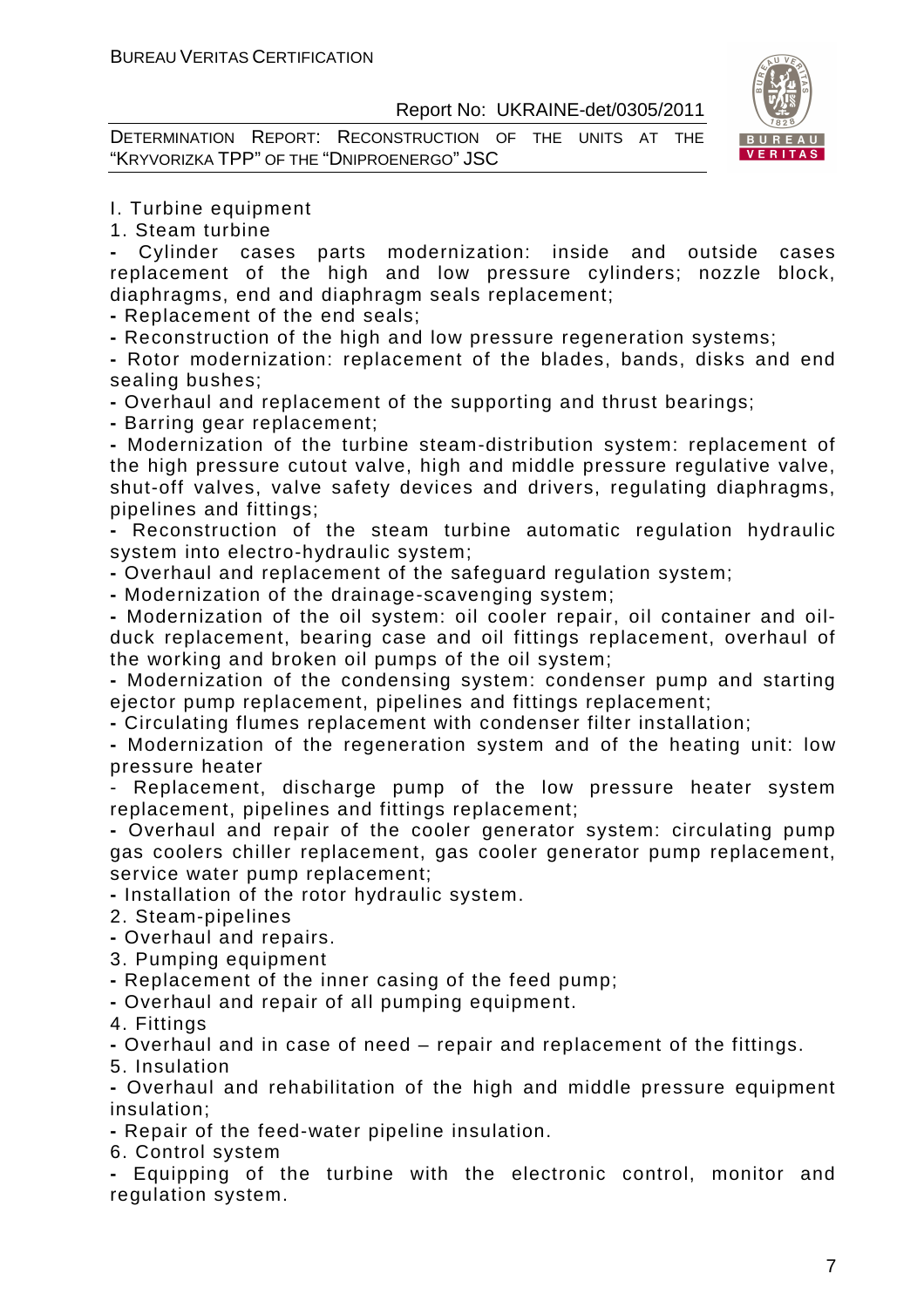DETERMINATION REPORT: RECONSTRUCTION OF THE UNITS AT THE "KRYVORIZKA TPP" OF THE "DNIPROENERGO" JSC



#### I. Turbine equipment

1. Steam turbine

**-** Cylinder cases parts modernization: inside and outside cases replacement of the high and low pressure cylinders; nozzle block, diaphragms, end and diaphragm seals replacement;

**-** Replacement of the end seals;

**-** Reconstruction of the high and low pressure regeneration systems;

**-** Rotor modernization: replacement of the blades, bands, disks and end sealing bushes;

**-** Overhaul and replacement of the supporting and thrust bearings;

**-** Barring gear replacement;

**-** Modernization of the turbine steam-distribution system: replacement of the high pressure cutout valve, high and middle pressure regulative valve, shut-off valves, valve safety devices and drivers, regulating diaphragms, pipelines and fittings;

**-** Reconstruction of the steam turbine automatic regulation hydraulic system into electro-hydraulic system;

**-** Overhaul and replacement of the safeguard regulation system;

**-** Modernization of the drainage-scavenging system;

**-** Modernization of the oil system: oil cooler repair, oil container and oilduck replacement, bearing case and oil fittings replacement, overhaul of the working and broken oil pumps of the oil system;

**-** Modernization of the condensing system: condenser pump and starting ejector pump replacement, pipelines and fittings replacement;

**-** Circulating flumes replacement with condenser filter installation;

**-** Modernization of the regeneration system and of the heating unit: low pressure heater

- Replacement, discharge pump of the low pressure heater system replacement, pipelines and fittings replacement;

**-** Overhaul and repair of the cooler generator system: circulating pump gas coolers chiller replacement, gas cooler generator pump replacement, service water pump replacement;

**-** Installation of the rotor hydraulic system.

2. Steam-pipelines

**-** Overhaul and repairs.

3. Pumping equipment

**-** Replacement of the inner casing of the feed pump;

**-** Overhaul and repair of all pumping equipment.

4. Fittings

**-** Overhaul and in case of need – repair and replacement of the fittings.

5. Insulation

**-** Overhaul and rehabilitation of the high and middle pressure equipment insulation;

**-** Repair of the feed-water pipeline insulation.

6. Control system

**-** Equipping of the turbine with the electronic control, monitor and regulation system.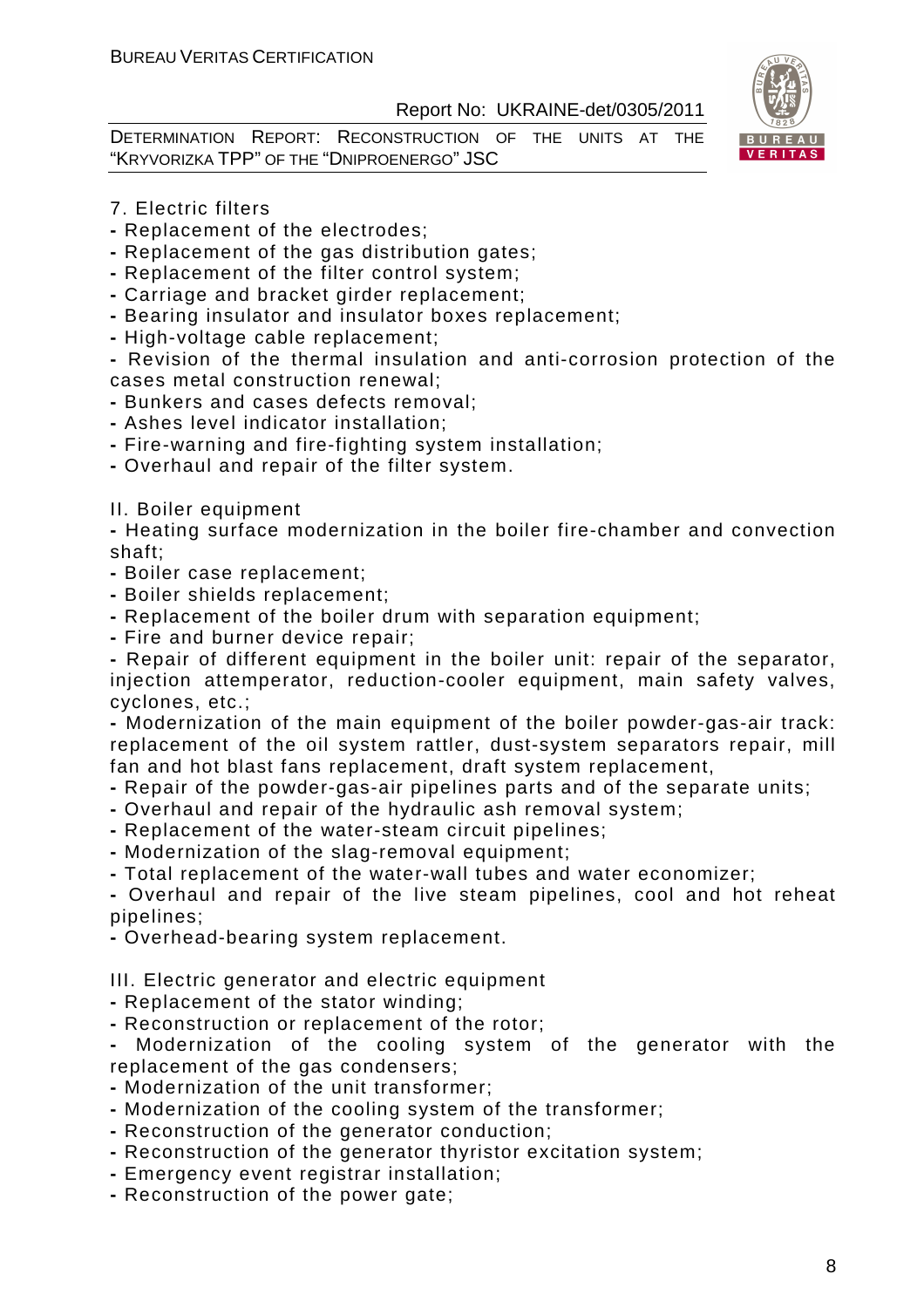DETERMINATION REPORT: RECONSTRUCTION OF THE UNITS AT THE "KRYVORIZKA TPP" OF THE "DNIPROENERGO" JSC



- 7. Electric filters
- Replacement of the electrodes;
- Replacement of the gas distribution gates;
- Replacement of the filter control system;
- Carriage and bracket girder replacement;
- Bearing insulator and insulator boxes replacement;
- High-voltage cable replacement;

**-** Revision of the thermal insulation and anti-corrosion protection of the cases metal construction renewal;

- Bunkers and cases defects removal;
- Ashes level indicator installation;
- Fire-warning and fire-fighting system installation;
- Overhaul and repair of the filter system.
- II. Boiler equipment

**-** Heating surface modernization in the boiler fire-chamber and convection shaft;

- Boiler case replacement;
- Boiler shields replacement;
- Replacement of the boiler drum with separation equipment;
- Fire and burner device repair;

**-** Repair of different equipment in the boiler unit: repair of the separator, injection attemperator, reduction-cooler equipment, main safety valves, cyclones, etc.;

**-** Modernization of the main equipment of the boiler powder-gas-air track: replacement of the oil system rattler, dust-system separators repair, mill fan and hot blast fans replacement, draft system replacement,

- Repair of the powder-gas-air pipelines parts and of the separate units;
- Overhaul and repair of the hydraulic ash removal system;
- Replacement of the water-steam circuit pipelines;
- Modernization of the slag-removal equipment;
- Total replacement of the water-wall tubes and water economizer;

**-** Overhaul and repair of the live steam pipelines, cool and hot reheat pipelines;

**-** Overhead-bearing system replacement.

III. Electric generator and electric equipment

- Replacement of the stator winding;
- Reconstruction or replacement of the rotor;

**-** Modernization of the cooling system of the generator with the replacement of the gas condensers;

- Modernization of the unit transformer;
- Modernization of the cooling system of the transformer;
- Reconstruction of the generator conduction;
- Reconstruction of the generator thyristor excitation system;
- Emergency event registrar installation;
- Reconstruction of the power gate;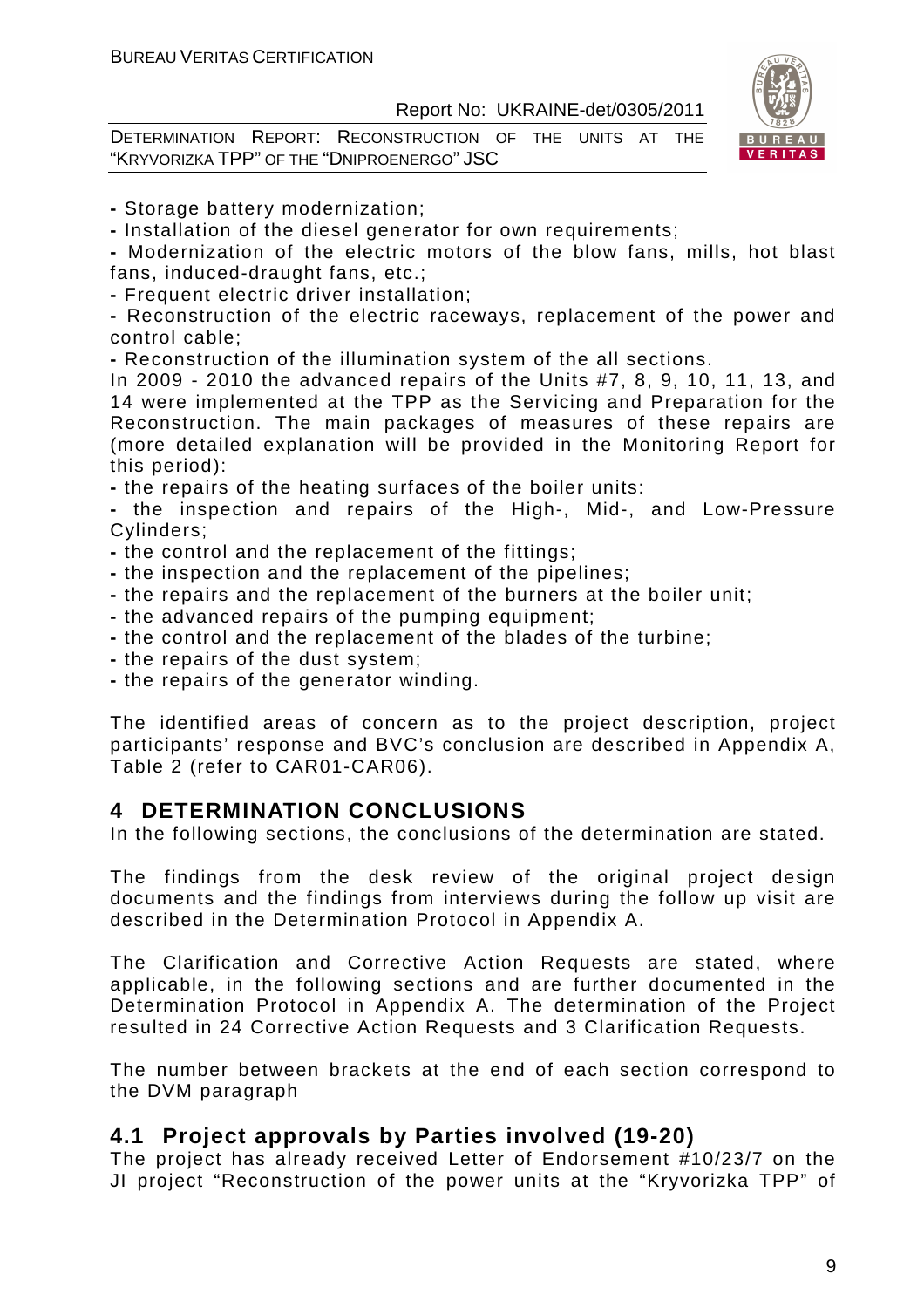DETERMINATION REPORT: RECONSTRUCTION OF THE UNITS AT THE "KRYVORIZKA TPP" OF THE "DNIPROENERGO" JSC



**-** Storage battery modernization;

**-** Installation of the diesel generator for own requirements;

**-** Modernization of the electric motors of the blow fans, mills, hot blast fans, induced-draught fans, etc.;

**-** Frequent electric driver installation;

**-** Reconstruction of the electric raceways, replacement of the power and control cable;

**-** Reconstruction of the illumination system of the all sections.

In 2009 - 2010 the advanced repairs of the Units #7, 8, 9, 10, 11, 13, and 14 were implemented at the TPP as the Servicing and Preparation for the Reconstruction. The main packages of measures of these repairs are (more detailed explanation will be provided in the Monitoring Report for this period):

**-** the repairs of the heating surfaces of the boiler units:

**-** the inspection and repairs of the High-, Mid-, and Low-Pressure Cylinders;

**-** the control and the replacement of the fittings;

- the inspection and the replacement of the pipelines;
- the repairs and the replacement of the burners at the boiler unit;
- the advanced repairs of the pumping equipment;
- the control and the replacement of the blades of the turbine;
- the repairs of the dust system;
- the repairs of the generator winding.

The identified areas of concern as to the project description, project participants' response and BVC's conclusion are described in Appendix A, Table 2 (refer to CAR01-CAR06).

# **4 DETERMINATION CONCLUSIONS**

In the following sections, the conclusions of the determination are stated.

The findings from the desk review of the original project design documents and the findings from interviews during the follow up visit are described in the Determination Protocol in Appendix A.

The Clarification and Corrective Action Requests are stated, where applicable, in the following sections and are further documented in the Determination Protocol in Appendix A. The determination of the Project resulted in 24 Corrective Action Requests and 3 Clarification Requests.

The number between brackets at the end of each section correspond to the DVM paragraph

# **4.1 Project approvals by Parties involved (19-20)**

The project has already received Letter of Endorsement #10/23/7 on the JI project "Reconstruction of the power units at the "Kryvorizka TPP" of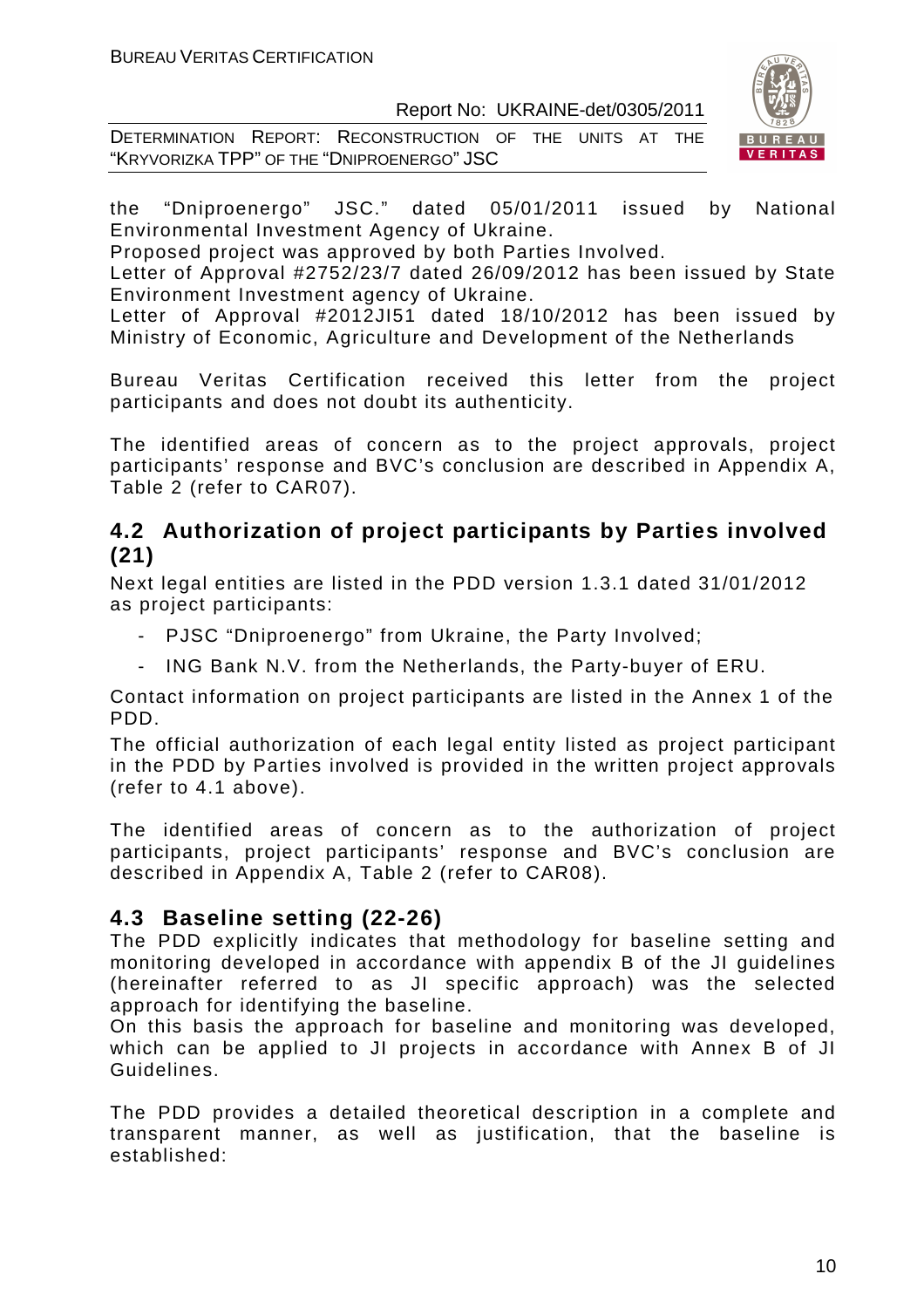DETERMINATION REPORT: RECONSTRUCTION OF THE UNITS AT THE "KRYVORIZKA TPP" OF THE "DNIPROENERGO" JSC



the "Dniproenergo" JSC." dated 05/01/2011 issued by National Environmental Investment Agency of Ukraine.

Proposed project was approved by both Parties Involved.

Letter of Approval #2752/23/7 dated 26/09/2012 has been issued by State Environment Investment agency of Ukraine.

Letter of Approval #2012JI51 dated 18/10/2012 has been issued by Ministry of Economic, Agriculture and Development of the Netherlands

Bureau Veritas Certification received this letter from the project participants and does not doubt its authenticity.

The identified areas of concern as to the project approvals, project participants' response and BVC's conclusion are described in Appendix A, Table 2 (refer to CAR07).

# **4.2 Authorization of project participants by Parties involved (21)**

Next legal entities are listed in the PDD version 1.3.1 dated 31/01/2012 as project participants:

- PJSC "Dniproenergo" from Ukraine, the Party Involved;
- ING Bank N.V. from the Netherlands, the Party-buyer of ERU.

Contact information on project participants are listed in the Annex 1 of the PDD.

The official authorization of each legal entity listed as project participant in the PDD by Parties involved is provided in the written project approvals (refer to 4.1 above).

The identified areas of concern as to the authorization of project participants, project participants' response and BVC's conclusion are described in Appendix A, Table 2 (refer to CAR08).

# **4.3 Baseline setting (22-26)**

The PDD explicitly indicates that methodology for baseline setting and monitoring developed in accordance with appendix B of the JI guidelines (hereinafter referred to as JI specific approach) was the selected approach for identifying the baseline.

On this basis the approach for baseline and monitoring was developed, which can be applied to JI projects in accordance with Annex B of JI Guidelines.

The PDD provides a detailed theoretical description in a complete and transparent manner, as well as justification, that the baseline is established: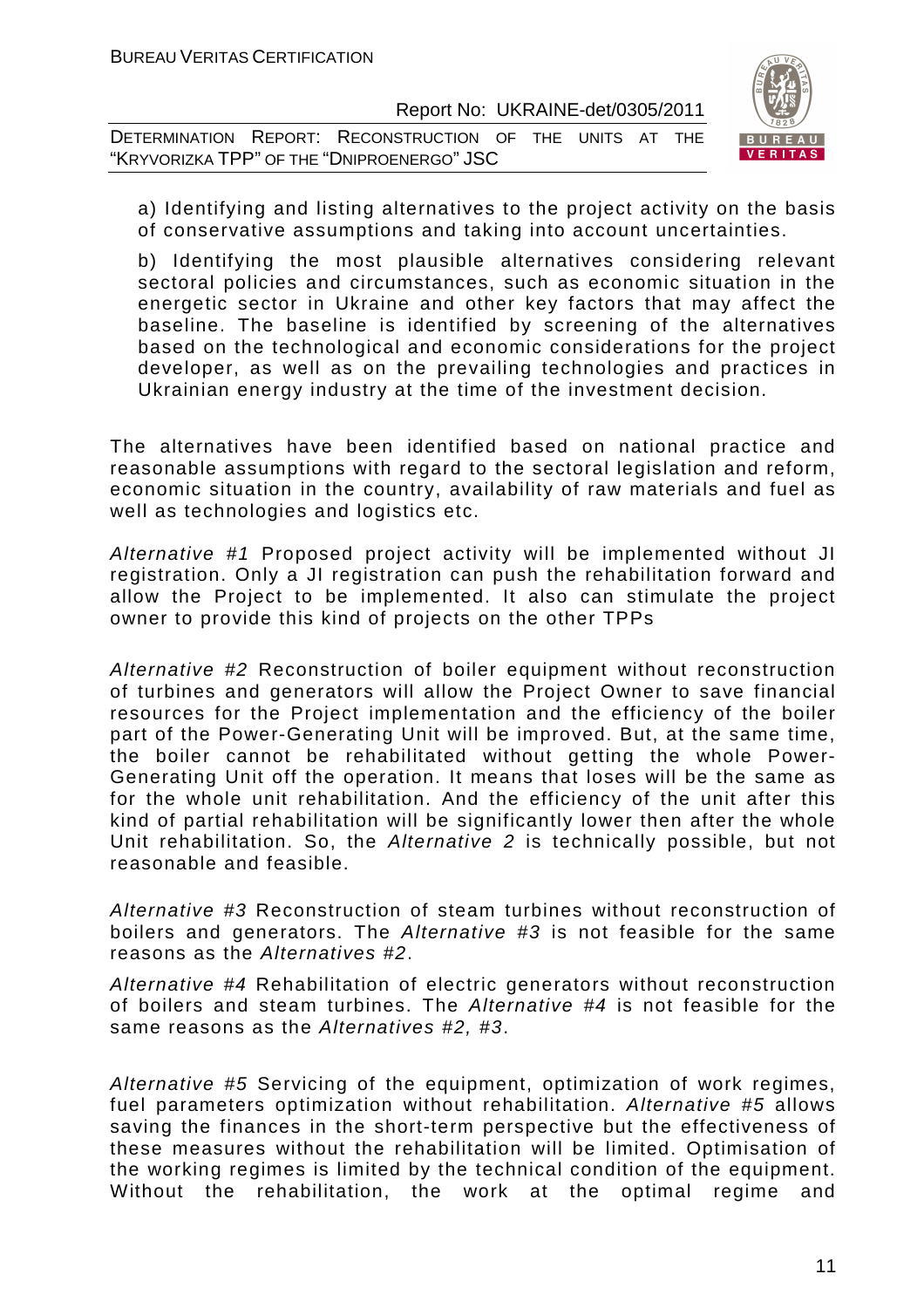DETERMINATION REPORT: RECONSTRUCTION OF THE UNITS AT THE "KRYVORIZKA TPP" OF THE "DNIPROENERGO" JSC



a) Identifying and listing alternatives to the project activity on the basis of conservative assumptions and taking into account uncertainties.

b) Identifying the most plausible alternatives considering relevant sectoral policies and circumstances, such as economic situation in the energetic sector in Ukraine and other key factors that may affect the baseline. The baseline is identified by screening of the alternatives based on the technological and economic considerations for the project developer, as well as on the prevailing technologies and practices in Ukrainian energy industry at the time of the investment decision.

The alternatives have been identified based on national practice and reasonable assumptions with regard to the sectoral legislation and reform, economic situation in the country, availability of raw materials and fuel as well as technologies and logistics etc.

Alternative #1 Proposed project activity will be implemented without JI registration. Only a JI registration can push the rehabilitation forward and allow the Project to be implemented. It also can stimulate the project owner to provide this kind of projects on the other TPPs

Alternative #2 Reconstruction of boiler equipment without reconstruction of turbines and generators will allow the Project Owner to save financial resources for the Project implementation and the efficiency of the boiler part of the Power-Generating Unit will be improved. But, at the same time, the boiler cannot be rehabilitated without getting the whole Power-Generating Unit off the operation. It means that loses will be the same as for the whole unit rehabilitation. And the efficiency of the unit after this kind of partial rehabilitation will be significantly lower then after the whole Unit rehabilitation. So, the Alternative 2 is technically possible, but not reasonable and feasible.

Alternative #3 Reconstruction of steam turbines without reconstruction of boilers and generators. The Alternative #3 is not feasible for the same reasons as the Alternatives #2.

Alternative #4 Rehabilitation of electric generators without reconstruction of boilers and steam turbines. The Alternative #4 is not feasible for the same reasons as the Alternatives #2, #3.

Alternative #5 Servicing of the equipment, optimization of work regimes, fuel parameters optimization without rehabilitation. Alternative #5 allows saving the finances in the short-term perspective but the effectiveness of these measures without the rehabilitation will be limited. Optimisation of the working regimes is limited by the technical condition of the equipment. Without the rehabilitation, the work at the optimal regime and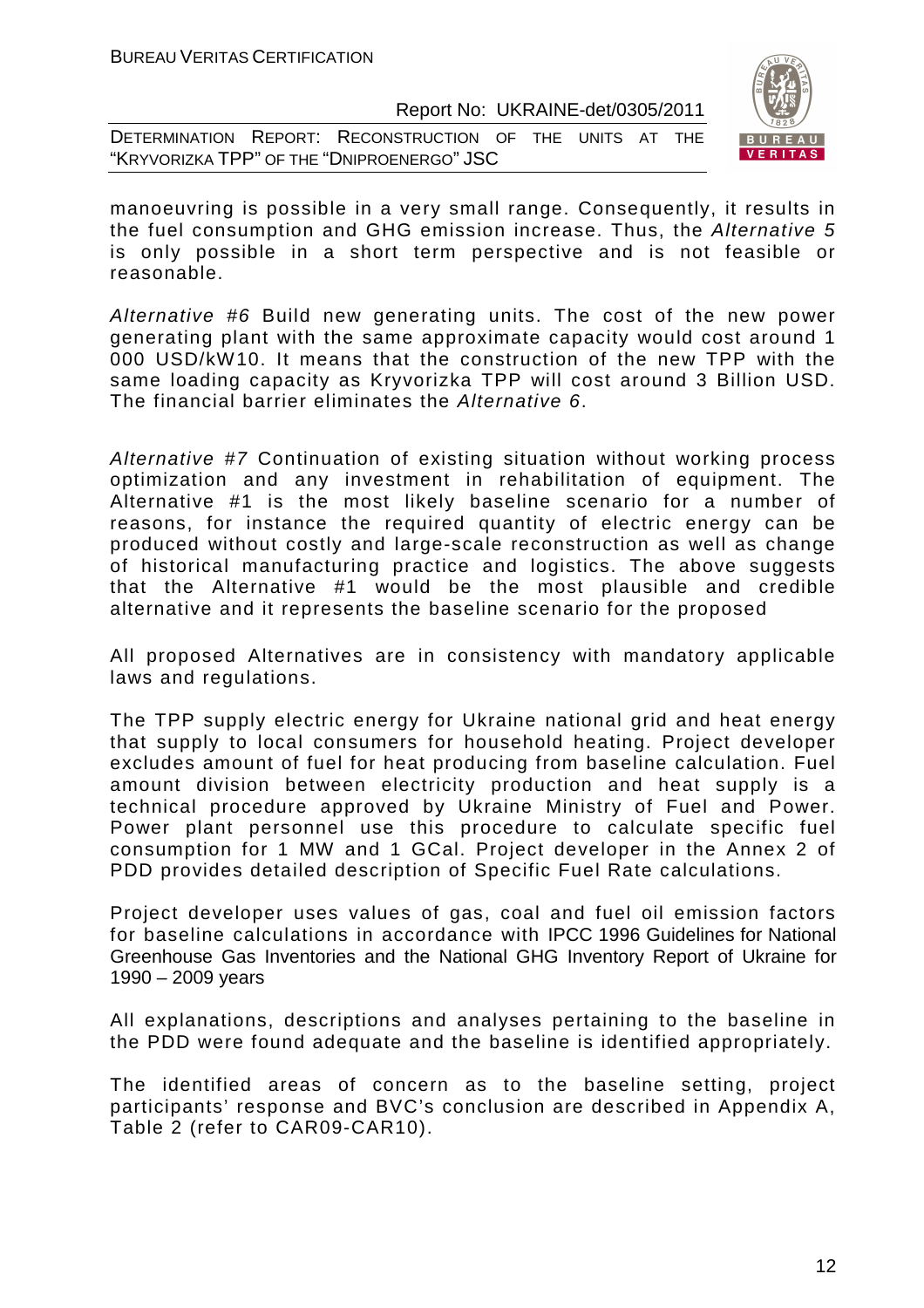|                                            |  | DETERMINATION REPORT: RECONSTRUCTION OF THE UNITS AT THE |  |  |  |  |
|--------------------------------------------|--|----------------------------------------------------------|--|--|--|--|
| "KRYVORIZKA TPP" OF THE "DNIPROENERGO" JSC |  |                                                          |  |  |  |  |



manoeuvring is possible in a very small range. Consequently, it results in the fuel consumption and GHG emission increase. Thus, the Alternative 5 is only possible in a short term perspective and is not feasible or reasonable.

Alternative #6 Build new generating units. The cost of the new power generating plant with the same approximate capacity would cost around 1 000 USD/kW10. It means that the construction of the new TPP with the same loading capacity as Kryvorizka TPP will cost around 3 Billion USD. The financial barrier eliminates the Alternative 6.

Alternative #7 Continuation of existing situation without working process optimization and any investment in rehabilitation of equipment. The Alternative #1 is the most likely baseline scenario for a number of reasons, for instance the required quantity of electric energy can be produced without costly and large-scale reconstruction as well as change of historical manufacturing practice and logistics. The above suggests that the Alternative #1 would be the most plausible and credible alternative and it represents the baseline scenario for the proposed

All proposed Alternatives are in consistency with mandatory applicable laws and regulations.

The TPP supply electric energy for Ukraine national grid and heat energy that supply to local consumers for household heating. Project developer excludes amount of fuel for heat producing from baseline calculation. Fuel amount division between electricity production and heat supply is a technical procedure approved by Ukraine Ministry of Fuel and Power. Power plant personnel use this procedure to calculate specific fuel consumption for 1 MW and 1 GCal. Project developer in the Annex 2 of PDD provides detailed description of Specific Fuel Rate calculations.

Project developer uses values of gas, coal and fuel oil emission factors for baseline calculations in accordance with IPCC 1996 Guidelines for National Greenhouse Gas Inventories and the National GHG Inventory Report of Ukraine for 1990 – 2009 years

All explanations, descriptions and analyses pertaining to the baseline in the PDD were found adequate and the baseline is identified appropriately.

The identified areas of concern as to the baseline setting, project participants' response and BVC's conclusion are described in Appendix A, Table 2 (refer to CAR09-CAR10).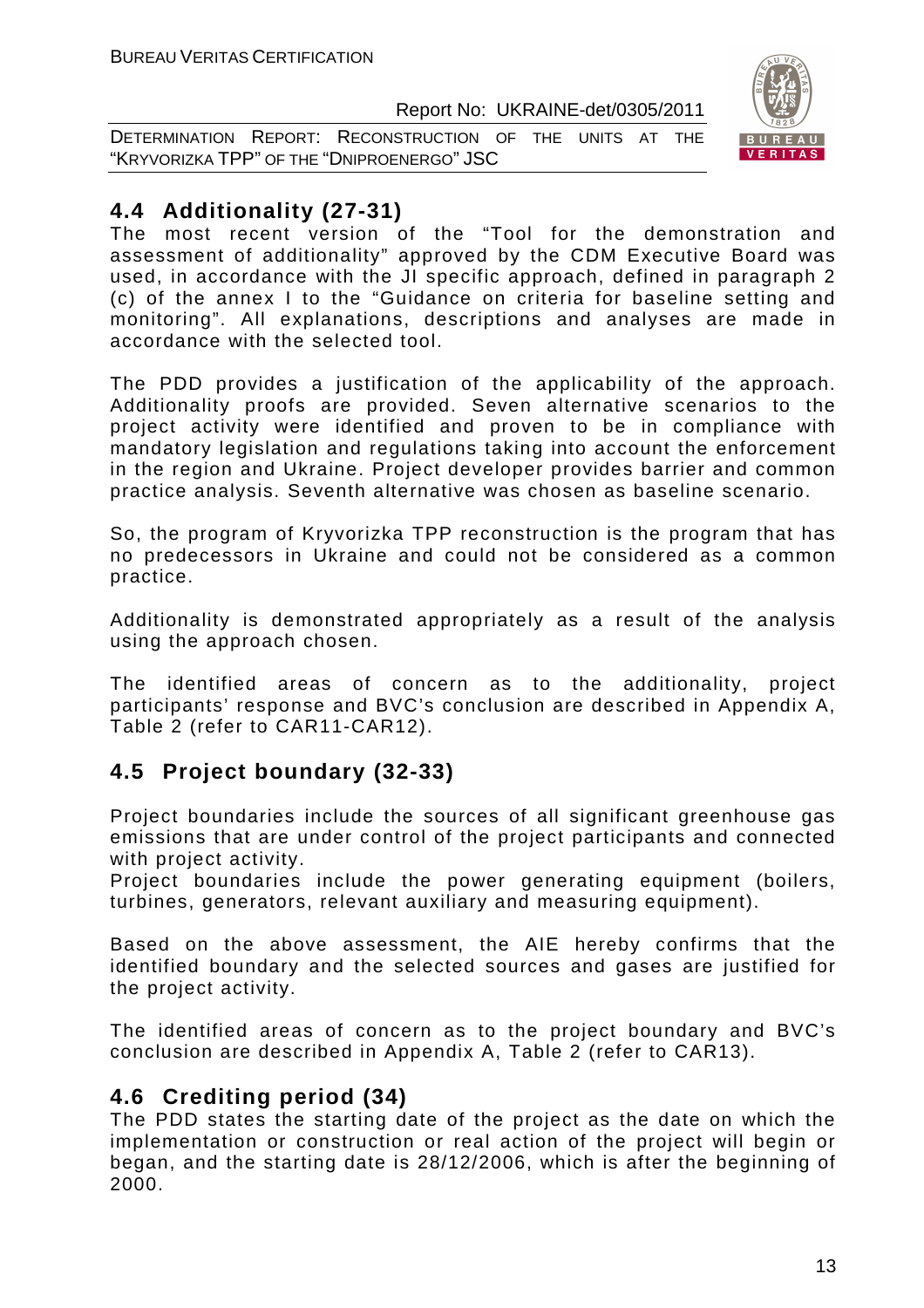DETERMINATION REPORT: RECONSTRUCTION OF THE UNITS AT THE "KRYVORIZKA TPP" OF THE "DNIPROENERGO" JSC



# **4.4 Additionality (27-31)**

The most recent version of the "Tool for the demonstration and assessment of additionality" approved by the CDM Executive Board was used, in accordance with the JI specific approach, defined in paragraph 2 (c) of the annex I to the "Guidance on criteria for baseline setting and monitoring". All explanations, descriptions and analyses are made in accordance with the selected tool.

The PDD provides a justification of the applicability of the approach. Additionality proofs are provided. Seven alternative scenarios to the project activity were identified and proven to be in compliance with mandatory legislation and regulations taking into account the enforcement in the region and Ukraine. Project developer provides barrier and common practice analysis. Seventh alternative was chosen as baseline scenario.

So, the program of Kryvorizka TPP reconstruction is the program that has no predecessors in Ukraine and could not be considered as a common practice.

Additionality is demonstrated appropriately as a result of the analysis using the approach chosen.

The identified areas of concern as to the additionality, project participants' response and BVC's conclusion are described in Appendix A, Table 2 (refer to CAR11-CAR12).

# **4.5 Project boundary (32-33)**

Project boundaries include the sources of all significant greenhouse gas emissions that are under control of the project participants and connected with project activity.

Project boundaries include the power generating equipment (boilers, turbines, generators, relevant auxiliary and measuring equipment).

Based on the above assessment, the AIE hereby confirms that the identified boundary and the selected sources and gases are justified for the project activity.

The identified areas of concern as to the project boundary and BVC's conclusion are described in Appendix A, Table 2 (refer to CAR13).

# **4.6 Crediting period (34)**

The PDD states the starting date of the project as the date on which the implementation or construction or real action of the project will begin or began, and the starting date is 28/12/2006, which is after the beginning of 2000.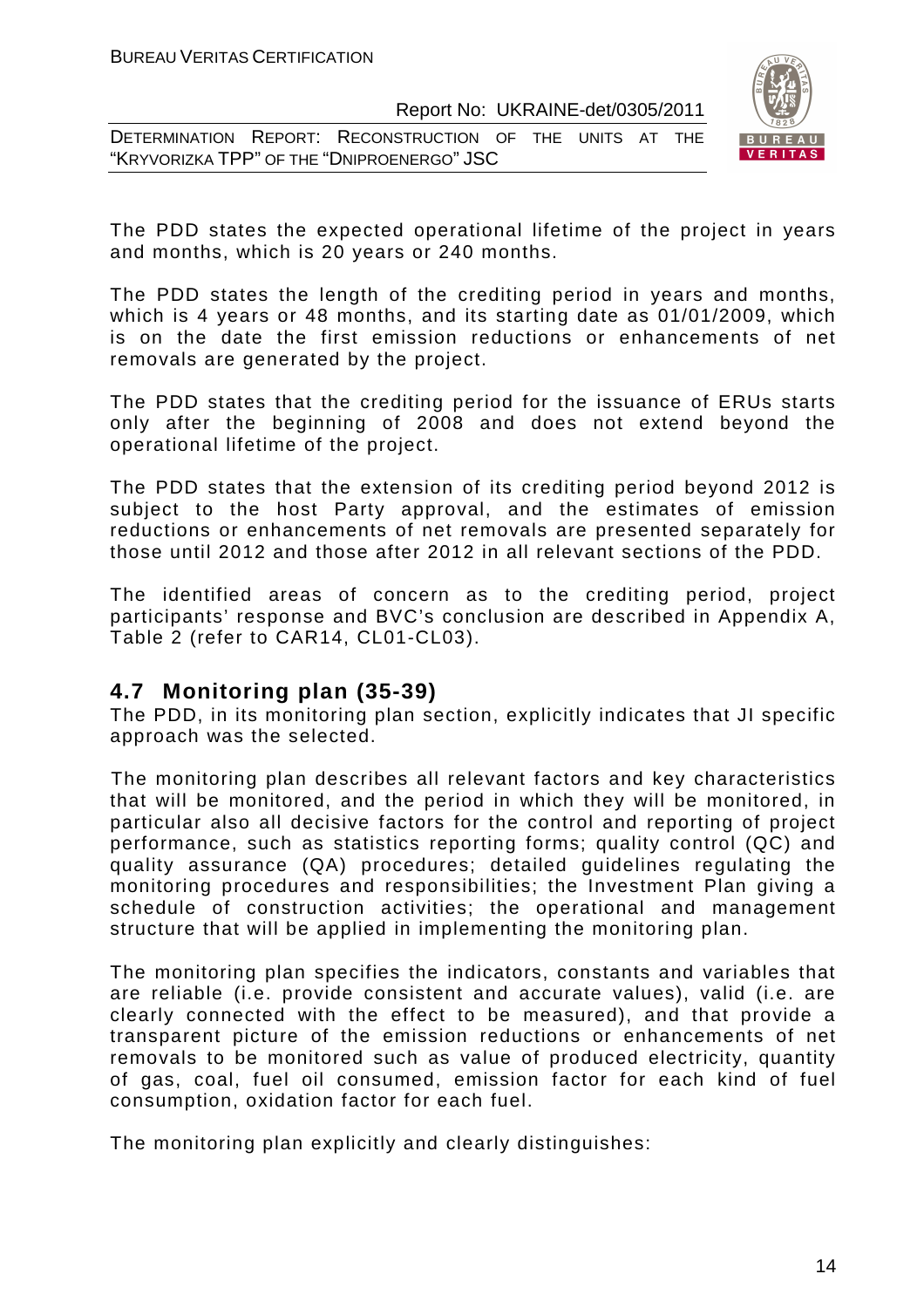DETERMINATION REPORT: RECONSTRUCTION OF THE UNITS AT THE "KRYVORIZKA TPP" OF THE "DNIPROENERGO" JSC



The PDD states the expected operational lifetime of the project in years and months, which is 20 years or 240 months.

The PDD states the length of the crediting period in years and months, which is 4 years or 48 months, and its starting date as 01/01/2009, which is on the date the first emission reductions or enhancements of net removals are generated by the project.

The PDD states that the crediting period for the issuance of ERUs starts only after the beginning of 2008 and does not extend beyond the operational lifetime of the project.

The PDD states that the extension of its crediting period beyond 2012 is subject to the host Party approval, and the estimates of emission reductions or enhancements of net removals are presented separately for those until 2012 and those after 2012 in all relevant sections of the PDD.

The identified areas of concern as to the crediting period, project participants' response and BVC's conclusion are described in Appendix A, Table 2 (refer to CAR14, CL01-CL03).

## **4.7 Monitoring plan (35-39)**

The PDD, in its monitoring plan section, explicitly indicates that JI specific approach was the selected.

The monitoring plan describes all relevant factors and key characteristics that will be monitored, and the period in which they will be monitored, in particular also all decisive factors for the control and reporting of project performance, such as statistics reporting forms; quality control (QC) and quality assurance (QA) procedures; detailed guidelines regulating the monitoring procedures and responsibilities; the Investment Plan giving a schedule of construction activities; the operational and management structure that will be applied in implementing the monitoring plan.

The monitoring plan specifies the indicators, constants and variables that are reliable (i.e. provide consistent and accurate values), valid (i.e. are clearly connected with the effect to be measured), and that provide a transparent picture of the emission reductions or enhancements of net removals to be monitored such as value of produced electricity, quantity of gas, coal, fuel oil consumed, emission factor for each kind of fuel consumption, oxidation factor for each fuel.

The monitoring plan explicitly and clearly distinguishes: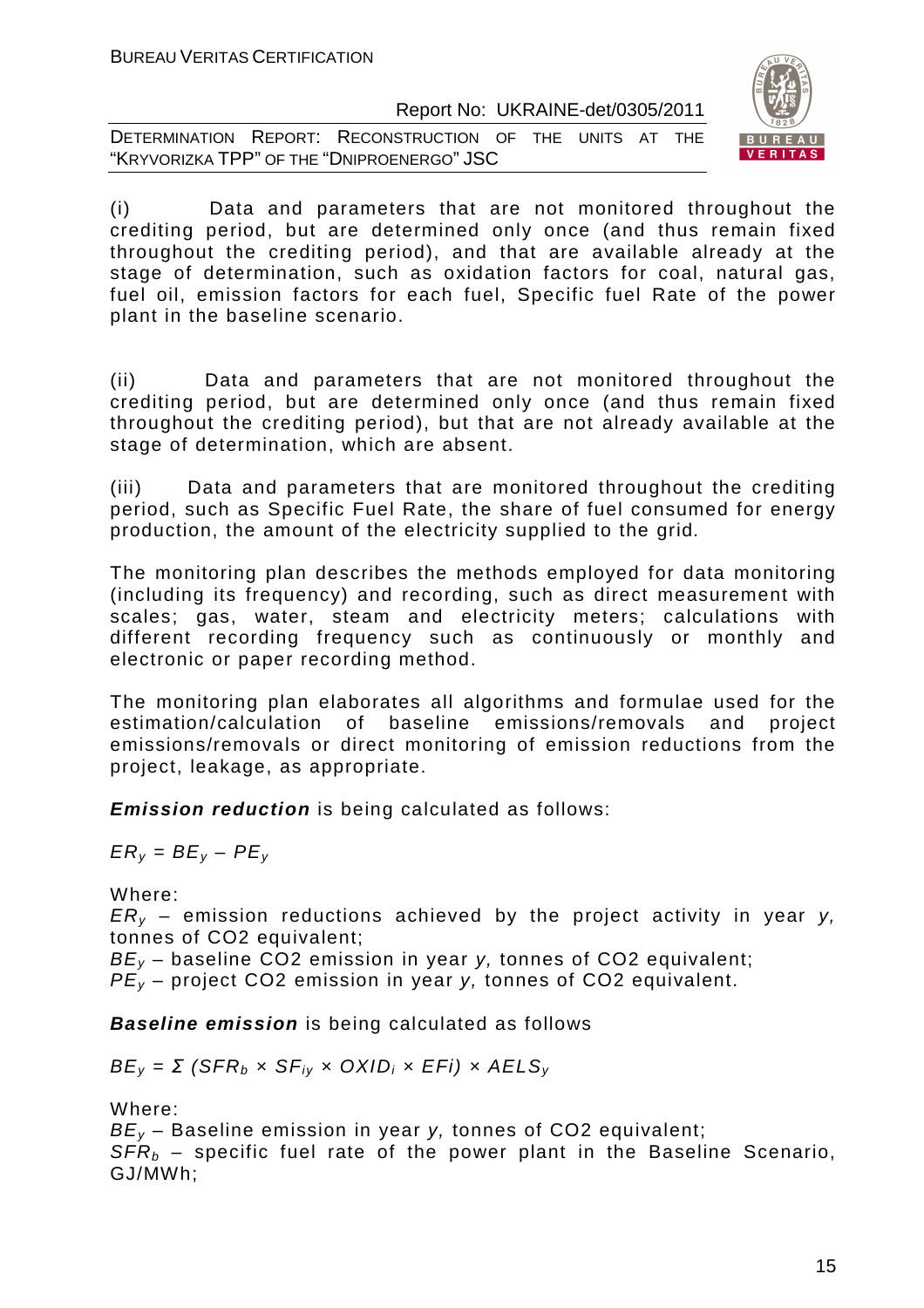DETERMINATION REPORT: RECONSTRUCTION OF THE UNITS AT THE "KRYVORIZKA TPP" OF THE "DNIPROENERGO" JSC



(i) Data and parameters that are not monitored throughout the crediting period, but are determined only once (and thus remain fixed throughout the crediting period), and that are available already at the stage of determination, such as oxidation factors for coal, natural gas, fuel oil, emission factors for each fuel, Specific fuel Rate of the power plant in the baseline scenario.

(ii) Data and parameters that are not monitored throughout the crediting period, but are determined only once (and thus remain fixed throughout the crediting period), but that are not already available at the stage of determination, which are absent.

(iii) Data and parameters that are monitored throughout the crediting period, such as Specific Fuel Rate, the share of fuel consumed for energy production, the amount of the electricity supplied to the grid.

The monitoring plan describes the methods employed for data monitoring (including its frequency) and recording, such as direct measurement with scales; gas, water, steam and electricity meters; calculations with different recording frequency such as continuously or monthly and electronic or paper recording method.

The monitoring plan elaborates all algorithms and formulae used for the estimation/calculation of baseline emissions/removals and project emissions/removals or direct monitoring of emission reductions from the project, leakage, as appropriate.

**Emission reduction** is being calculated as follows:

 $ER_v = BE_v - PE_v$ 

Where:

 $ER_v$  – emission reductions achieved by the project activity in year y, tonnes of CO2 equivalent;

 $BE_v$  – baseline CO2 emission in year y, tonnes of CO2 equivalent;

 $PE_v$  – project CO2 emission in year y, tonnes of CO2 equivalent.

**Baseline emission** is being calculated as follows

 $BE_v = \Sigma$  (SFR<sub>b</sub> x SF<sub>iv</sub> x OXID<sub>i</sub> x EFi) x AELS<sub>v</sub>

Where:

 $BE_v$  – Baseline emission in year y, tonnes of CO2 equivalent;  $SFR_b$  – specific fuel rate of the power plant in the Baseline Scenario, GJ/MWh;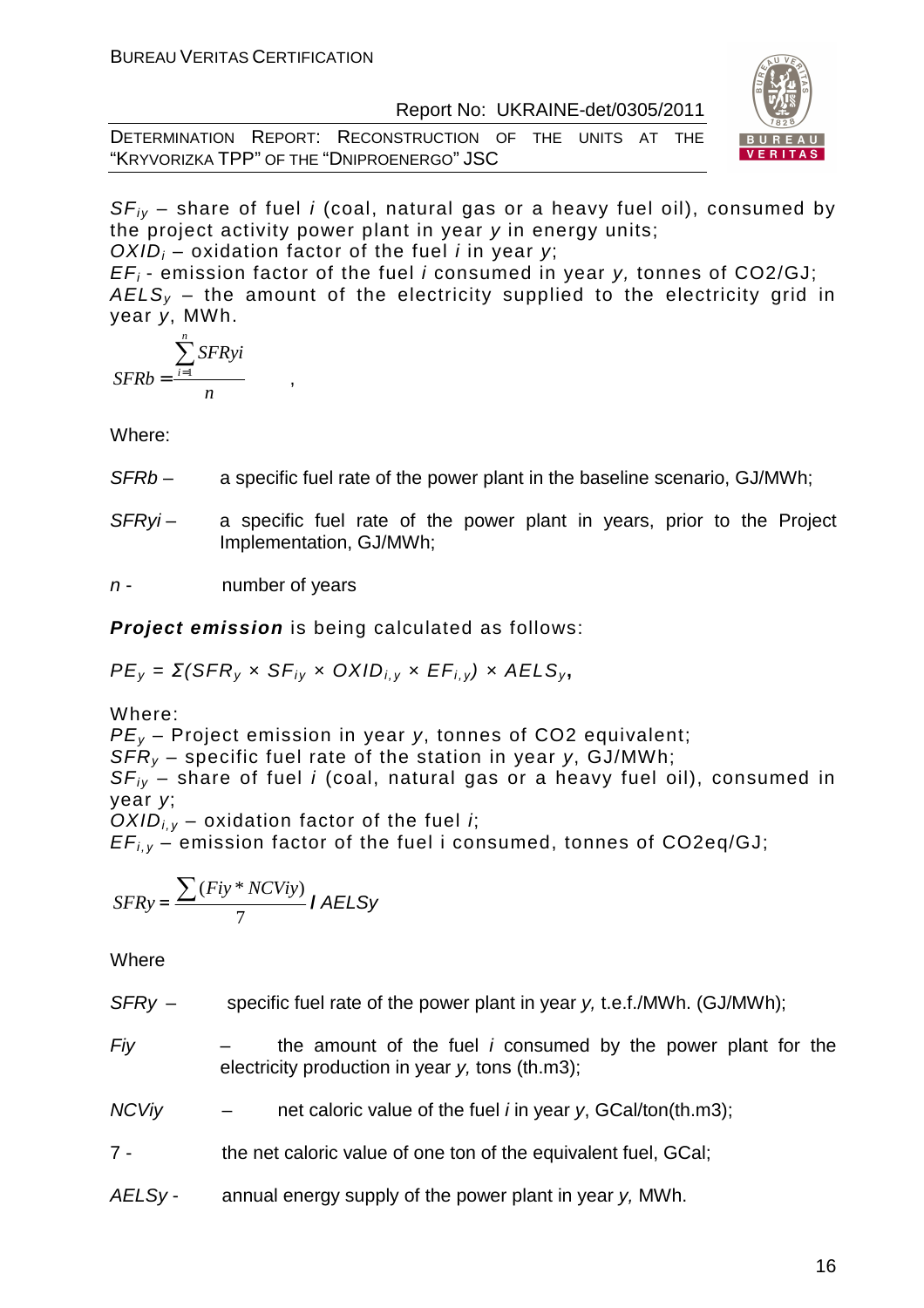DETERMINATION REPORT: RECONSTRUCTION OF THE UNITS AT THE "KRYVORIZKA TPP" OF THE "DNIPROENERGO" JSC



 $SF_{iv}$  – share of fuel i (coal, natural gas or a heavy fuel oil), consumed by the project activity power plant in year y in energy units;

 $OXID_i$  – oxidation factor of the fuel *i* in year v;

 $EF_i$ - emission factor of the fuel *i* consumed in year y, tonnes of CO2/GJ;  $AELS<sub>v</sub>$  – the amount of the electricity supplied to the electricity grid in year y, MWh.

$$
SFRb = \frac{\sum_{i=1}^{n} SFRyi}{n},
$$

Where:

- SFRb a specific fuel rate of the power plant in the baseline scenario, GJ/MWh;
- $SFRvi -$  a specific fuel rate of the power plant in years, prior to the Project Implementation, GJ/MWh;

 $n -$  number of years

**Project emission** is being calculated as follows:

 $PE<sub>V</sub> = Σ(SFR<sub>V</sub> × SF<sub>iv</sub> × OXID<sub>i.v</sub> × EF<sub>i.v</sub>) × AELS<sub>v</sub>$ 

Where:

 $PE<sub>v</sub>$  – Project emission in year y, tonnes of CO2 equivalent;  $SFR_v$  – specific fuel rate of the station in year y, GJ/MWh;

 $SF_{ij}$  – share of fuel i (coal, natural gas or a heavy fuel oil), consumed in year y;

 $OXID_{i,y}$  – oxidation factor of the fuel *i*;

 $EF_{i,v}$  – emission factor of the fuel i consumed, tonnes of  $CO2eq/GJ$ ;

$$
SFRy = \frac{\sum (Fiy * NCViy)}{7} I AELSy
$$

Where

 $SFRv -$  specific fuel rate of the power plant in year v, t.e.f./MWh. (GJ/MWh):

- $Fiv$  the amount of the fuel *i* consumed by the power plant for the electricity production in year y, tons (th.m3);
- $NCV$ iy net caloric value of the fuel *i* in year y, GCal/ton(th.m3);
- 7 the net caloric value of one ton of the equivalent fuel, GCal;
- AELSy annual energy supply of the power plant in year y, MWh.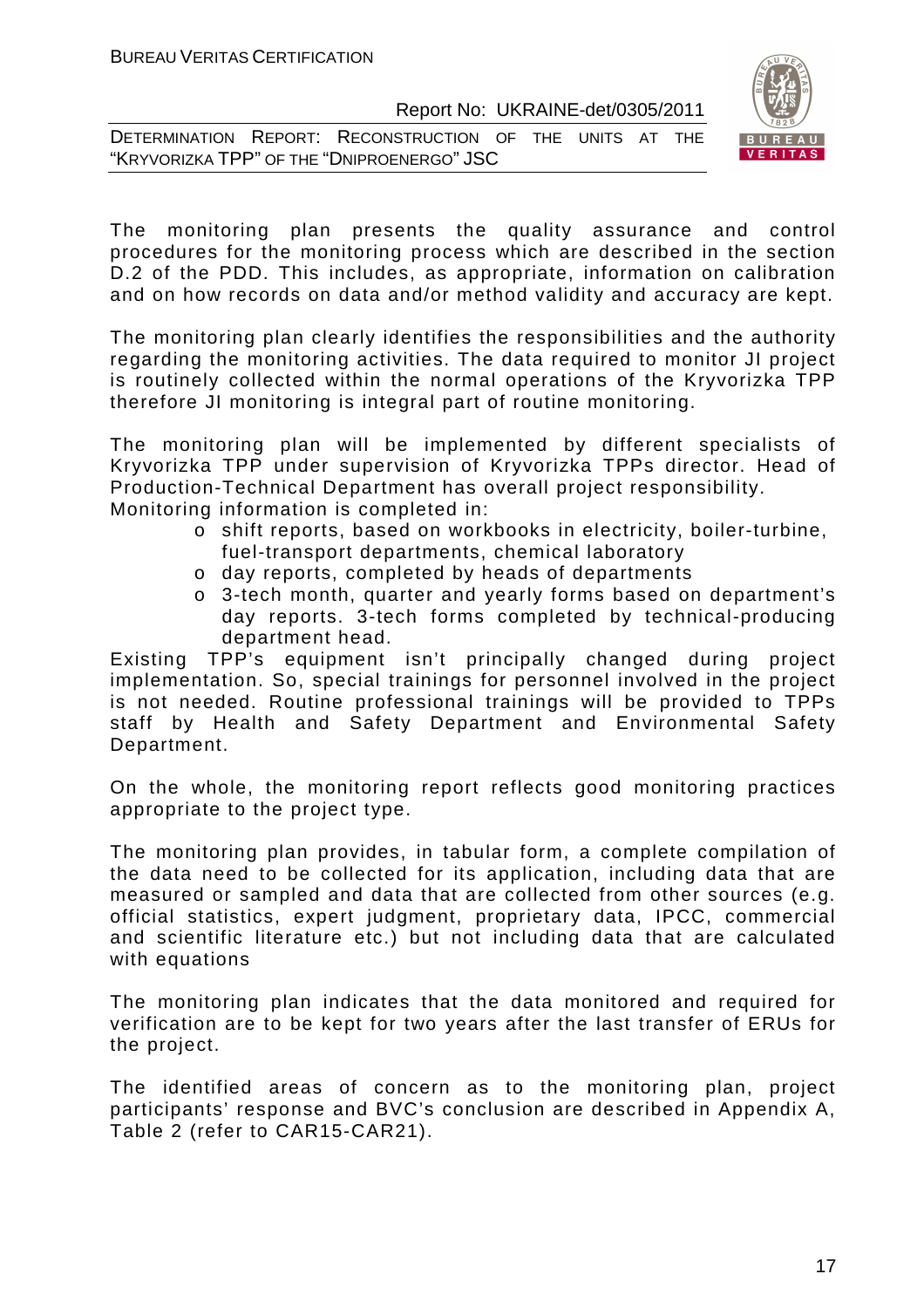|  | DETERMINATION REPORT: RECONSTRUCTION OF THE UNITS AT THE |  |  |  |
|--|----------------------------------------------------------|--|--|--|
|  | "KRYVORIZKA TPP" OF THE "DNIPROENERGO" JSC               |  |  |  |



The monitoring plan presents the quality assurance and control procedures for the monitoring process which are described in the section D.2 of the PDD. This includes, as appropriate, information on calibration and on how records on data and/or method validity and accuracy are kept.

The monitoring plan clearly identifies the responsibilities and the authority regarding the monitoring activities. The data required to monitor JI project is routinely collected within the normal operations of the Kryvorizka TPP therefore JI monitoring is integral part of routine monitoring.

The monitoring plan will be implemented by different specialists of Kryvorizka TPP under supervision of Kryvorizka TPPs director. Head of Production-Technical Department has overall project responsibility. Monitoring information is completed in:

- o shift reports, based on workbooks in electricity, boiler-turbine, fuel-transport departments, chemical laboratory
- o day reports, completed by heads of departments
- o 3-tech month, quarter and yearly forms based on department's day reports. 3-tech forms completed by technical-producing department head.

Existing TPP's equipment isn't principally changed during project implementation. So, special trainings for personnel involved in the project is not needed. Routine professional trainings will be provided to TPPs staff by Health and Safety Department and Environmental Safety Department.

On the whole, the monitoring report reflects good monitoring practices appropriate to the project type.

The monitoring plan provides, in tabular form, a complete compilation of the data need to be collected for its application, including data that are measured or sampled and data that are collected from other sources (e.g. official statistics, expert judgment, proprietary data, IPCC, commercial and scientific literature etc.) but not including data that are calculated with equations

The monitoring plan indicates that the data monitored and required for verification are to be kept for two years after the last transfer of ERUs for the project.

The identified areas of concern as to the monitoring plan, project participants' response and BVC's conclusion are described in Appendix A, Table 2 (refer to CAR15-CAR21).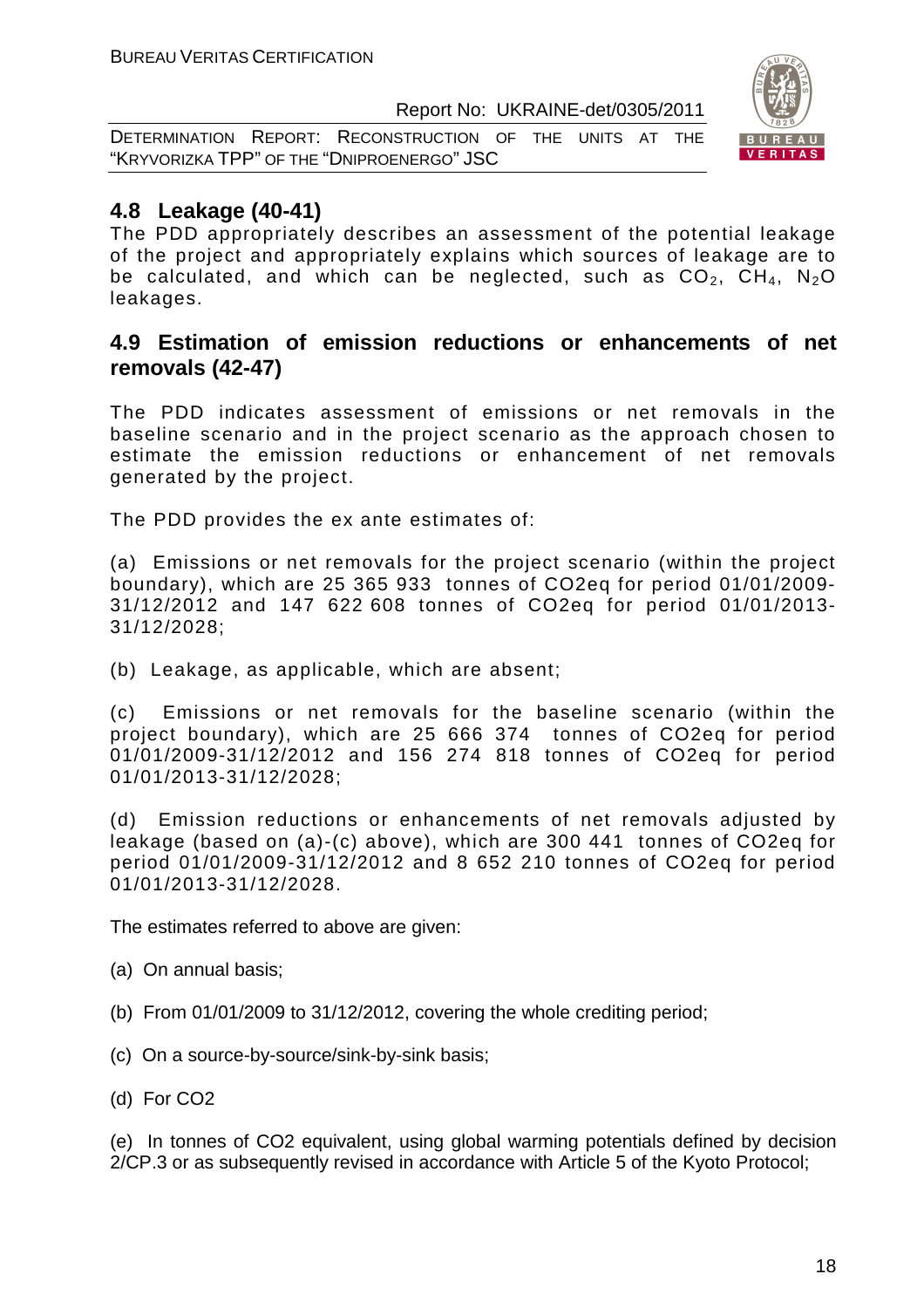DETERMINATION REPORT: RECONSTRUCTION OF THE UNITS AT THE "KRYVORIZKA TPP" OF THE "DNIPROENERGO" JSC



# **4.8 Leakage (40-41)**

The PDD appropriately describes an assessment of the potential leakage of the project and appropriately explains which sources of leakage are to be calculated, and which can be neglected, such as  $CO<sub>2</sub>$ ,  $CH<sub>4</sub>$ , N<sub>2</sub>O leakages.

## **4.9 Estimation of emission reductions or enhancements of net removals (42-47)**

The PDD indicates assessment of emissions or net removals in the baseline scenario and in the project scenario as the approach chosen to estimate the emission reductions or enhancement of net removals generated by the project.

The PDD provides the ex ante estimates of:

(a) Emissions or net removals for the project scenario (within the project boundary), which are 25 365 933 tonnes of CO2eq for period 01/01/2009- 31/12/2012 and 147 622 608 tonnes of CO2eq for period 01/01/2013- 31/12/2028;

(b) Leakage, as applicable, which are absent;

(c) Emissions or net removals for the baseline scenario (within the project boundary), which are 25 666 374 tonnes of CO2eq for period 01/01/2009-31/12/2012 and 156 274 818 tonnes of CO2eq for period 01/01/2013-31/12/2028;

(d) Emission reductions or enhancements of net removals adjusted by leakage (based on (a)-(c) above), which are 300 441 tonnes of CO2eq for period 01/01/2009-31/12/2012 and 8 652 210 tonnes of CO2eq for period 01/01/2013-31/12/2028.

The estimates referred to above are given:

- (a) On annual basis;
- (b) From 01/01/2009 to 31/12/2012, covering the whole crediting period;
- (c) On a source-by-source/sink-by-sink basis;
- (d) For CO2

(e) In tonnes of CO2 equivalent, using global warming potentials defined by decision 2/CP.3 or as subsequently revised in accordance with Article 5 of the Kyoto Protocol;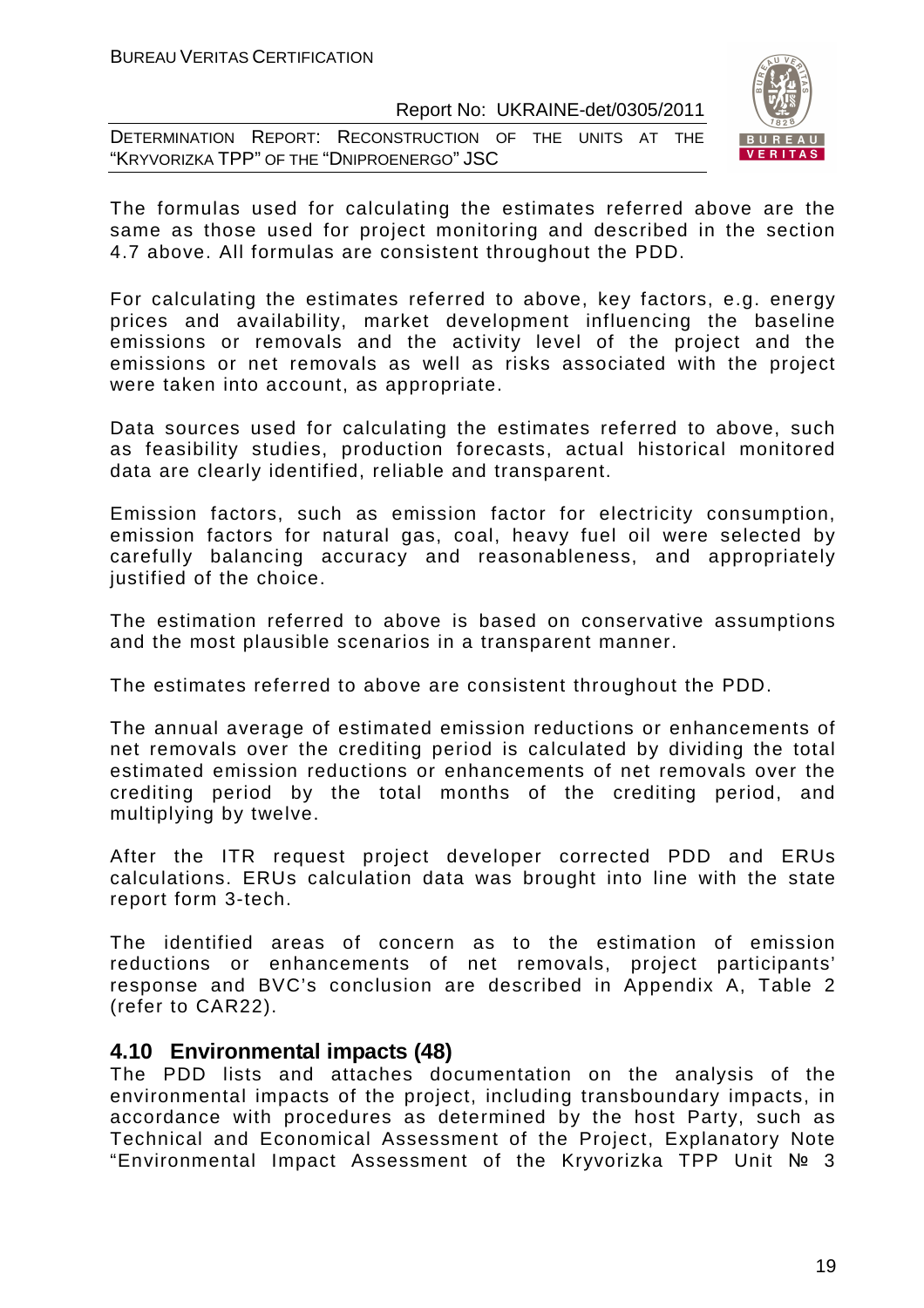DETERMINATION REPORT: RECONSTRUCTION OF THE UNITS AT THE "KRYVORIZKA TPP" OF THE "DNIPROENERGO" JSC



The formulas used for calculating the estimates referred above are the same as those used for project monitoring and described in the section 4.7 above. All formulas are consistent throughout the PDD.

For calculating the estimates referred to above, key factors, e.g. energy prices and availability, market development influencing the baseline emissions or removals and the activity level of the project and the emissions or net removals as well as risks associated with the project were taken into account, as appropriate.

Data sources used for calculating the estimates referred to above, such as feasibility studies, production forecasts, actual historical monitored data are clearly identified, reliable and transparent.

Emission factors, such as emission factor for electricity consumption, emission factors for natural gas, coal, heavy fuel oil were selected by carefully balancing accuracy and reasonableness, and appropriately justified of the choice.

The estimation referred to above is based on conservative assumptions and the most plausible scenarios in a transparent manner.

The estimates referred to above are consistent throughout the PDD.

The annual average of estimated emission reductions or enhancements of net removals over the crediting period is calculated by dividing the total estimated emission reductions or enhancements of net removals over the crediting period by the total months of the crediting period, and multiplying by twelve.

After the ITR request project developer corrected PDD and ERUs calculations. ERUs calculation data was brought into line with the state report form 3-tech.

The identified areas of concern as to the estimation of emission reductions or enhancements of net removals, project participants' response and BVC's conclusion are described in Appendix A, Table 2 (refer to CAR22).

#### **4.10 Environmental impacts (48)**

The PDD lists and attaches documentation on the analysis of the environmental impacts of the project, including transboundary impacts, in accordance with procedures as determined by the host Party, such as Technical and Economical Assessment of the Project, Explanatory Note "Environmental Impact Assessment of the Kryvorizka TPP Unit № 3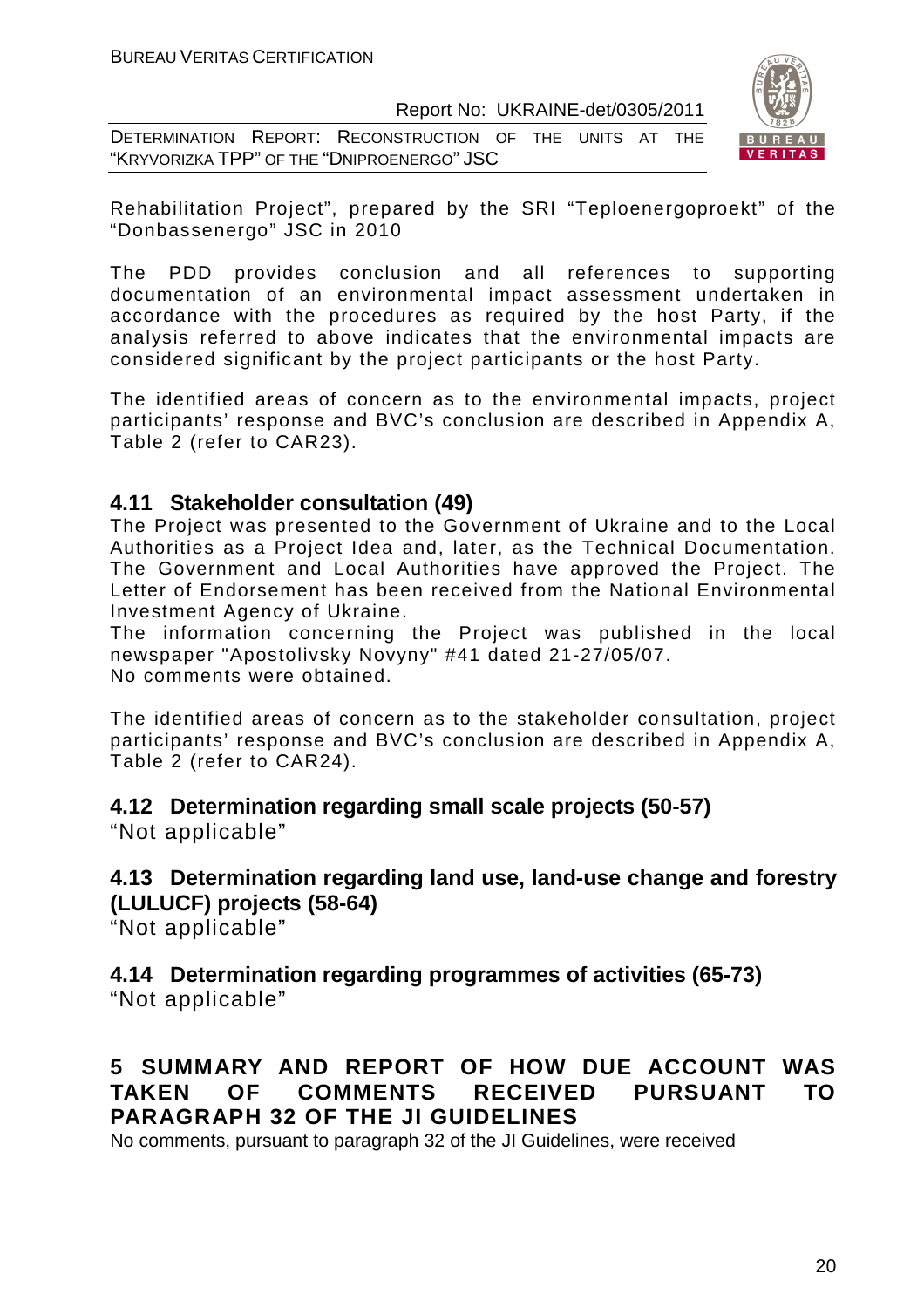DETERMINATION REPORT: RECONSTRUCTION OF THE UNITS AT THE "KRYVORIZKA TPP" OF THE "DNIPROENERGO" JSC



Rehabilitation Project", prepared by the SRI "Teploenergoproekt" of the "Donbassenergo" JSC in 2010

The PDD provides conclusion and all references to supporting documentation of an environmental impact assessment undertaken in accordance with the procedures as required by the host Party, if the analysis referred to above indicates that the environmental impacts are considered significant by the project participants or the host Party.

The identified areas of concern as to the environmental impacts, project participants' response and BVC's conclusion are described in Appendix A, Table 2 (refer to CAR23).

# **4.11 Stakeholder consultation (49)**

The Project was presented to the Government of Ukraine and to the Local Authorities as a Project Idea and, later, as the Technical Documentation. The Government and Local Authorities have approved the Project. The Letter of Endorsement has been received from the National Environmental Investment Agency of Ukraine.

The information concerning the Project was published in the local newspaper "Apostolivsky Novyny" #41 dated 21-27/05/07. No comments were obtained.

The identified areas of concern as to the stakeholder consultation, project participants' response and BVC's conclusion are described in Appendix A, Table 2 (refer to CAR24).

# **4.12 Determination regarding small scale projects (50-57)**

"Not applicable"

#### **4.13 Determination regarding land use, land-use change and forestry (LULUCF) projects (58-64)**

"Not applicable"

# **4.14 Determination regarding programmes of activities (65-73)**

"Not applicable"

# **5 SUMMARY AND REPORT OF HOW DUE ACCOUNT WAS TAKEN OF COMMENTS RECEIVED PURSUANT TO PARAGRAPH 32 OF THE JI GUIDELINES**

No comments, pursuant to paragraph 32 of the JI Guidelines, were received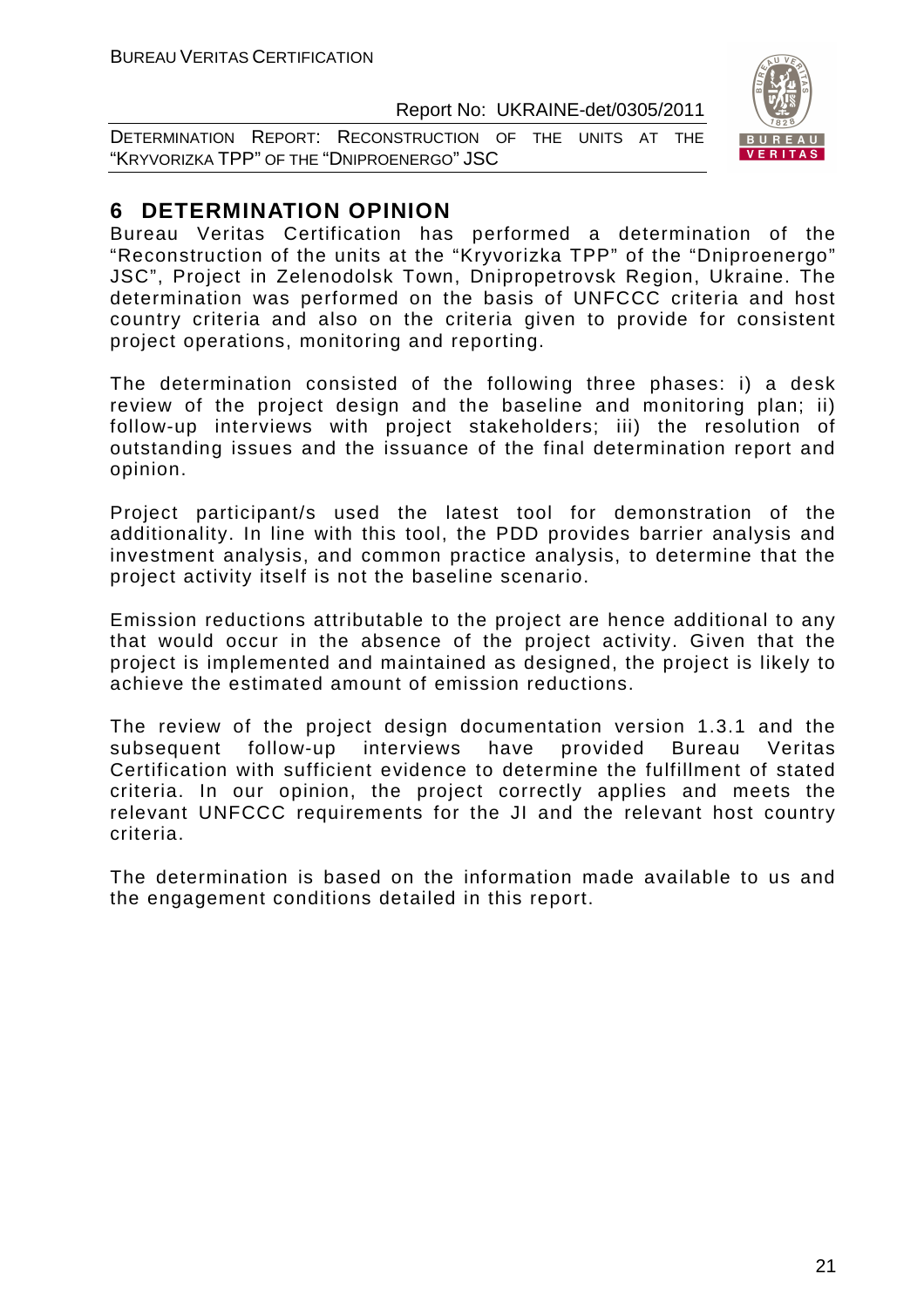DETERMINATION REPORT: RECONSTRUCTION OF THE UNITS AT THE "KRYVORIZKA TPP" OF THE "DNIPROENERGO" JSC



# **6 DETERMINATION OPINION**

Bureau Veritas Certification has performed a determination of the "Reconstruction of the units at the "Kryvorizka TPP" of the "Dniproenergo" JSC", Project in Zelenodolsk Town, Dnipropetrovsk Region, Ukraine. The determination was performed on the basis of UNFCCC criteria and host country criteria and also on the criteria given to provide for consistent project operations, monitoring and reporting.

The determination consisted of the following three phases: i) a desk review of the project design and the baseline and monitoring plan; ii) follow-up interviews with project stakeholders; iii) the resolution of outstanding issues and the issuance of the final determination report and opinion.

Project participant/s used the latest tool for demonstration of the additionality. In line with this tool, the PDD provides barrier analysis and investment analysis, and common practice analysis, to determine that the project activity itself is not the baseline scenario.

Emission reductions attributable to the project are hence additional to any that would occur in the absence of the project activity. Given that the project is implemented and maintained as designed, the project is likely to achieve the estimated amount of emission reductions.

The review of the project design documentation version 1.3.1 and the subsequent follow-up interviews have provided Bureau Veritas Certification with sufficient evidence to determine the fulfillment of stated criteria. In our opinion, the project correctly applies and meets the relevant UNFCCC requirements for the JI and the relevant host country criteria.

The determination is based on the information made available to us and the engagement conditions detailed in this report.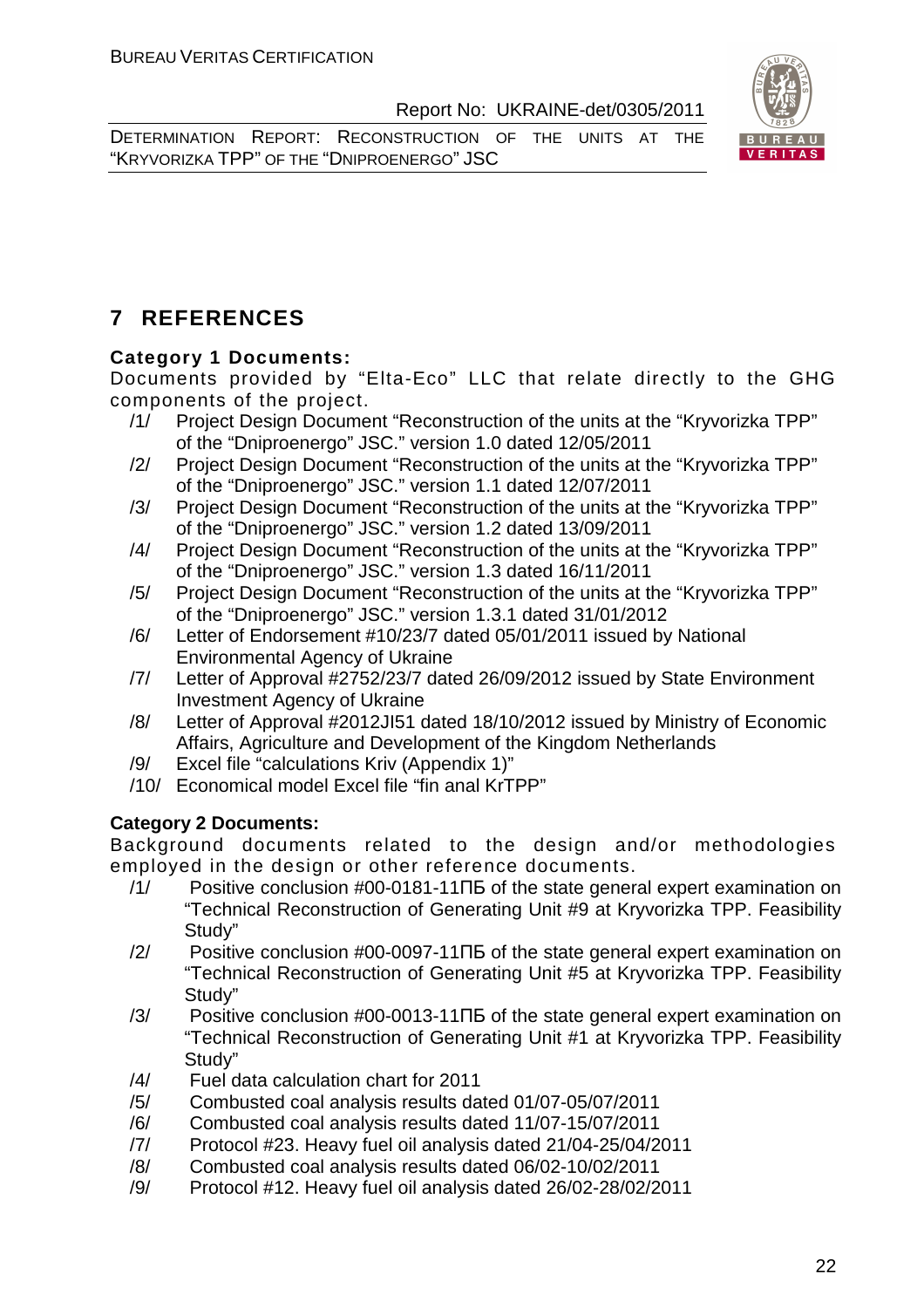DETERMINATION REPORT: RECONSTRUCTION OF THE UNITS AT THE "KRYVORIZKA TPP" OF THE "DNIPROENERGO" JSC



# **7 REFERENCES**

## **Category 1 Documents:**

Documents provided by "Elta-Eco" LLC that relate directly to the GHG components of the project.

- /1/ Project Design Document "Reconstruction of the units at the "Kryvorizka TPP" of the "Dniproenergo" JSC." version 1.0 dated 12/05/2011
- /2/ Project Design Document "Reconstruction of the units at the "Kryvorizka TPP" of the "Dniproenergo" JSC." version 1.1 dated 12/07/2011
- /3/ Project Design Document "Reconstruction of the units at the "Kryvorizka TPP" of the "Dniproenergo" JSC." version 1.2 dated 13/09/2011
- /4/ Project Design Document "Reconstruction of the units at the "Kryvorizka TPP" of the "Dniproenergo" JSC." version 1.3 dated 16/11/2011
- /5/ Project Design Document "Reconstruction of the units at the "Kryvorizka TPP" of the "Dniproenergo" JSC." version 1.3.1 dated 31/01/2012
- /6/ Letter of Endorsement #10/23/7 dated 05/01/2011 issued by National Environmental Agency of Ukraine
- /7/ Letter of Approval #2752/23/7 dated 26/09/2012 issued by State Environment Investment Agency of Ukraine
- /8/ Letter of Approval #2012JI51 dated 18/10/2012 issued by Ministry of Economic Affairs, Agriculture and Development of the Kingdom Netherlands
- /9/ Excel file "calculations Kriv (Appendix 1)"
- /10/ Economical model Excel file "fin anal KrTPP"

## **Category 2 Documents:**

Background documents related to the design and/or methodologies employed in the design or other reference documents.

- /1/ Positive conclusion #00-0181-11ПБ of the state general expert examination on "Technical Reconstruction of Generating Unit #9 at Kryvorizka TPP. Feasibility Study"
- /2/ Positive conclusion #00-0097-11ПБ of the state general expert examination on "Technical Reconstruction of Generating Unit #5 at Kryvorizka TPP. Feasibility Study"
- /3/ Positive conclusion #00-0013-11ПБ of the state general expert examination on "Technical Reconstruction of Generating Unit #1 at Kryvorizka TPP. Feasibility Study"
- /4/ Fuel data calculation chart for 2011
- /5/ Combusted coal analysis results dated 01/07-05/07/2011
- /6/ Combusted coal analysis results dated 11/07-15/07/2011
- /7/ Protocol #23. Heavy fuel oil analysis dated 21/04-25/04/2011
- /8/ Combusted coal analysis results dated 06/02-10/02/2011
- /9/ Protocol #12. Heavy fuel oil analysis dated 26/02-28/02/2011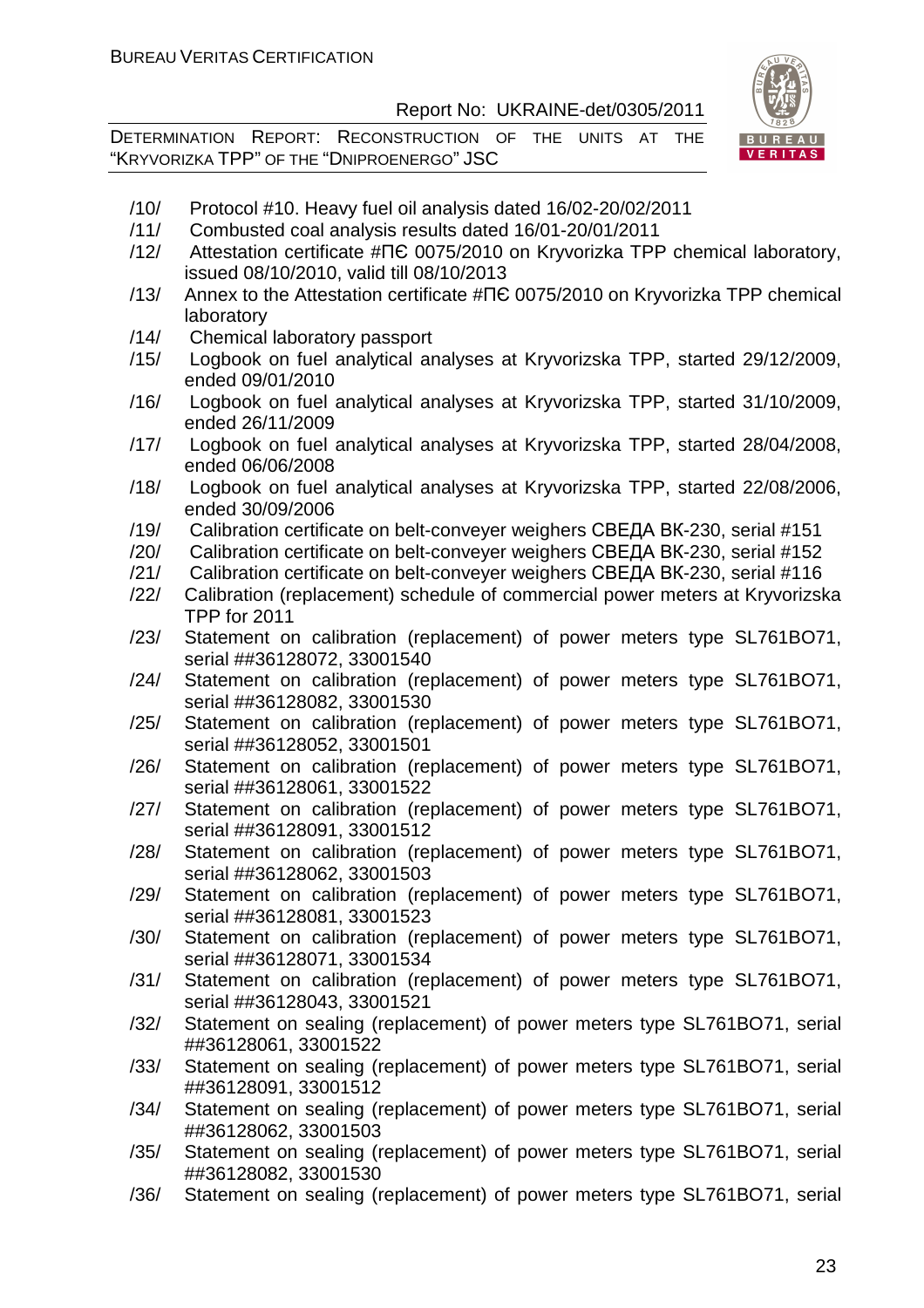DETERMINATION REPORT: RECONSTRUCTION OF THE UNITS AT THE "KRYVORIZKA TPP" OF THE "DNIPROENERGO" JSC



- /11/ Combusted coal analysis results dated 16/01-20/01/2011
- /12/ Attestation certificate #ПЄ 0075/2010 on Kryvorizka TPP chemical laboratory, issued 08/10/2010, valid till 08/10/2013
- /13/ Annex to the Attestation certificate #ПЄ 0075/2010 on Kryvorizka TPP chemical laboratory
- /14/ Chemical laboratory passport
- /15/ Logbook on fuel analytical analyses at Kryvorizska TPP, started 29/12/2009, ended 09/01/2010
- /16/ Logbook on fuel analytical analyses at Kryvorizska TPP, started 31/10/2009, ended 26/11/2009
- /17/ Logbook on fuel analytical analyses at Kryvorizska TPP, started 28/04/2008, ended 06/06/2008
- /18/ Logbook on fuel analytical analyses at Kryvorizska TPP, started 22/08/2006, ended 30/09/2006
- /19/ Calibration certificate on belt-conveyer weighers СВЕДА ВК-230, serial #151
- /20/ Calibration certificate on belt-conveyer weighers СВЕДА ВК-230, serial #152
- /21/ Calibration certificate on belt-conveyer weighers СВЕДА ВК-230, serial #116
- /22/ Calibration (replacement) schedule of commercial power meters at Kryvorizska TPP for 2011
- /23/ Statement on calibration (replacement) of power meters type SL761BO71, serial ##36128072, 33001540
- /24/ Statement on calibration (replacement) of power meters type SL761BO71, serial ##36128082, 33001530
- /25/ Statement on calibration (replacement) of power meters type SL761BO71, serial ##36128052, 33001501
- /26/ Statement on calibration (replacement) of power meters type SL761BO71, serial ##36128061, 33001522
- /27/ Statement on calibration (replacement) of power meters type SL761BO71, serial ##36128091, 33001512
- /28/ Statement on calibration (replacement) of power meters type SL761BO71, serial ##36128062, 33001503
- /29/ Statement on calibration (replacement) of power meters type SL761BO71, serial ##36128081, 33001523
- /30/ Statement on calibration (replacement) of power meters type SL761BO71, serial ##36128071, 33001534
- /31/ Statement on calibration (replacement) of power meters type SL761BO71, serial ##36128043, 33001521
- /32/ Statement on sealing (replacement) of power meters type SL761BO71, serial ##36128061, 33001522
- /33/ Statement on sealing (replacement) of power meters type SL761BO71, serial ##36128091, 33001512
- /34/ Statement on sealing (replacement) of power meters type SL761BO71, serial ##36128062, 33001503
- /35/ Statement on sealing (replacement) of power meters type SL761BO71, serial ##36128082, 33001530
- /36/ Statement on sealing (replacement) of power meters type SL761BO71, serial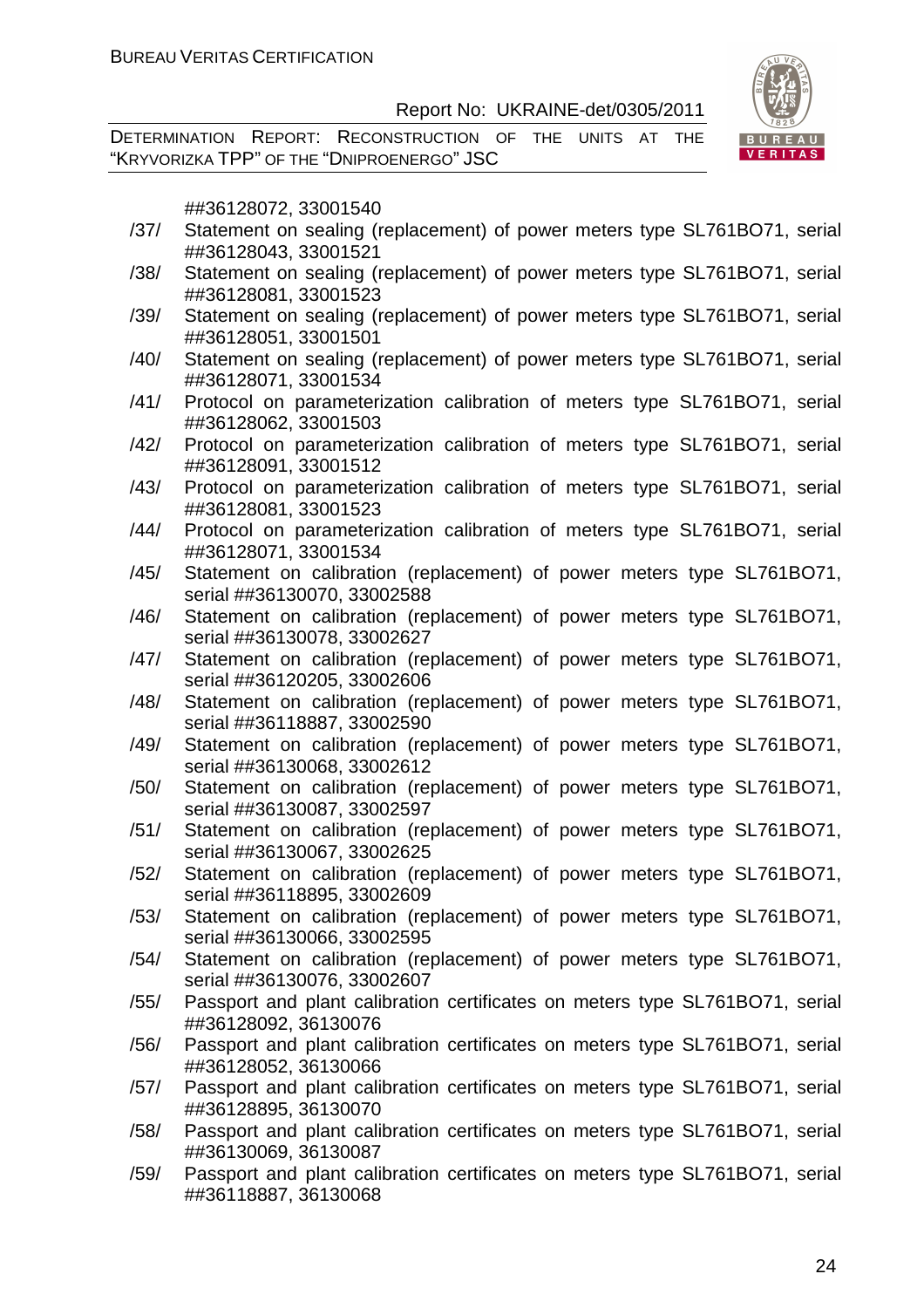DETERMINATION REPORT: RECONSTRUCTION OF THE UNITS AT THE "KRYVORIZKA TPP" OF THE "DNIPROENERGO" JSC



##36128072, 33001540

- /37/ Statement on sealing (replacement) of power meters type SL761BO71, serial ##36128043, 33001521
- /38/ Statement on sealing (replacement) of power meters type SL761BO71, serial ##36128081, 33001523
- /39/ Statement on sealing (replacement) of power meters type SL761BO71, serial ##36128051, 33001501
- /40/ Statement on sealing (replacement) of power meters type SL761BO71, serial ##36128071, 33001534
- /41/ Protocol on parameterization calibration of meters type SL761BO71, serial ##36128062, 33001503
- /42/ Protocol on parameterization calibration of meters type SL761BO71, serial ##36128091, 33001512
- /43/ Protocol on parameterization calibration of meters type SL761BO71, serial ##36128081, 33001523
- /44/ Protocol on parameterization calibration of meters type SL761BO71, serial ##36128071, 33001534
- /45/ Statement on calibration (replacement) of power meters type SL761BO71, serial ##36130070, 33002588
- /46/ Statement on calibration (replacement) of power meters type SL761BO71, serial ##36130078, 33002627
- /47/ Statement on calibration (replacement) of power meters type SL761BO71, serial ##36120205, 33002606
- /48/ Statement on calibration (replacement) of power meters type SL761BO71, serial ##36118887, 33002590
- /49/ Statement on calibration (replacement) of power meters type SL761BO71, serial ##36130068, 33002612
- /50/ Statement on calibration (replacement) of power meters type SL761BO71, serial ##36130087, 33002597
- /51/ Statement on calibration (replacement) of power meters type SL761BO71, serial ##36130067, 33002625
- /52/ Statement on calibration (replacement) of power meters type SL761BO71, serial ##36118895, 33002609
- /53/ Statement on calibration (replacement) of power meters type SL761BO71, serial ##36130066, 33002595
- /54/ Statement on calibration (replacement) of power meters type SL761BO71, serial ##36130076, 33002607
- /55/ Passport and plant calibration certificates on meters type SL761BO71, serial ##36128092, 36130076
- /56/ Passport and plant calibration certificates on meters type SL761BO71, serial ##36128052, 36130066
- /57/ Passport and plant calibration certificates on meters type SL761BO71, serial ##36128895, 36130070
- /58/ Passport and plant calibration certificates on meters type SL761BO71, serial ##36130069, 36130087
- /59/ Passport and plant calibration certificates on meters type SL761BO71, serial ##36118887, 36130068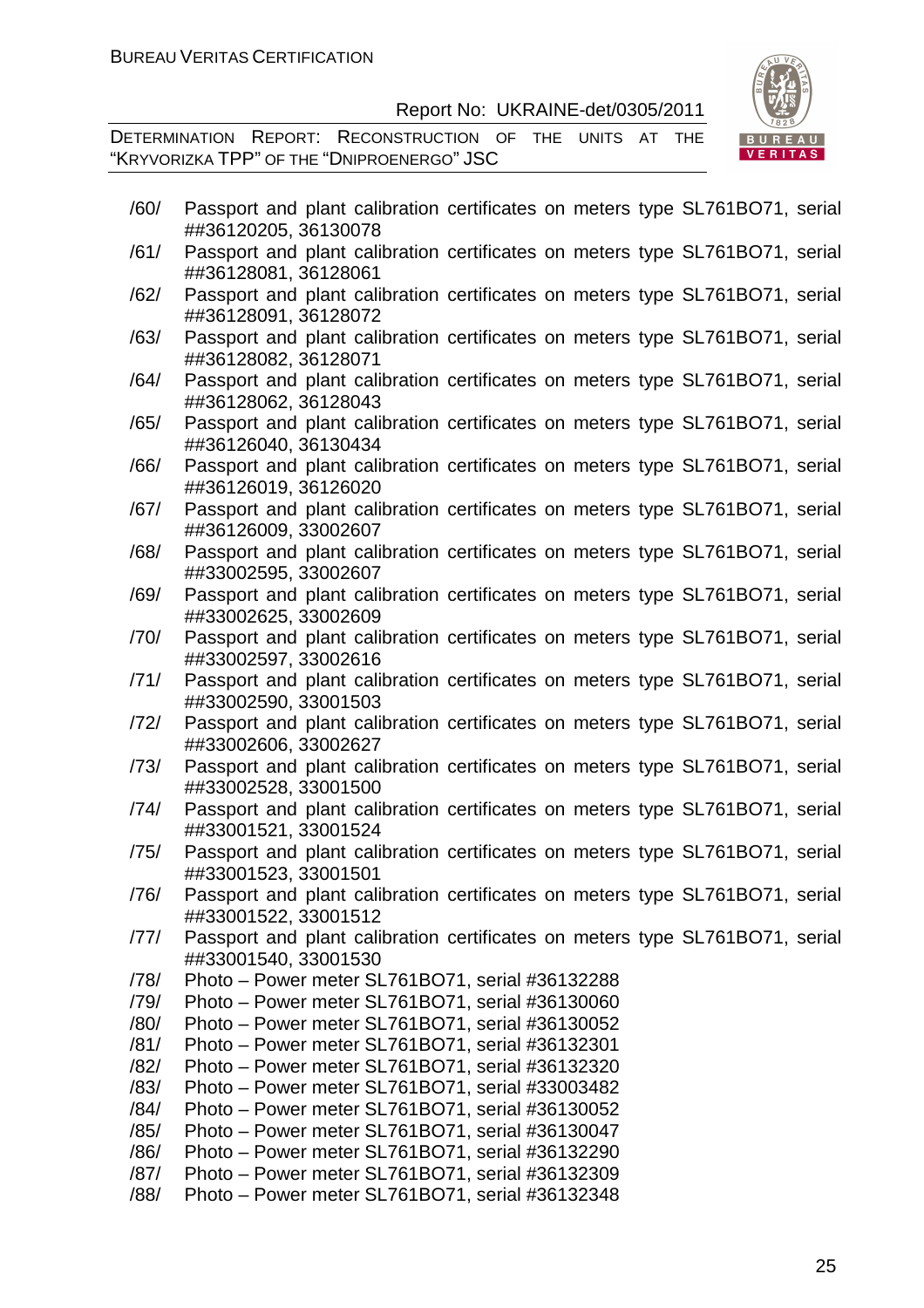DETERMINATION REPORT: RECONSTRUCTION OF THE UNITS AT THE "KRYVORIZKA TPP" OF THE "DNIPROENERGO" JSC



| /60/ | Passport and plant calibration certificates on meters type SL761BO71, serial<br>##36120205, 36130078 |
|------|------------------------------------------------------------------------------------------------------|
| /61/ | Passport and plant calibration certificates on meters type SL761BO71, serial<br>##36128081, 36128061 |
| /62/ | Passport and plant calibration certificates on meters type SL761BO71, serial<br>##36128091, 36128072 |
| /63/ | Passport and plant calibration certificates on meters type SL761BO71, serial<br>##36128082, 36128071 |
| /64/ | Passport and plant calibration certificates on meters type SL761BO71, serial<br>##36128062, 36128043 |
| /65/ | Passport and plant calibration certificates on meters type SL761BO71, serial<br>##36126040, 36130434 |
| /66/ | Passport and plant calibration certificates on meters type SL761BO71, serial<br>##36126019, 36126020 |
| /67/ | Passport and plant calibration certificates on meters type SL761BO71, serial<br>##36126009, 33002607 |
| /68/ | Passport and plant calibration certificates on meters type SL761BO71, serial<br>##33002595, 33002607 |
| /69/ | Passport and plant calibration certificates on meters type SL761BO71, serial<br>##33002625, 33002609 |
| /70/ | Passport and plant calibration certificates on meters type SL761BO71, serial<br>##33002597, 33002616 |
| /71/ | Passport and plant calibration certificates on meters type SL761BO71, serial<br>##33002590, 33001503 |
| /72/ | Passport and plant calibration certificates on meters type SL761BO71, serial<br>##33002606, 33002627 |
| /73/ | Passport and plant calibration certificates on meters type SL761BO71, serial<br>##33002528, 33001500 |
| /74/ | Passport and plant calibration certificates on meters type SL761BO71, serial<br>##33001521, 33001524 |
| /75/ | Passport and plant calibration certificates on meters type SL761BO71, serial<br>##33001523, 33001501 |
| /76/ | Passport and plant calibration certificates on meters type SL761BO71, serial<br>##33001522, 33001512 |
| /77/ | Passport and plant calibration certificates on meters type SL761BO71, serial<br>##33001540, 33001530 |
| /78/ | Photo – Power meter SL761BO71, serial #36132288                                                      |
| /79/ | Photo - Power meter SL761BO71, serial #36130060                                                      |
| /80/ | Photo - Power meter SL761BO71, serial #36130052                                                      |
| /81/ | Photo – Power meter SL761BO71, serial #36132301                                                      |
| /82/ | Photo – Power meter SL761BO71, serial #36132320                                                      |
| /83/ | Photo - Power meter SL761BO71, serial #33003482                                                      |
| /84/ | Photo – Power meter SL761BO71, serial #36130052                                                      |
| /85/ | Photo - Power meter SL761BO71, serial #36130047                                                      |
| /86/ | Photo - Power meter SL761BO71, serial #36132290                                                      |
| /87/ | Photo - Power meter SL761BO71, serial #36132309                                                      |
| /88/ | Photo – Power meter SL761BO71, serial #36132348                                                      |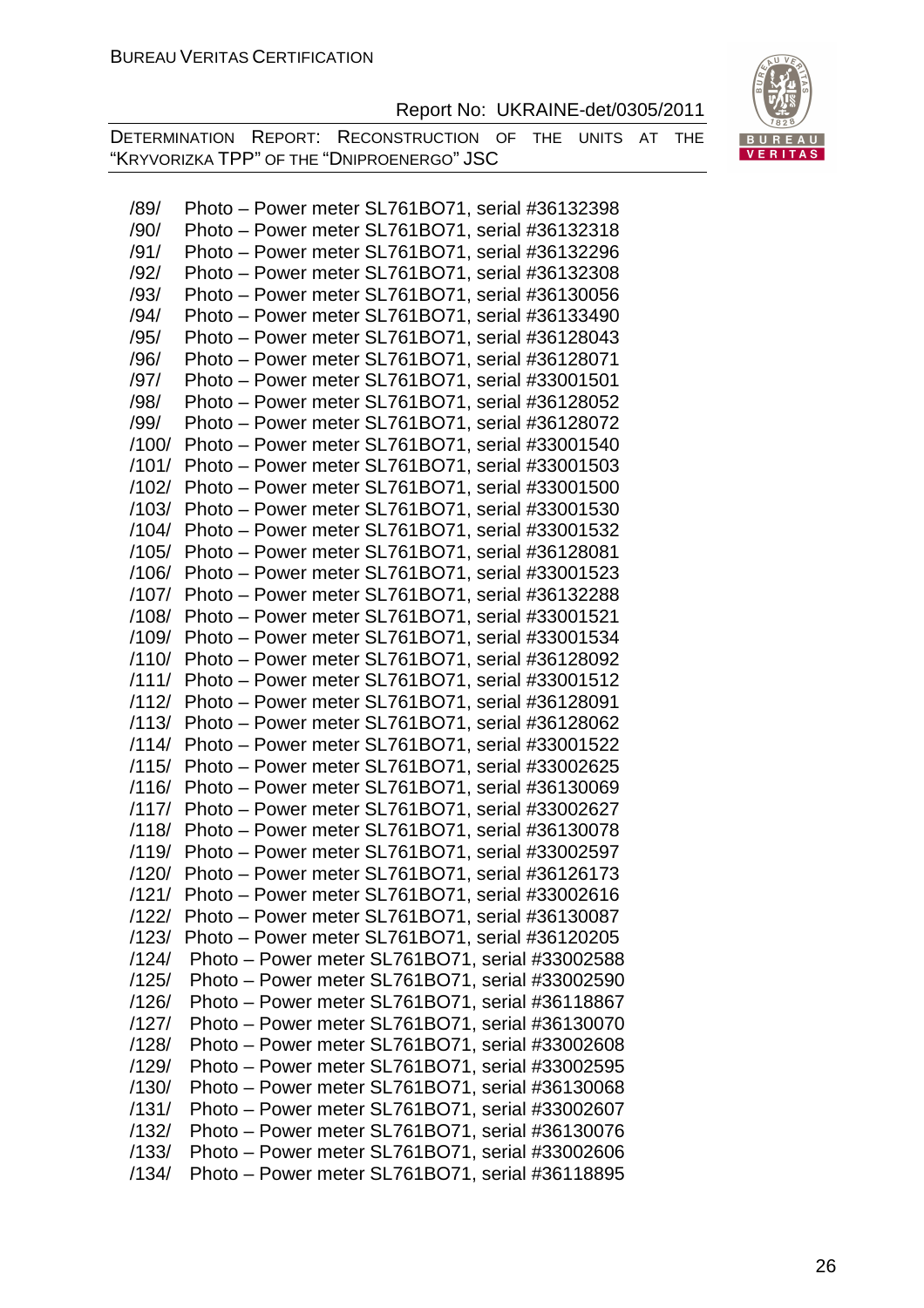BURI VERITAS

|  | Report No: UKRAINE-det/0305/2011 |
|--|----------------------------------|
|--|----------------------------------|

DETERMINATION REPORT: RECONSTRUCTION OF THE UNITS AT THE "KRYVORIZKA TPP" OF THE "DNIPROENERGO" JSC

| /89/  | Photo – Power meter SL761BO71, serial #36132398       |
|-------|-------------------------------------------------------|
| /90/  | Photo – Power meter SL761BO71, serial #36132318       |
| /91/  | Photo - Power meter SL761BO71, serial #36132296       |
| /92/  | Photo – Power meter SL761BO71, serial #36132308       |
| /93/  | Photo - Power meter SL761BO71, serial #36130056       |
| /94/  | Photo – Power meter SL761BO71, serial #36133490       |
| /95/  | Photo – Power meter SL761BO71, serial #36128043       |
| /96/  | Photo - Power meter SL761BO71, serial #36128071       |
| /97/  | Photo - Power meter SL761BO71, serial #33001501       |
| /98/  | Photo – Power meter SL761BO71, serial #36128052       |
| /99/  | Photo – Power meter SL761BO71, serial #36128072       |
| /100/ | Photo - Power meter SL761BO71, serial #33001540       |
| /101/ | Photo – Power meter SL761BO71, serial #33001503       |
| /102/ | Photo – Power meter SL761BO71, serial #33001500       |
| /103/ | Photo - Power meter SL761BO71, serial #33001530       |
| /104/ | Photo - Power meter SL761BO71, serial #33001532       |
| /105/ | Photo - Power meter SL761BO71, serial #36128081       |
| /106/ | Photo – Power meter SL761BO71, serial #33001523       |
| /107/ | Photo - Power meter SL761BO71, serial #36132288       |
| /108/ | Photo – Power meter SL761BO71, serial #33001521       |
| /109/ | Photo - Power meter SL761BO71, serial #33001534       |
| /110/ | Photo - Power meter SL761BO71, serial #36128092       |
| /111/ | Photo – Power meter SL761BO71, serial #33001512       |
| /112/ | Photo – Power meter SL761BO71, serial #36128091       |
| /113/ | Photo - Power meter SL761BO71, serial #36128062       |
| /114/ | Photo – Power meter SL761BO71, serial #33001522       |
| /115/ | Photo – Power meter SL761BO71, serial #33002625       |
| /116/ | Photo - Power meter SL761BO71, serial #36130069       |
| /117/ | Photo – Power meter SL761BO71, serial #33002627       |
| /118/ | Photo – Power meter SL761BO71, serial #36130078       |
| /119/ | Photo – Power meter SL761BO71, serial #33002597       |
|       | /120/ Photo - Power meter SL761BO71, serial #36126173 |
| /121/ | Photo - Power meter SL761BO71, serial #33002616       |
| /122/ | Photo – Power meter SL761BO71, serial #36130087       |
| /123/ | Photo - Power meter SL761BO71, serial #36120205       |
| /124/ | Photo - Power meter SL761BO71, serial #33002588       |
| /125/ | Photo – Power meter SL761BO71, serial #33002590       |
| /126/ | Photo - Power meter SL761BO71, serial #36118867       |
| /127/ | Photo – Power meter SL761BO71, serial #36130070       |
| /128/ | Photo – Power meter SL761BO71, serial #33002608       |
| /129/ | Photo – Power meter SL761BO71, serial #33002595       |
| /130/ | Photo – Power meter SL761BO71, serial #36130068       |
| /131/ | Photo – Power meter SL761BO71, serial #33002607       |
| /132/ | Photo – Power meter SL761BO71, serial #36130076       |
| /133/ | Photo – Power meter SL761BO71, serial #33002606       |
| /134/ | Photo – Power meter SL761BO71, serial #36118895       |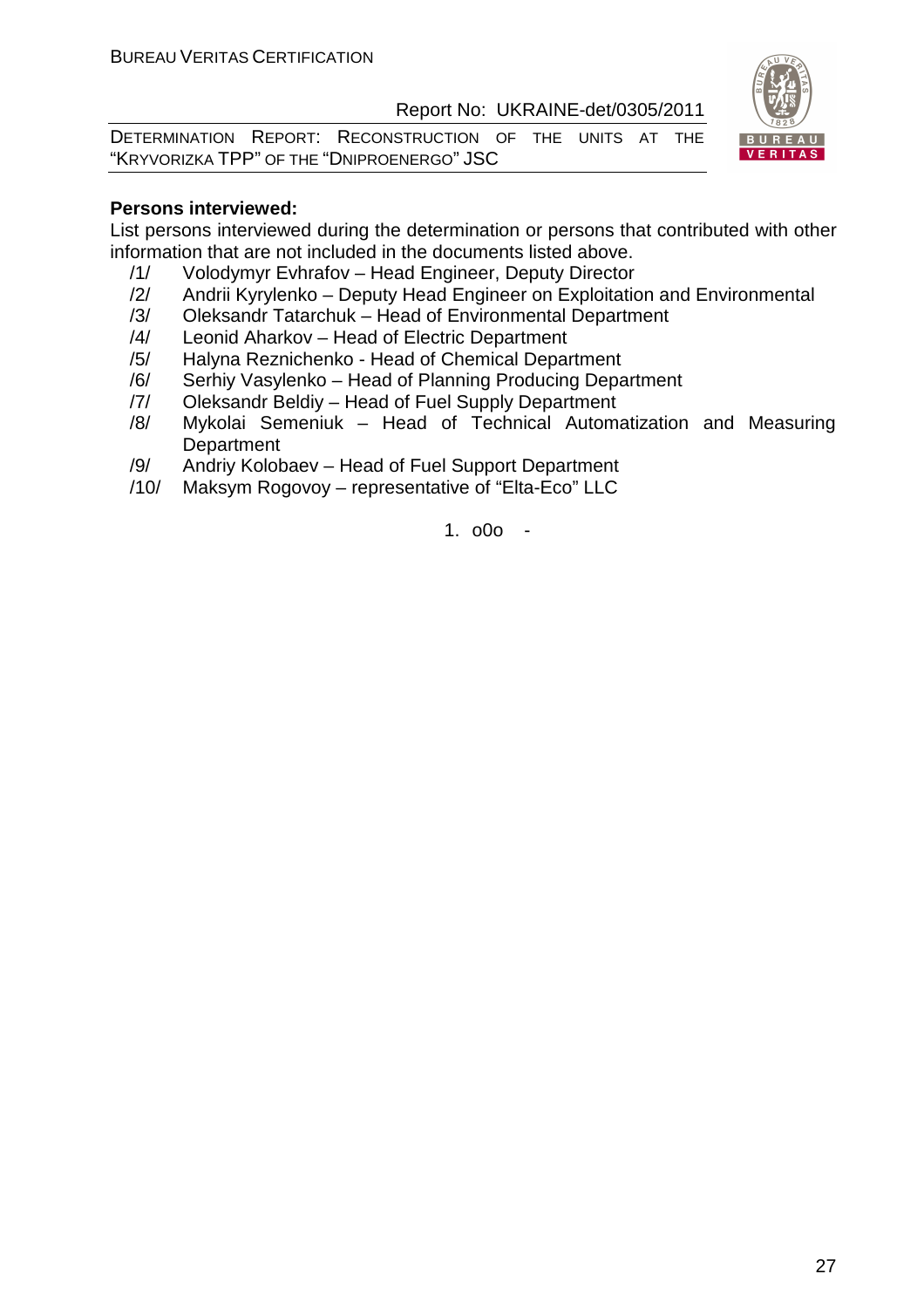DETERMINATION REPORT: RECONSTRUCTION OF THE UNITS AT THE "KRYVORIZKA TPP" OF THE "DNIPROENERGO" JSC



#### **Persons interviewed:**

List persons interviewed during the determination or persons that contributed with other information that are not included in the documents listed above.

- /1/ Volodymyr Evhrafov Head Engineer, Deputy Director
- /2/ Andrii Kyrylenko Deputy Head Engineer on Exploitation and Environmental
- /3/ Oleksandr Tatarchuk Head of Environmental Department
- /4/ Leonid Aharkov Head of Electric Department
- /5/ Halyna Reznichenko Head of Chemical Department
- /6/ Serhiy Vasylenko Head of Planning Producing Department
- /7/ Oleksandr Beldiy Head of Fuel Supply Department
- /8/ Mykolai Semeniuk Head of Technical Automatization and Measuring **Department**
- /9/ Andriy Kolobaev Head of Fuel Support Department
- /10/ Maksym Rogovoy representative of "Elta-Eco" LLC

1. o0o -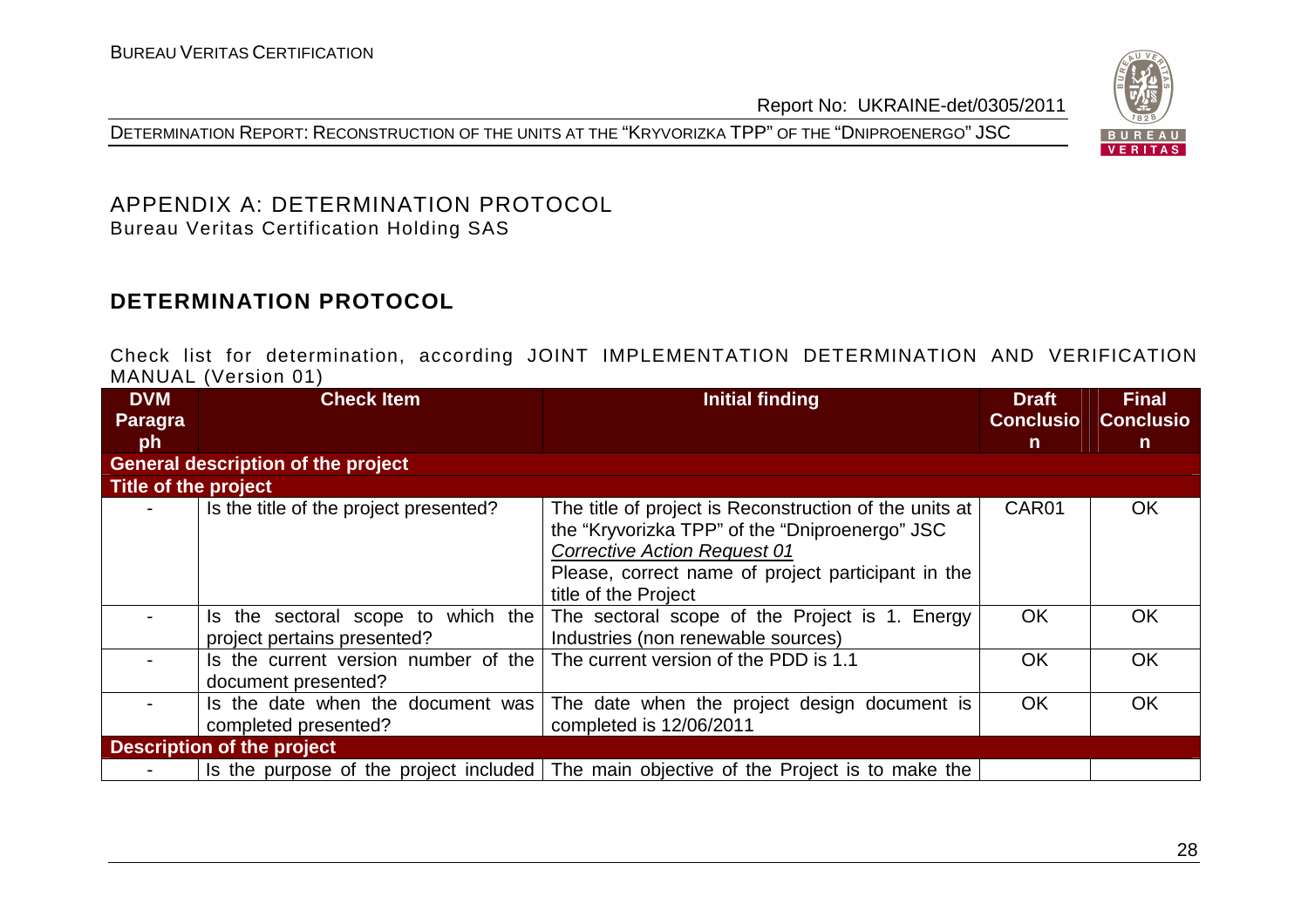DETERMINATION REPORT: RECONSTRUCTION OF THE UNITS AT THE "KRYVORIZKA TPP" OF THE "DNIPROENERGO" JSC



#### APPENDIX A: DETERMINATION PROTOCOL Bureau Veritas Certification Holding SAS

# **DETERMINATION PROTOCOL**

Check list for determination, according JOINT IMPLEMENTATION DETERMINATION AND VERIFICATION MANUAL (Version 01)

| <b>DVM</b>           | <b>Check Item</b>                                                    | <b>Initial finding</b>                                                                                                                                                                                                        | <b>Draft</b>     | <b>Final</b>     |
|----------------------|----------------------------------------------------------------------|-------------------------------------------------------------------------------------------------------------------------------------------------------------------------------------------------------------------------------|------------------|------------------|
| Paragra              |                                                                      |                                                                                                                                                                                                                               | <b>Conclusio</b> | <b>Conclusio</b> |
| ph                   |                                                                      |                                                                                                                                                                                                                               | $\mathsf{n}$     | $\mathsf{n}$     |
|                      | <b>General description of the project</b>                            |                                                                                                                                                                                                                               |                  |                  |
| Title of the project |                                                                      |                                                                                                                                                                                                                               |                  |                  |
|                      | Is the title of the project presented?                               | The title of project is Reconstruction of the units at<br>the "Kryvorizka TPP" of the "Dniproenergo" JSC<br><b>Corrective Action Request 01</b><br>Please, correct name of project participant in the<br>title of the Project | CAR01            | <b>OK</b>        |
|                      | which the<br>Is the sectoral scope to<br>project pertains presented? | The sectoral scope of the Project is 1. Energy<br>Industries (non renewable sources)                                                                                                                                          | <b>OK</b>        | <b>OK</b>        |
|                      | Is the current version number of the<br>document presented?          | The current version of the PDD is 1.1                                                                                                                                                                                         | <b>OK</b>        | <b>OK</b>        |
|                      | Is the date when the document was<br>completed presented?            | The date when the project design document is<br>completed is 12/06/2011                                                                                                                                                       | <b>OK</b>        | <b>OK</b>        |
|                      | <b>Description of the project</b>                                    |                                                                                                                                                                                                                               |                  |                  |
|                      |                                                                      | Is the purpose of the project included The main objective of the Project is to make the                                                                                                                                       |                  |                  |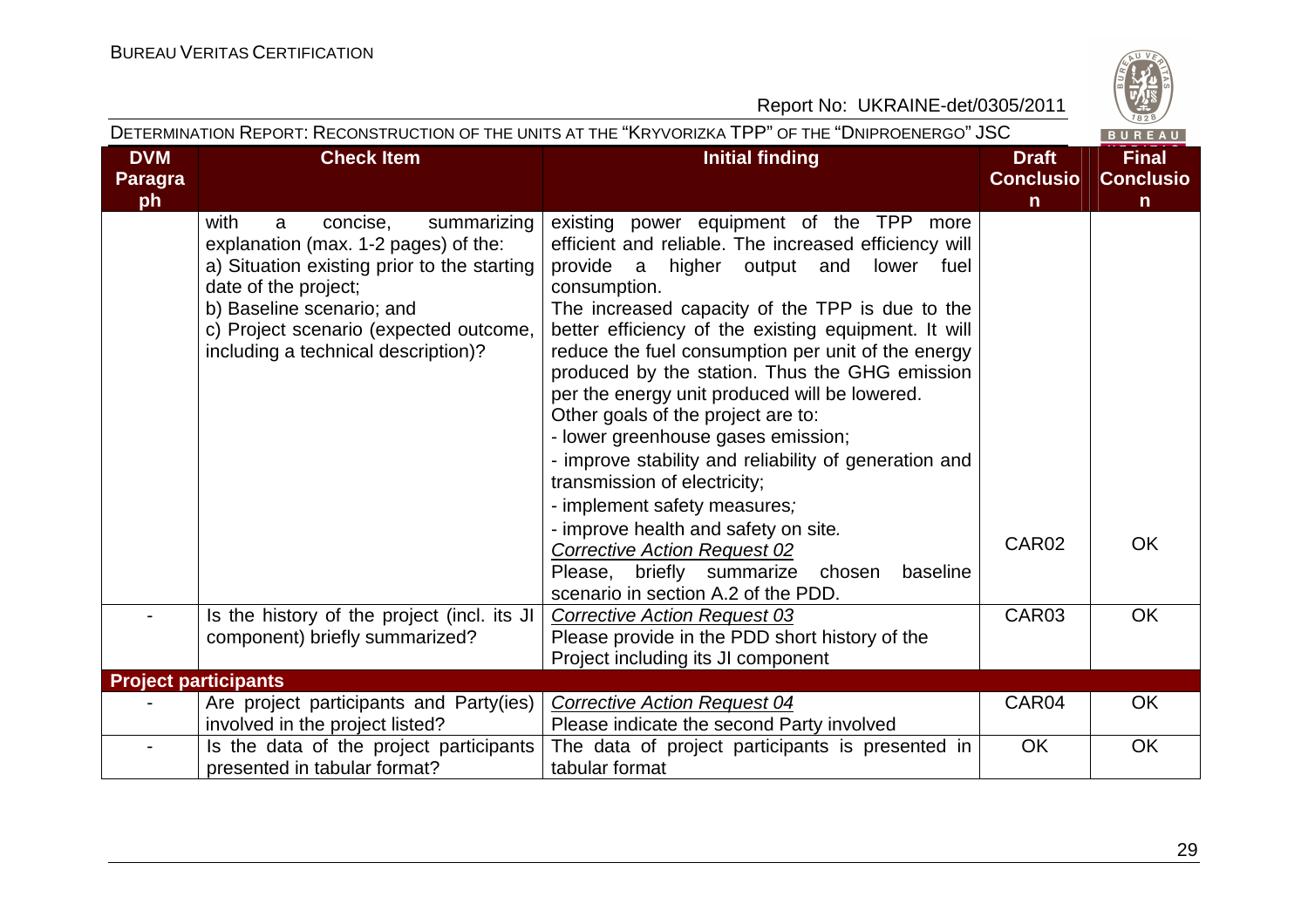#### Report No: UKRAINE-det/0305/2011 JSC

| DETERMINATION REPORT: RECONSTRUCTION OF THE UNITS AT THE "KRYVORIZKA TPP" OF THE "DNIPROENERGO" JSC |                                                                                                                                                                                                                                                                   |                                                                                                                                                                                                                                                                                                                                                                                                                                                                                                                                                                                                                                                                                                                                                                           |                                  |                                  |
|-----------------------------------------------------------------------------------------------------|-------------------------------------------------------------------------------------------------------------------------------------------------------------------------------------------------------------------------------------------------------------------|---------------------------------------------------------------------------------------------------------------------------------------------------------------------------------------------------------------------------------------------------------------------------------------------------------------------------------------------------------------------------------------------------------------------------------------------------------------------------------------------------------------------------------------------------------------------------------------------------------------------------------------------------------------------------------------------------------------------------------------------------------------------------|----------------------------------|----------------------------------|
| <b>DVM</b><br><b>Paragra</b>                                                                        | <b>Check Item</b>                                                                                                                                                                                                                                                 | <b>Initial finding</b>                                                                                                                                                                                                                                                                                                                                                                                                                                                                                                                                                                                                                                                                                                                                                    | <b>Draft</b><br><b>Conclusio</b> | <b>Final</b><br><b>Conclusio</b> |
| ph                                                                                                  |                                                                                                                                                                                                                                                                   |                                                                                                                                                                                                                                                                                                                                                                                                                                                                                                                                                                                                                                                                                                                                                                           | $\mathsf{n}$                     | $\mathsf{n}$                     |
|                                                                                                     | with<br>concise,<br>summarizing<br>a<br>explanation (max. 1-2 pages) of the:<br>a) Situation existing prior to the starting<br>date of the project;<br>b) Baseline scenario; and<br>c) Project scenario (expected outcome,<br>including a technical description)? | existing power equipment of the TPP more<br>efficient and reliable. The increased efficiency will<br>provide a higher output and<br>lower fuel<br>consumption.<br>The increased capacity of the TPP is due to the<br>better efficiency of the existing equipment. It will<br>reduce the fuel consumption per unit of the energy<br>produced by the station. Thus the GHG emission<br>per the energy unit produced will be lowered.<br>Other goals of the project are to:<br>- lower greenhouse gases emission;<br>- improve stability and reliability of generation and<br>transmission of electricity;<br>- implement safety measures;<br>- improve health and safety on site.<br><b>Corrective Action Request 02</b><br>Please, briefly summarize<br>baseline<br>chosen | CAR02                            | <b>OK</b>                        |
|                                                                                                     |                                                                                                                                                                                                                                                                   | scenario in section A.2 of the PDD.                                                                                                                                                                                                                                                                                                                                                                                                                                                                                                                                                                                                                                                                                                                                       |                                  |                                  |
|                                                                                                     | Is the history of the project (incl. its JI<br>component) briefly summarized?                                                                                                                                                                                     | <b>Corrective Action Request 03</b><br>Please provide in the PDD short history of the<br>Project including its JI component                                                                                                                                                                                                                                                                                                                                                                                                                                                                                                                                                                                                                                               | CAR03                            | OK                               |
| <b>Project participants</b>                                                                         |                                                                                                                                                                                                                                                                   |                                                                                                                                                                                                                                                                                                                                                                                                                                                                                                                                                                                                                                                                                                                                                                           |                                  |                                  |
|                                                                                                     | Are project participants and Party(ies)<br>involved in the project listed?                                                                                                                                                                                        | <b>Corrective Action Request 04</b><br>Please indicate the second Party involved                                                                                                                                                                                                                                                                                                                                                                                                                                                                                                                                                                                                                                                                                          | CAR04                            | OK                               |
|                                                                                                     | Is the data of the project participants<br>presented in tabular format?                                                                                                                                                                                           | The data of project participants is presented in<br>tabular format                                                                                                                                                                                                                                                                                                                                                                                                                                                                                                                                                                                                                                                                                                        | OK                               | OK                               |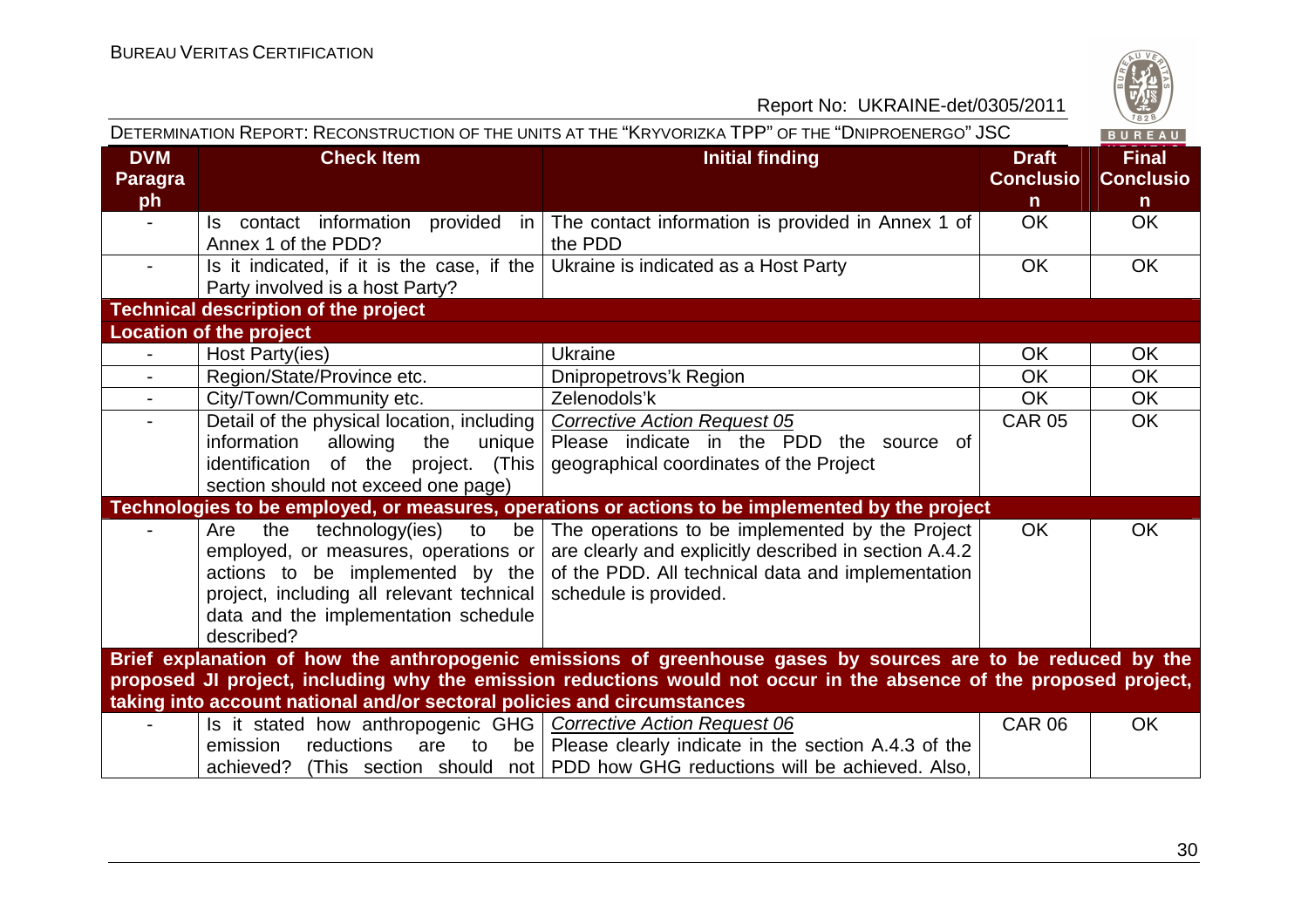

|                                                                                                                                                                                                                                                                                                               | DETERMINATION REPORT: RECONSTRUCTION OF THE UNITS AT THE "KRYVORIZKA TPP" OF THE "DNIPROENERGO" JSC<br>BUREAU                                                                                                            |                                                                                                                                                                                        |                                                  |                                                  |  |
|---------------------------------------------------------------------------------------------------------------------------------------------------------------------------------------------------------------------------------------------------------------------------------------------------------------|--------------------------------------------------------------------------------------------------------------------------------------------------------------------------------------------------------------------------|----------------------------------------------------------------------------------------------------------------------------------------------------------------------------------------|--------------------------------------------------|--------------------------------------------------|--|
| <b>DVM</b><br><b>Paragra</b><br>ph                                                                                                                                                                                                                                                                            | <b>Check Item</b>                                                                                                                                                                                                        | <b>Initial finding</b>                                                                                                                                                                 | <b>Draft</b><br><b>Conclusio</b><br>$\mathsf{n}$ | <b>Final</b><br><b>Conclusio</b><br>$\mathsf{n}$ |  |
|                                                                                                                                                                                                                                                                                                               | contact information provided in<br>ls.<br>Annex 1 of the PDD?                                                                                                                                                            | The contact information is provided in Annex 1 of<br>the PDD                                                                                                                           | <b>OK</b>                                        | <b>OK</b>                                        |  |
|                                                                                                                                                                                                                                                                                                               | Is it indicated, if it is the case, if the<br>Party involved is a host Party?                                                                                                                                            | Ukraine is indicated as a Host Party                                                                                                                                                   | <b>OK</b>                                        | <b>OK</b>                                        |  |
|                                                                                                                                                                                                                                                                                                               | <b>Technical description of the project</b>                                                                                                                                                                              |                                                                                                                                                                                        |                                                  |                                                  |  |
|                                                                                                                                                                                                                                                                                                               | <b>Location of the project</b>                                                                                                                                                                                           |                                                                                                                                                                                        |                                                  |                                                  |  |
|                                                                                                                                                                                                                                                                                                               | Host Party(ies)                                                                                                                                                                                                          | <b>Ukraine</b>                                                                                                                                                                         | <b>OK</b>                                        | OK                                               |  |
|                                                                                                                                                                                                                                                                                                               | Region/State/Province etc.                                                                                                                                                                                               | Dnipropetrovs'k Region                                                                                                                                                                 | <b>OK</b>                                        | <b>OK</b>                                        |  |
|                                                                                                                                                                                                                                                                                                               | City/Town/Community etc.                                                                                                                                                                                                 | Zelenodols'k                                                                                                                                                                           | <b>OK</b>                                        | <b>OK</b>                                        |  |
| $\sim$                                                                                                                                                                                                                                                                                                        | Detail of the physical location, including  <br>information<br>allowing<br>the<br>unique<br>identification of the project. (This<br>section should not exceed one page)                                                  | <b>Corrective Action Request 05</b><br>Please indicate in the PDD the source of<br>geographical coordinates of the Project                                                             | <b>CAR 05</b>                                    | <b>OK</b>                                        |  |
|                                                                                                                                                                                                                                                                                                               |                                                                                                                                                                                                                          | Technologies to be employed, or measures, operations or actions to be implemented by the project                                                                                       |                                                  |                                                  |  |
|                                                                                                                                                                                                                                                                                                               | technology(ies)<br>be<br>the<br>to<br>Are<br>employed, or measures, operations or<br>actions to be implemented by the<br>project, including all relevant technical<br>data and the implementation schedule<br>described? | The operations to be implemented by the Project<br>are clearly and explicitly described in section A.4.2<br>of the PDD. All technical data and implementation<br>schedule is provided. | <b>OK</b>                                        | <b>OK</b>                                        |  |
| Brief explanation of how the anthropogenic emissions of greenhouse gases by sources are to be reduced by the<br>proposed JI project, including why the emission reductions would not occur in the absence of the proposed project,<br>taking into account national and/or sectoral policies and circumstances |                                                                                                                                                                                                                          |                                                                                                                                                                                        |                                                  |                                                  |  |
|                                                                                                                                                                                                                                                                                                               | Is it stated how anthropogenic GHG   Corrective Action Request 06<br>reductions<br>are<br>emission<br>to<br>achieved?                                                                                                    | be   Please clearly indicate in the section A.4.3 of the<br>(This section should not   PDD how GHG reductions will be achieved. Also,                                                  | <b>CAR 06</b>                                    | OK                                               |  |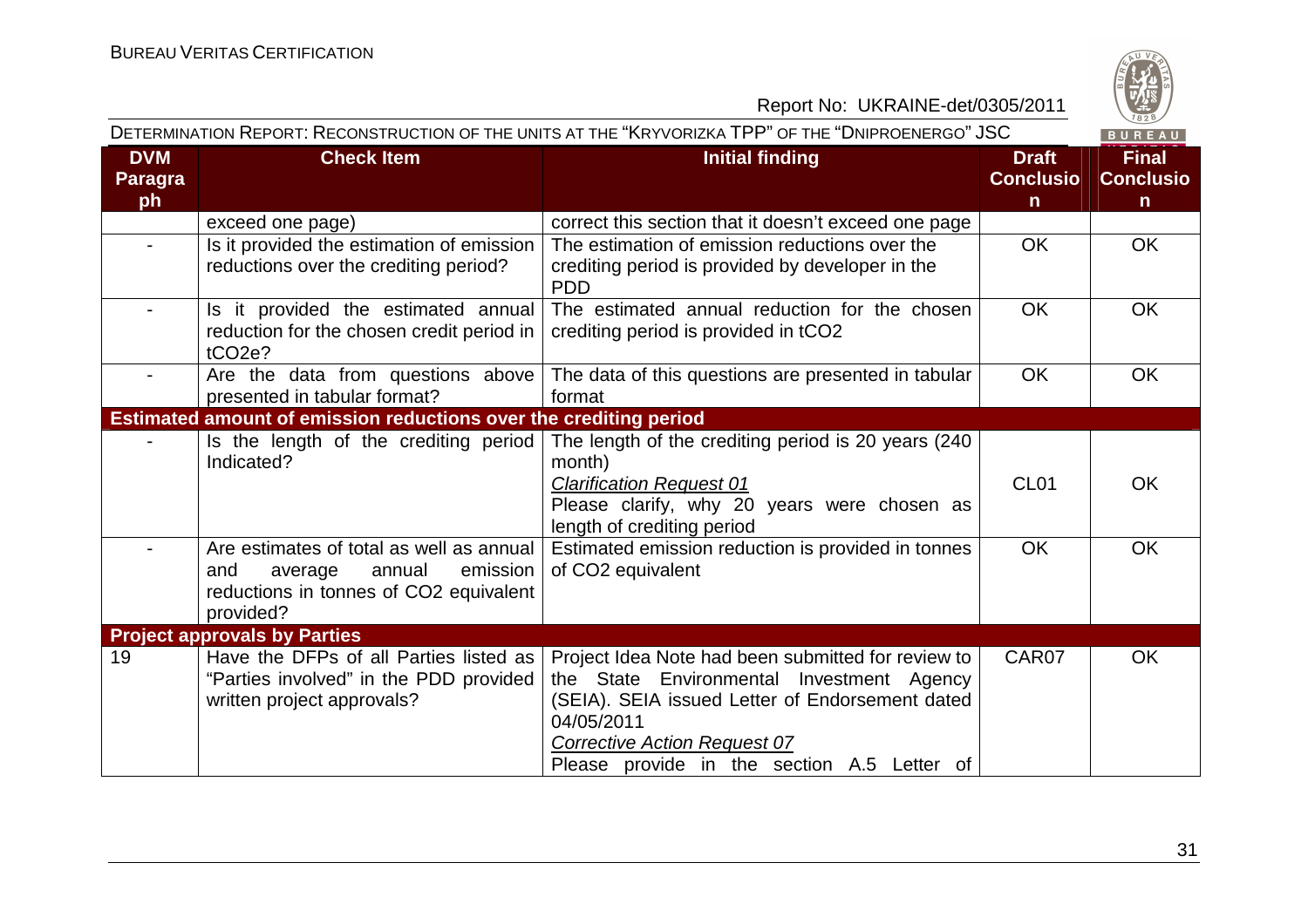

|                                    | DETERMINATION REPORT: RECONSTRUCTION OF THE UNITS AT THE "KRYVORIZKA TPP" OF THE "DNIPROENERGO" JSC<br>BUREAU                           |                                                                                                                                                                                                                                                        |                                                  |                                                  |  |
|------------------------------------|-----------------------------------------------------------------------------------------------------------------------------------------|--------------------------------------------------------------------------------------------------------------------------------------------------------------------------------------------------------------------------------------------------------|--------------------------------------------------|--------------------------------------------------|--|
| <b>DVM</b><br><b>Paragra</b><br>ph | <b>Check Item</b>                                                                                                                       | <b>Initial finding</b>                                                                                                                                                                                                                                 | <b>Draft</b><br><b>Conclusio</b><br>$\mathsf{n}$ | <b>Final</b><br><b>Conclusio</b><br>$\mathsf{n}$ |  |
|                                    | exceed one page)                                                                                                                        | correct this section that it doesn't exceed one page                                                                                                                                                                                                   |                                                  |                                                  |  |
| $\blacksquare$                     | Is it provided the estimation of emission<br>reductions over the crediting period?                                                      | The estimation of emission reductions over the<br>crediting period is provided by developer in the<br><b>PDD</b>                                                                                                                                       | <b>OK</b>                                        | <b>OK</b>                                        |  |
|                                    | Is it provided the estimated annual<br>reduction for the chosen credit period in  <br>tCO <sub>2e</sub> ?                               | The estimated annual reduction for the chosen<br>crediting period is provided in tCO2                                                                                                                                                                  | <b>OK</b>                                        | OK                                               |  |
| $\blacksquare$                     | Are the data from questions above<br>presented in tabular format?                                                                       | The data of this questions are presented in tabular<br>format                                                                                                                                                                                          | <b>OK</b>                                        | OK                                               |  |
|                                    | Estimated amount of emission reductions over the crediting period                                                                       |                                                                                                                                                                                                                                                        |                                                  |                                                  |  |
|                                    | Is the length of the crediting period<br>Indicated?                                                                                     | The length of the crediting period is 20 years (240<br>month)<br><b>Clarification Request 01</b><br>Please clarify, why 20 years were chosen as<br>length of crediting period                                                                          | CL <sub>01</sub>                                 | <b>OK</b>                                        |  |
|                                    | Are estimates of total as well as annual<br>emission<br>and<br>average<br>annual<br>reductions in tonnes of CO2 equivalent<br>provided? | Estimated emission reduction is provided in tonnes<br>of CO2 equivalent                                                                                                                                                                                | <b>OK</b>                                        | OK                                               |  |
|                                    | <b>Project approvals by Parties</b>                                                                                                     |                                                                                                                                                                                                                                                        |                                                  |                                                  |  |
| 19                                 | Have the DFPs of all Parties listed as<br>"Parties involved" in the PDD provided<br>written project approvals?                          | Project Idea Note had been submitted for review to<br>the State Environmental Investment Agency<br>(SEIA). SEIA issued Letter of Endorsement dated<br>04/05/2011<br><b>Corrective Action Request 07</b><br>Please provide in the section A.5 Letter of | CAR07                                            | <b>OK</b>                                        |  |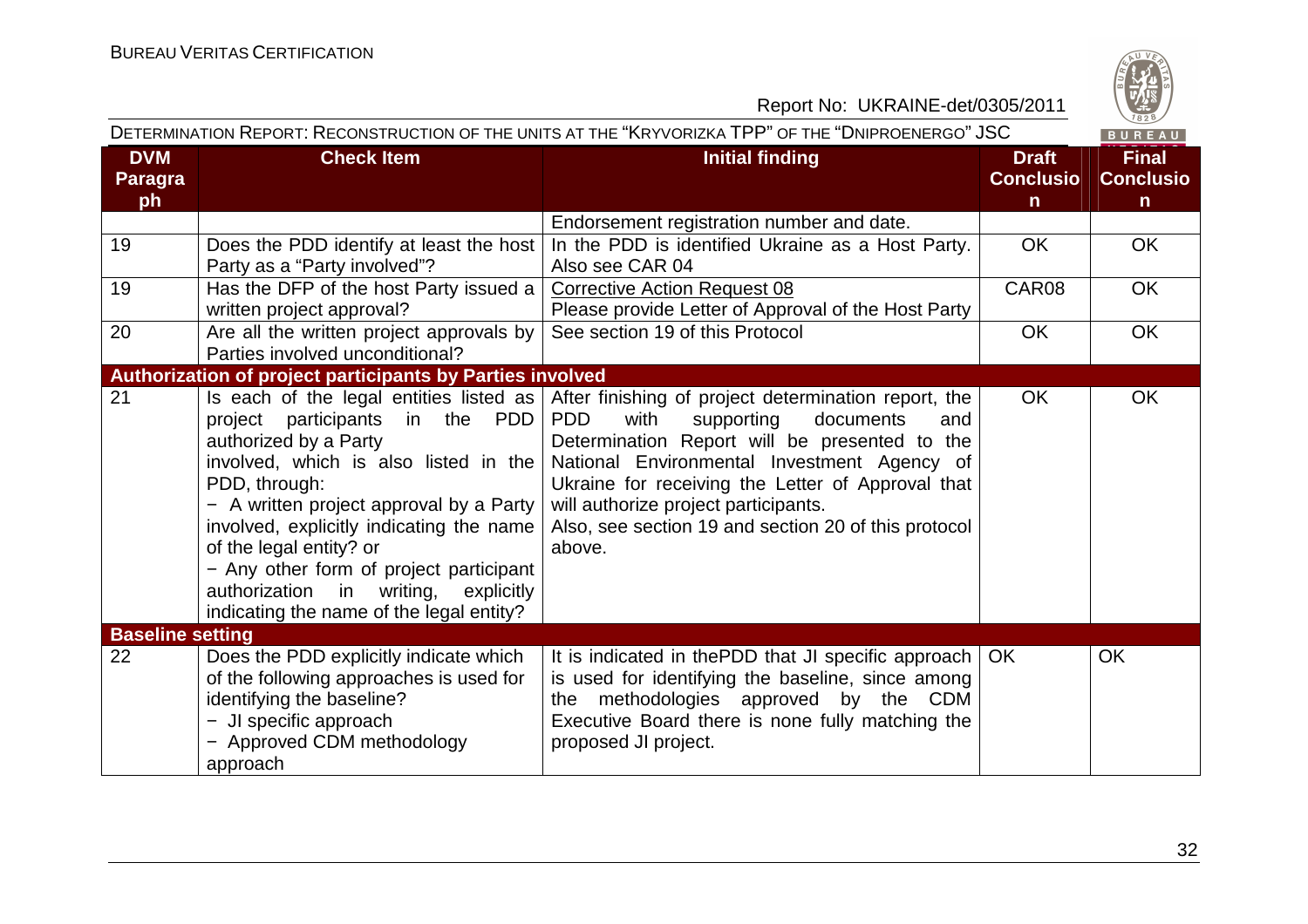

| DETERMINATION REPORT: RECONSTRUCTION OF THE UNITS AT THE "KRYVORIZKA TPP" OF THE "DNIPROENERGO" JSC<br>BUREAU |                                                                                                                                                                                                                                                                                                                                                                                                                          |                                                                                                                                                                                                                                                                                                                                                                             |                                                  |                                                  |
|---------------------------------------------------------------------------------------------------------------|--------------------------------------------------------------------------------------------------------------------------------------------------------------------------------------------------------------------------------------------------------------------------------------------------------------------------------------------------------------------------------------------------------------------------|-----------------------------------------------------------------------------------------------------------------------------------------------------------------------------------------------------------------------------------------------------------------------------------------------------------------------------------------------------------------------------|--------------------------------------------------|--------------------------------------------------|
| <b>DVM</b><br><b>Paragra</b><br>ph                                                                            | <b>Check Item</b>                                                                                                                                                                                                                                                                                                                                                                                                        | <b>Initial finding</b>                                                                                                                                                                                                                                                                                                                                                      | <b>Draft</b><br><b>Conclusio</b><br>$\mathsf{n}$ | <b>Final</b><br><b>Conclusio</b><br>$\mathsf{n}$ |
|                                                                                                               |                                                                                                                                                                                                                                                                                                                                                                                                                          | Endorsement registration number and date.                                                                                                                                                                                                                                                                                                                                   |                                                  |                                                  |
| 19                                                                                                            | Does the PDD identify at least the host<br>Party as a "Party involved"?                                                                                                                                                                                                                                                                                                                                                  | In the PDD is identified Ukraine as a Host Party.<br>Also see CAR 04                                                                                                                                                                                                                                                                                                        | <b>OK</b>                                        | <b>OK</b>                                        |
| 19                                                                                                            | Has the DFP of the host Party issued a<br>written project approval?                                                                                                                                                                                                                                                                                                                                                      | <b>Corrective Action Request 08</b><br>Please provide Letter of Approval of the Host Party                                                                                                                                                                                                                                                                                  | CAR08                                            | <b>OK</b>                                        |
| 20                                                                                                            | Are all the written project approvals by<br>Parties involved unconditional?                                                                                                                                                                                                                                                                                                                                              | See section 19 of this Protocol                                                                                                                                                                                                                                                                                                                                             | <b>OK</b>                                        | OK                                               |
|                                                                                                               | <b>Authorization of project participants by Parties involved</b>                                                                                                                                                                                                                                                                                                                                                         |                                                                                                                                                                                                                                                                                                                                                                             |                                                  |                                                  |
| 21                                                                                                            | Is each of the legal entities listed as $ $<br>project participants in the PDD<br>authorized by a Party<br>involved, which is also listed in the  <br>PDD, through:<br>- A written project approval by a Party $ $<br>involved, explicitly indicating the name<br>of the legal entity? or<br>- Any other form of project participant<br>authorization in writing, explicitly<br>indicating the name of the legal entity? | After finishing of project determination report, the<br><b>PDD</b><br>with<br>supporting<br>documents<br>and<br>Determination Report will be presented to the<br>National Environmental Investment Agency of<br>Ukraine for receiving the Letter of Approval that<br>will authorize project participants.<br>Also, see section 19 and section 20 of this protocol<br>above. | <b>OK</b>                                        | <b>OK</b>                                        |
| <b>Baseline setting</b>                                                                                       |                                                                                                                                                                                                                                                                                                                                                                                                                          |                                                                                                                                                                                                                                                                                                                                                                             |                                                  |                                                  |
| 22                                                                                                            | Does the PDD explicitly indicate which<br>of the following approaches is used for<br>identifying the baseline?<br>- JI specific approach<br>- Approved CDM methodology<br>approach                                                                                                                                                                                                                                       | It is indicated in the PDD that JI specific approach   OK<br>is used for identifying the baseline, since among<br>the methodologies approved by the CDM<br>Executive Board there is none fully matching the<br>proposed JI project.                                                                                                                                         |                                                  | <b>OK</b>                                        |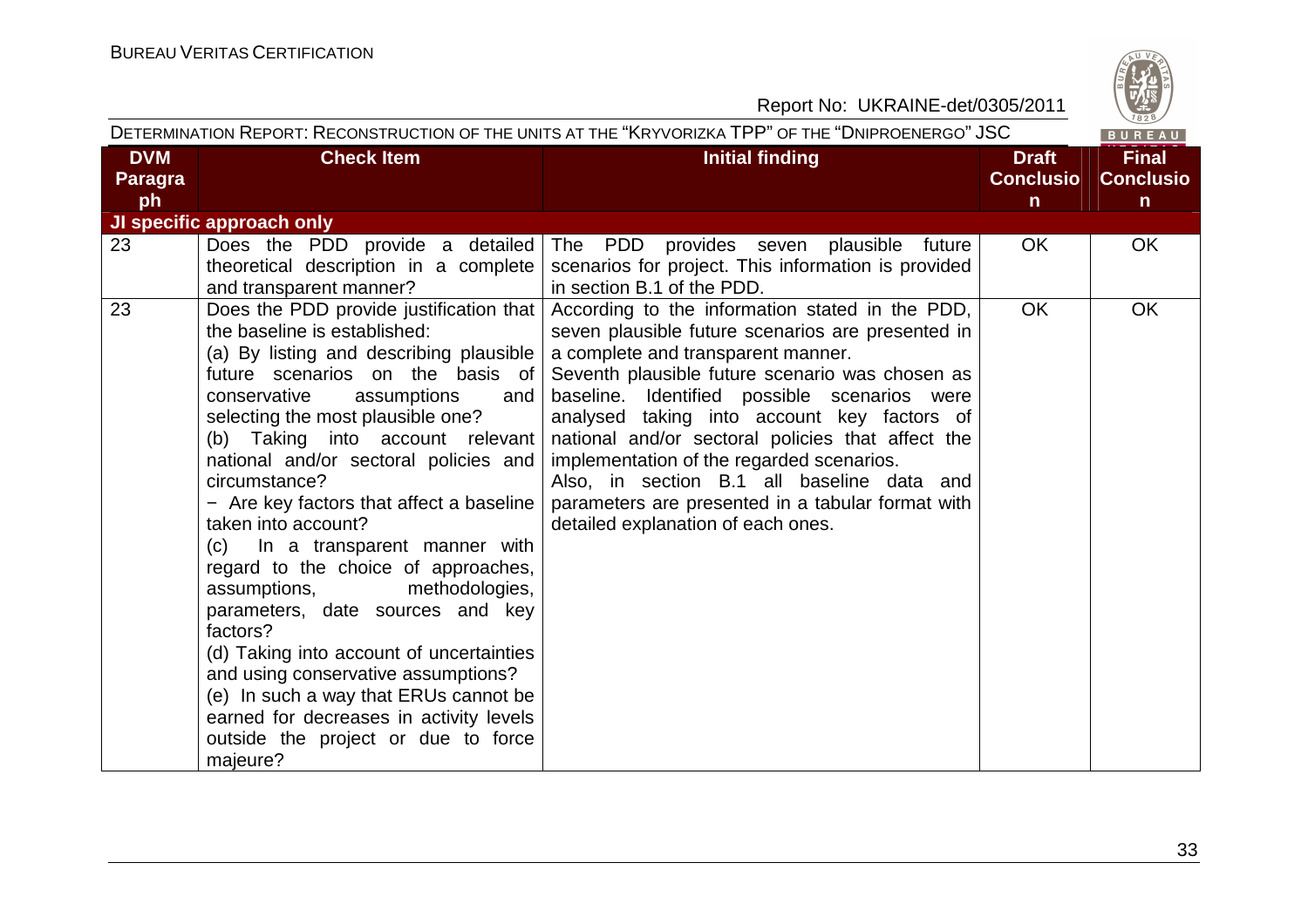

| DETERMINATION REPORT: RECONSTRUCTION OF THE UNITS AT THE "KRYVORIZKA TPP" OF THE "DNIPROENERGO" JSC |                                                                                                                                                                                                                                                                                                                                                                                                                                                                                                                                                                                                                                                                                                                                                                                             |                                                                                                                                                                                                                                                                                                                                                                                                                                                                                                                                         |                                                  | BUREAU                                           |
|-----------------------------------------------------------------------------------------------------|---------------------------------------------------------------------------------------------------------------------------------------------------------------------------------------------------------------------------------------------------------------------------------------------------------------------------------------------------------------------------------------------------------------------------------------------------------------------------------------------------------------------------------------------------------------------------------------------------------------------------------------------------------------------------------------------------------------------------------------------------------------------------------------------|-----------------------------------------------------------------------------------------------------------------------------------------------------------------------------------------------------------------------------------------------------------------------------------------------------------------------------------------------------------------------------------------------------------------------------------------------------------------------------------------------------------------------------------------|--------------------------------------------------|--------------------------------------------------|
| <b>DVM</b><br><b>Paragra</b><br>ph                                                                  | <b>Check Item</b>                                                                                                                                                                                                                                                                                                                                                                                                                                                                                                                                                                                                                                                                                                                                                                           | <b>Initial finding</b>                                                                                                                                                                                                                                                                                                                                                                                                                                                                                                                  | <b>Draft</b><br><b>Conclusio</b><br>$\mathsf{n}$ | <b>Final</b><br><b>Conclusio</b><br>$\mathsf{n}$ |
|                                                                                                     | JI specific approach only                                                                                                                                                                                                                                                                                                                                                                                                                                                                                                                                                                                                                                                                                                                                                                   |                                                                                                                                                                                                                                                                                                                                                                                                                                                                                                                                         |                                                  |                                                  |
| 23                                                                                                  | Does the PDD provide a detailed<br>theoretical description in a complete<br>and transparent manner?                                                                                                                                                                                                                                                                                                                                                                                                                                                                                                                                                                                                                                                                                         | The PDD provides seven plausible future<br>scenarios for project. This information is provided<br>in section B.1 of the PDD.                                                                                                                                                                                                                                                                                                                                                                                                            | <b>OK</b>                                        | <b>OK</b>                                        |
| 23                                                                                                  | Does the PDD provide justification that  <br>the baseline is established:<br>(a) By listing and describing plausible<br>future scenarios on the basis of<br>conservative<br>assumptions<br>and<br>selecting the most plausible one?<br>(b) Taking into account relevant<br>national and/or sectoral policies and<br>circumstance?<br>- Are key factors that affect a baseline<br>taken into account?<br>(c) In a transparent manner with<br>regard to the choice of approaches,<br>methodologies,<br>assumptions,<br>parameters, date sources and key<br>factors?<br>(d) Taking into account of uncertainties<br>and using conservative assumptions?<br>(e) In such a way that ERUs cannot be<br>earned for decreases in activity levels<br>outside the project or due to force<br>majeure? | According to the information stated in the PDD,<br>seven plausible future scenarios are presented in<br>a complete and transparent manner.<br>Seventh plausible future scenario was chosen as<br>baseline. Identified possible scenarios were<br>analysed taking into account key factors of<br>national and/or sectoral policies that affect the<br>implementation of the regarded scenarios.<br>Also, in section B.1 all baseline data and<br>parameters are presented in a tabular format with<br>detailed explanation of each ones. | <b>OK</b>                                        | OK                                               |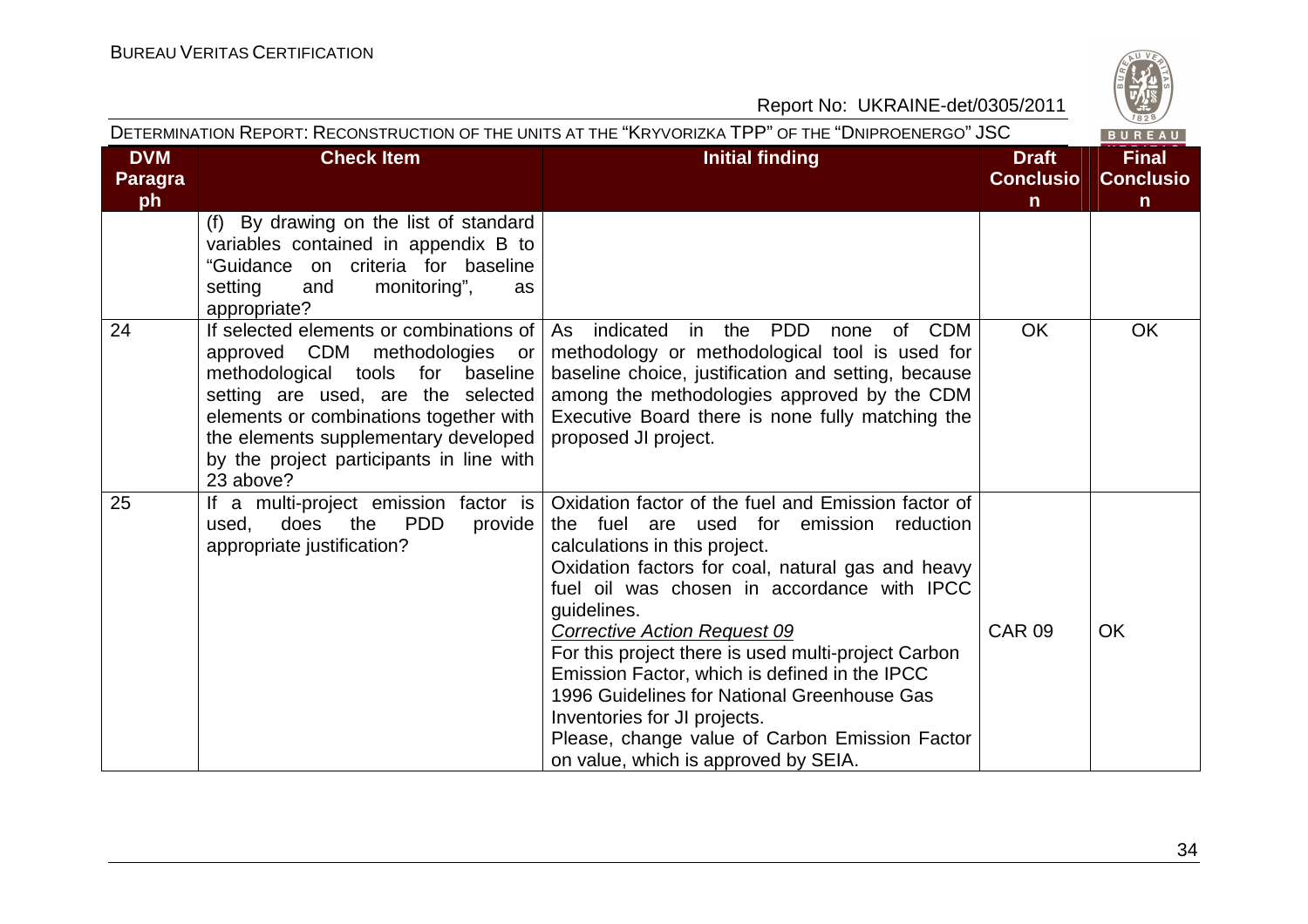

|                             | DETERMINATION REPORT: RECONSTRUCTION OF THE UNITS AT THE "KRYVORIZKA TPP" OF THE "DNIPROENERGO" JSC                     |                 |                                       |                                  |
|-----------------------------|-------------------------------------------------------------------------------------------------------------------------|-----------------|---------------------------------------|----------------------------------|
| <b>DVM</b><br>Paragra<br>ph | <b>Check Item</b>                                                                                                       | Initial finding | <b>Draft</b><br><b>Conclusio</b><br>n | <b>Final</b><br><b>Conclusio</b> |
|                             | By drawing on the list of standard<br>(f)<br>variables contained in appendix B to<br>"Guidance on criteria for baseline |                 |                                       |                                  |

|    | setting<br>monitoring",<br>and<br><b>as</b><br>appropriate?                                                                                                                                                                                                                                    |                                                                                                                                                                                                                                                                                                                                                                                                                                                                                                                                                                             |               |           |
|----|------------------------------------------------------------------------------------------------------------------------------------------------------------------------------------------------------------------------------------------------------------------------------------------------|-----------------------------------------------------------------------------------------------------------------------------------------------------------------------------------------------------------------------------------------------------------------------------------------------------------------------------------------------------------------------------------------------------------------------------------------------------------------------------------------------------------------------------------------------------------------------------|---------------|-----------|
| 24 | If selected elements or combinations of<br>approved CDM methodologies or<br>methodological tools for baseline<br>setting are used, are the selected<br>elements or combinations together with<br>the elements supplementary developed<br>by the project participants in line with<br>23 above? | indicated<br><b>PDD</b><br><b>CDM</b><br>As<br>in the<br>of<br>none<br>methodology or methodological tool is used for<br>baseline choice, justification and setting, because<br>among the methodologies approved by the CDM<br>Executive Board there is none fully matching the<br>proposed JI project.                                                                                                                                                                                                                                                                     | <b>OK</b>     | <b>OK</b> |
| 25 | If a multi-project emission<br>factor is<br><b>PDD</b><br>does the<br>provide<br>used,<br>appropriate justification?                                                                                                                                                                           | Oxidation factor of the fuel and Emission factor of<br>the fuel are used for emission reduction<br>calculations in this project.<br>Oxidation factors for coal, natural gas and heavy<br>fuel oil was chosen in accordance with IPCC<br>guidelines.<br><b>Corrective Action Request 09</b><br>For this project there is used multi-project Carbon<br>Emission Factor, which is defined in the IPCC<br>1996 Guidelines for National Greenhouse Gas<br>Inventories for JI projects.<br>Please, change value of Carbon Emission Factor<br>on value, which is approved by SEIA. | <b>CAR 09</b> | <b>OK</b> |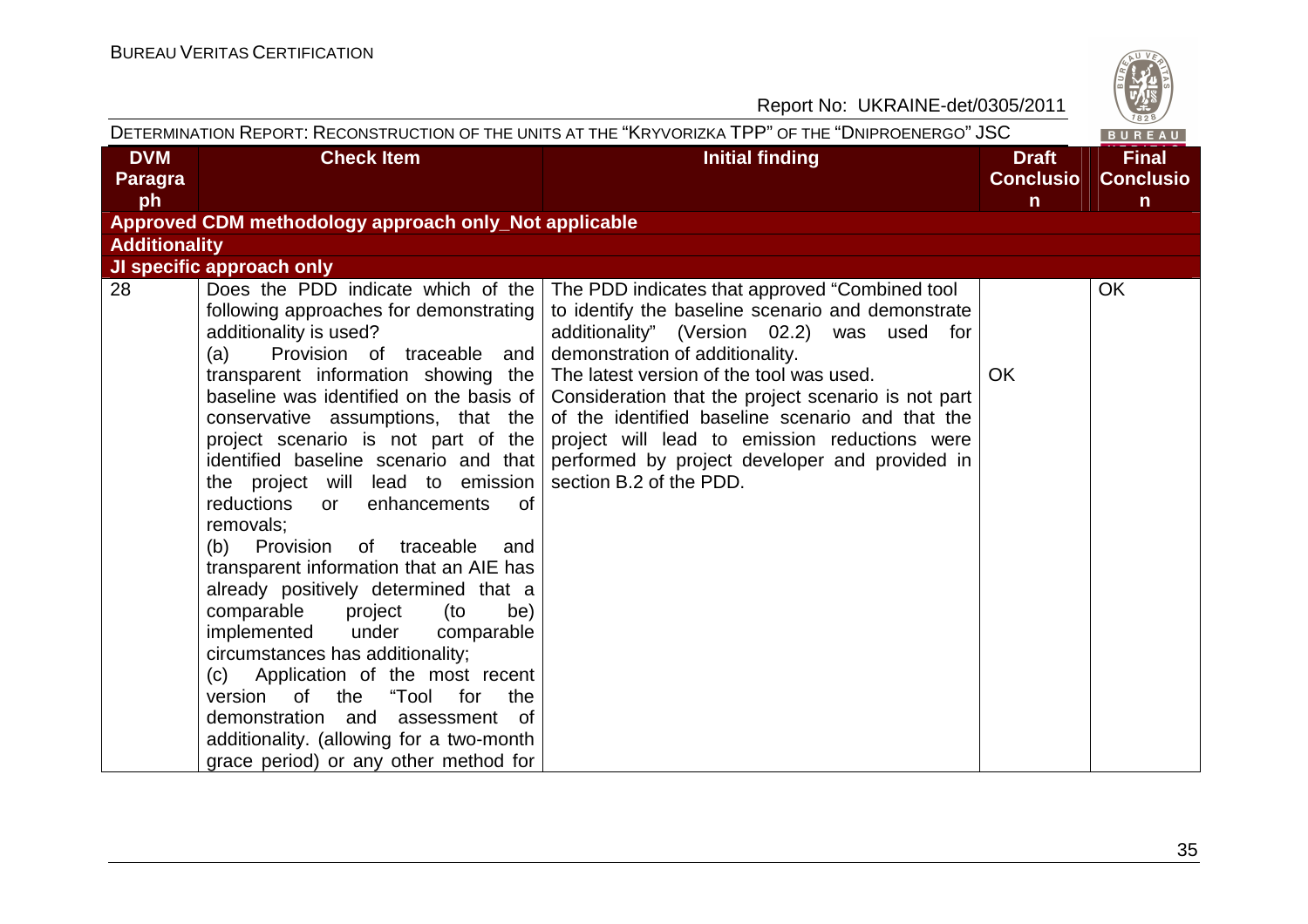

| DETERMINATION REPORT: RECONSTRUCTION OF THE UNITS AT THE "KRYVORIZKA TPP" OF THE "DNIPROENERGO" JSC<br>BUREAU |                                                                                                                                                                                                                                                                                                                                                                                                                                                                                                                                                                                                                                                                                                                                                                                                                                                                                                               |                                                                                                                                                                                                                                                                                                                                                                                                                                                                            |                                                  |                                                  |
|---------------------------------------------------------------------------------------------------------------|---------------------------------------------------------------------------------------------------------------------------------------------------------------------------------------------------------------------------------------------------------------------------------------------------------------------------------------------------------------------------------------------------------------------------------------------------------------------------------------------------------------------------------------------------------------------------------------------------------------------------------------------------------------------------------------------------------------------------------------------------------------------------------------------------------------------------------------------------------------------------------------------------------------|----------------------------------------------------------------------------------------------------------------------------------------------------------------------------------------------------------------------------------------------------------------------------------------------------------------------------------------------------------------------------------------------------------------------------------------------------------------------------|--------------------------------------------------|--------------------------------------------------|
| <b>DVM</b><br>Paragra<br>ph                                                                                   | <b>Check Item</b>                                                                                                                                                                                                                                                                                                                                                                                                                                                                                                                                                                                                                                                                                                                                                                                                                                                                                             | <b>Initial finding</b>                                                                                                                                                                                                                                                                                                                                                                                                                                                     | <b>Draft</b><br><b>Conclusio</b><br>$\mathsf{n}$ | <b>Final</b><br><b>Conclusio</b><br>$\mathsf{n}$ |
|                                                                                                               | Approved CDM methodology approach only_Not applicable                                                                                                                                                                                                                                                                                                                                                                                                                                                                                                                                                                                                                                                                                                                                                                                                                                                         |                                                                                                                                                                                                                                                                                                                                                                                                                                                                            |                                                  |                                                  |
| <b>Additionality</b>                                                                                          |                                                                                                                                                                                                                                                                                                                                                                                                                                                                                                                                                                                                                                                                                                                                                                                                                                                                                                               |                                                                                                                                                                                                                                                                                                                                                                                                                                                                            |                                                  |                                                  |
|                                                                                                               | JI specific approach only                                                                                                                                                                                                                                                                                                                                                                                                                                                                                                                                                                                                                                                                                                                                                                                                                                                                                     |                                                                                                                                                                                                                                                                                                                                                                                                                                                                            |                                                  |                                                  |
| 28                                                                                                            | Does the PDD indicate which of the<br>following approaches for demonstrating<br>additionality is used?<br>Provision of traceable and<br>(a)<br>transparent information showing the<br>baseline was identified on the basis of<br>conservative assumptions, that the<br>project scenario is not part of the<br>identified baseline scenario and that<br>the project will lead to emission<br>reductions<br>enhancements<br><sub>of</sub><br>or<br>removals;<br>(b) Provision<br>of traceable<br>and<br>transparent information that an AIE has<br>already positively determined that a<br>comparable<br>(to<br>project<br>be)<br>implemented<br>under<br>comparable<br>circumstances has additionality;<br>(c) Application of the most recent<br>version of the "Tool<br>for<br>the<br>demonstration and<br>assessment of<br>additionality. (allowing for a two-month<br>grace period) or any other method for | The PDD indicates that approved "Combined tool"<br>to identify the baseline scenario and demonstrate<br>additionality" (Version 02.2) was used for<br>demonstration of additionality.<br>The latest version of the tool was used.<br>Consideration that the project scenario is not part<br>of the identified baseline scenario and that the<br>project will lead to emission reductions were<br>performed by project developer and provided in<br>section B.2 of the PDD. | <b>OK</b>                                        | <b>OK</b>                                        |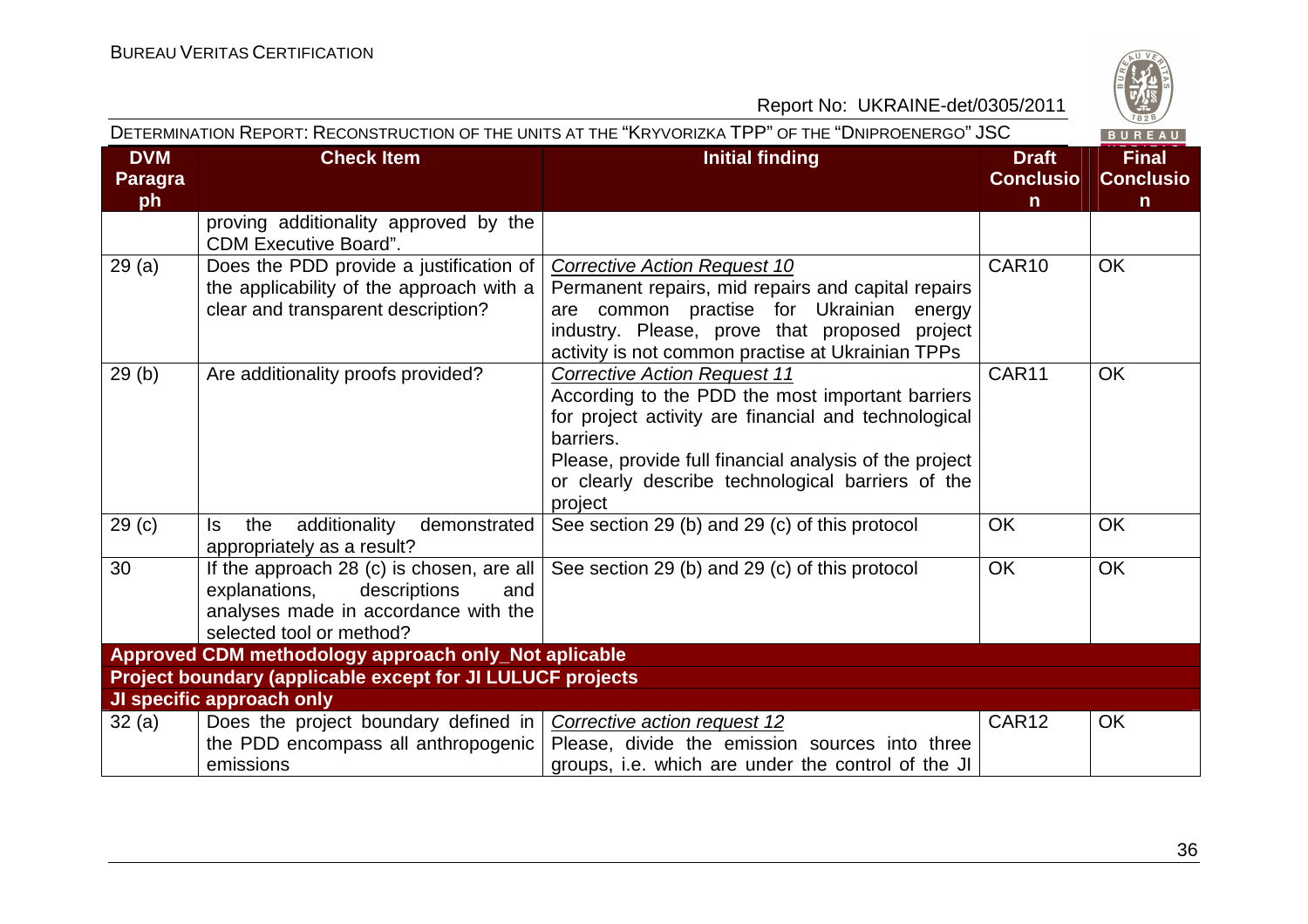

|                                    |                                                                                                                                                       | DETERMINATION REPORT: RECONSTRUCTION OF THE UNITS AT THE "KRYVORIZKA TPP" OF THE "DNIPROENERGO" JSC                                                                                                                                                                                    |                                                  | BUREAU                                |  |  |
|------------------------------------|-------------------------------------------------------------------------------------------------------------------------------------------------------|----------------------------------------------------------------------------------------------------------------------------------------------------------------------------------------------------------------------------------------------------------------------------------------|--------------------------------------------------|---------------------------------------|--|--|
| <b>DVM</b><br><b>Paragra</b><br>ph | <b>Check Item</b>                                                                                                                                     | <b>Initial finding</b>                                                                                                                                                                                                                                                                 | <b>Draft</b><br><b>Conclusio</b><br>$\mathsf{n}$ | <b>Final</b><br><b>Conclusio</b><br>n |  |  |
|                                    | proving additionality approved by the<br><b>CDM Executive Board".</b>                                                                                 |                                                                                                                                                                                                                                                                                        |                                                  |                                       |  |  |
| 29(a)                              | Does the PDD provide a justification of<br>the applicability of the approach with a<br>clear and transparent description?                             | <b>Corrective Action Request 10</b><br>Permanent repairs, mid repairs and capital repairs<br>are common practise for Ukrainian energy<br>industry. Please, prove that proposed project<br>activity is not common practise at Ukrainian TPPs                                            | CAR10                                            | <b>OK</b>                             |  |  |
| 29(b)                              | Are additionality proofs provided?                                                                                                                    | <b>Corrective Action Request 11</b><br>According to the PDD the most important barriers<br>for project activity are financial and technological<br>barriers.<br>Please, provide full financial analysis of the project<br>or clearly describe technological barriers of the<br>project | CAR11                                            | <b>OK</b>                             |  |  |
| 29 <sub>(c)</sub>                  | additionality<br>the<br>demonstrated<br>ls.<br>appropriately as a result?                                                                             | See section 29 (b) and 29 (c) of this protocol                                                                                                                                                                                                                                         | <b>OK</b>                                        | <b>OK</b>                             |  |  |
| 30                                 | If the approach 28 (c) is chosen, are all<br>explanations,<br>descriptions<br>and<br>analyses made in accordance with the<br>selected tool or method? | See section 29 (b) and 29 (c) of this protocol                                                                                                                                                                                                                                         | <b>OK</b>                                        | <b>OK</b>                             |  |  |
|                                    | Approved CDM methodology approach only_Not aplicable                                                                                                  |                                                                                                                                                                                                                                                                                        |                                                  |                                       |  |  |
|                                    | Project boundary (applicable except for JI LULUCF projects                                                                                            |                                                                                                                                                                                                                                                                                        |                                                  |                                       |  |  |
|                                    | JI specific approach only                                                                                                                             |                                                                                                                                                                                                                                                                                        |                                                  |                                       |  |  |
| 32(a)                              | Does the project boundary defined in<br>the PDD encompass all anthropogenic<br>emissions                                                              | Corrective action request 12<br>Please, divide the emission sources into three<br>groups, i.e. which are under the control of the JI                                                                                                                                                   | CAR12                                            | <b>OK</b>                             |  |  |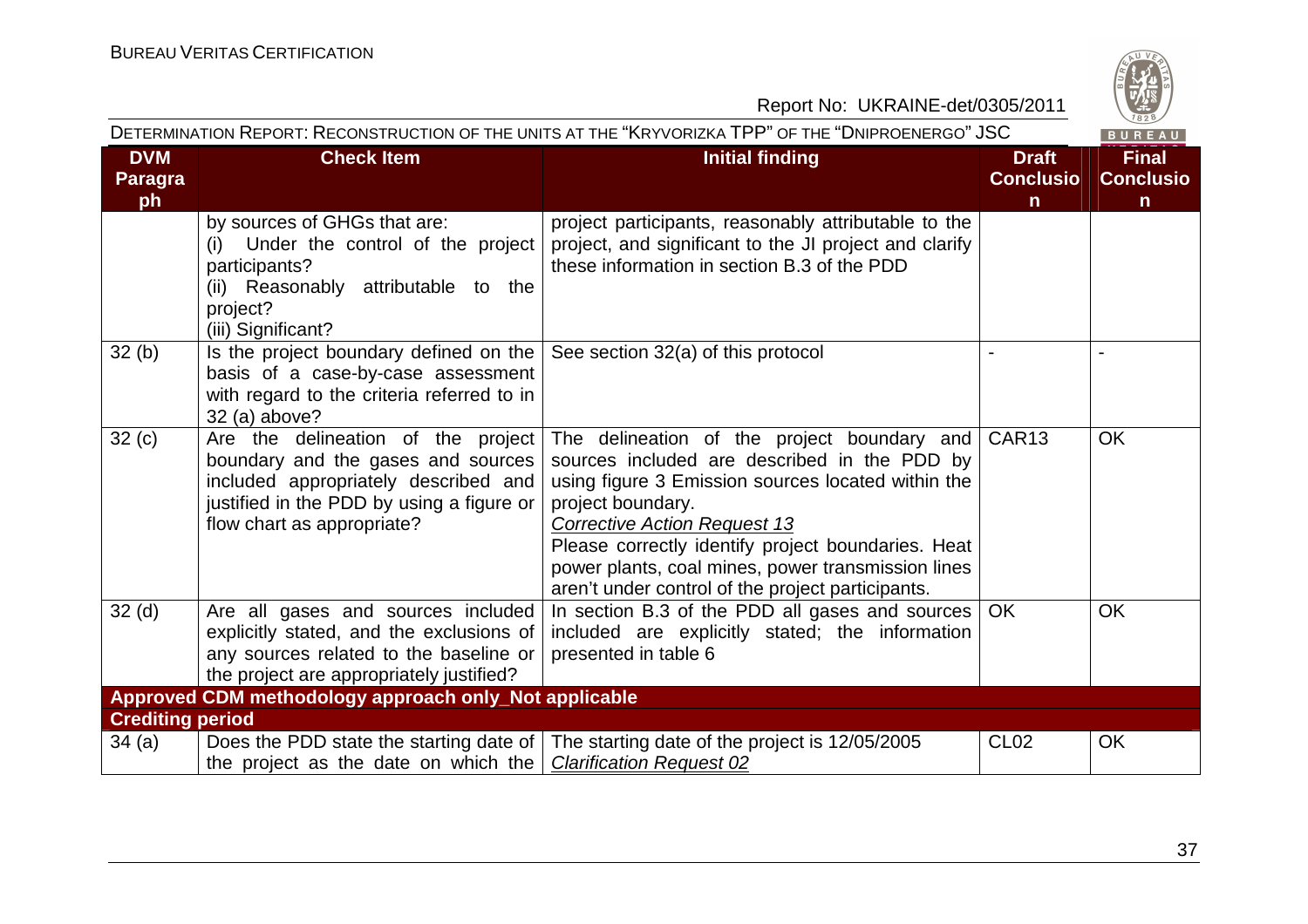

| DETERMINATION REPORT: RECONSTRUCTION OF THE UNITS AT THE "KRYVORIZKA TPP" OF THE "DNIPROENERGO" JSC<br>BUREAU |                                                                                                                                                                                             |                                                                                                                                                                                                                                                                                                                                                                                |                                                  |                                                  |
|---------------------------------------------------------------------------------------------------------------|---------------------------------------------------------------------------------------------------------------------------------------------------------------------------------------------|--------------------------------------------------------------------------------------------------------------------------------------------------------------------------------------------------------------------------------------------------------------------------------------------------------------------------------------------------------------------------------|--------------------------------------------------|--------------------------------------------------|
| <b>DVM</b><br>Paragra<br>ph                                                                                   | <b>Check Item</b>                                                                                                                                                                           | <b>Initial finding</b>                                                                                                                                                                                                                                                                                                                                                         | <b>Draft</b><br><b>Conclusio</b><br>$\mathsf{n}$ | <b>Final</b><br><b>Conclusio</b><br>$\mathsf{n}$ |
|                                                                                                               | by sources of GHGs that are:<br>Under the control of the project<br>(i)<br>participants?<br>(ii) Reasonably attributable to the<br>project?<br>(iii) Significant?                           | project participants, reasonably attributable to the<br>project, and significant to the JI project and clarify<br>these information in section B.3 of the PDD                                                                                                                                                                                                                  |                                                  |                                                  |
| 32(b)                                                                                                         | Is the project boundary defined on the<br>basis of a case-by-case assessment<br>with regard to the criteria referred to in<br>32 (a) above?                                                 | See section 32(a) of this protocol                                                                                                                                                                                                                                                                                                                                             |                                                  |                                                  |
| 32(c)                                                                                                         | Are the delineation of the project<br>boundary and the gases and sources<br>included appropriately described and<br>justified in the PDD by using a figure or<br>flow chart as appropriate? | The delineation of the project boundary and<br>sources included are described in the PDD by<br>using figure 3 Emission sources located within the<br>project boundary.<br><b>Corrective Action Request 13</b><br>Please correctly identify project boundaries. Heat<br>power plants, coal mines, power transmission lines<br>aren't under control of the project participants. | CAR13                                            | <b>OK</b>                                        |
| 32 <sub>(d)</sub>                                                                                             | Are all gases and sources included<br>explicitly stated, and the exclusions of<br>any sources related to the baseline or<br>the project are appropriately justified?                        | In section B.3 of the PDD all gases and sources<br>included are explicitly stated; the information<br>presented in table 6                                                                                                                                                                                                                                                     | <b>OK</b>                                        | <b>OK</b>                                        |
|                                                                                                               | Approved CDM methodology approach only_Not applicable                                                                                                                                       |                                                                                                                                                                                                                                                                                                                                                                                |                                                  |                                                  |
| <b>Crediting period</b>                                                                                       |                                                                                                                                                                                             |                                                                                                                                                                                                                                                                                                                                                                                |                                                  |                                                  |
| 34(a)                                                                                                         | Does the PDD state the starting date of  <br>the project as the date on which the                                                                                                           | The starting date of the project is 12/05/2005<br><b>Clarification Request 02</b>                                                                                                                                                                                                                                                                                              | <b>CL02</b>                                      | <b>OK</b>                                        |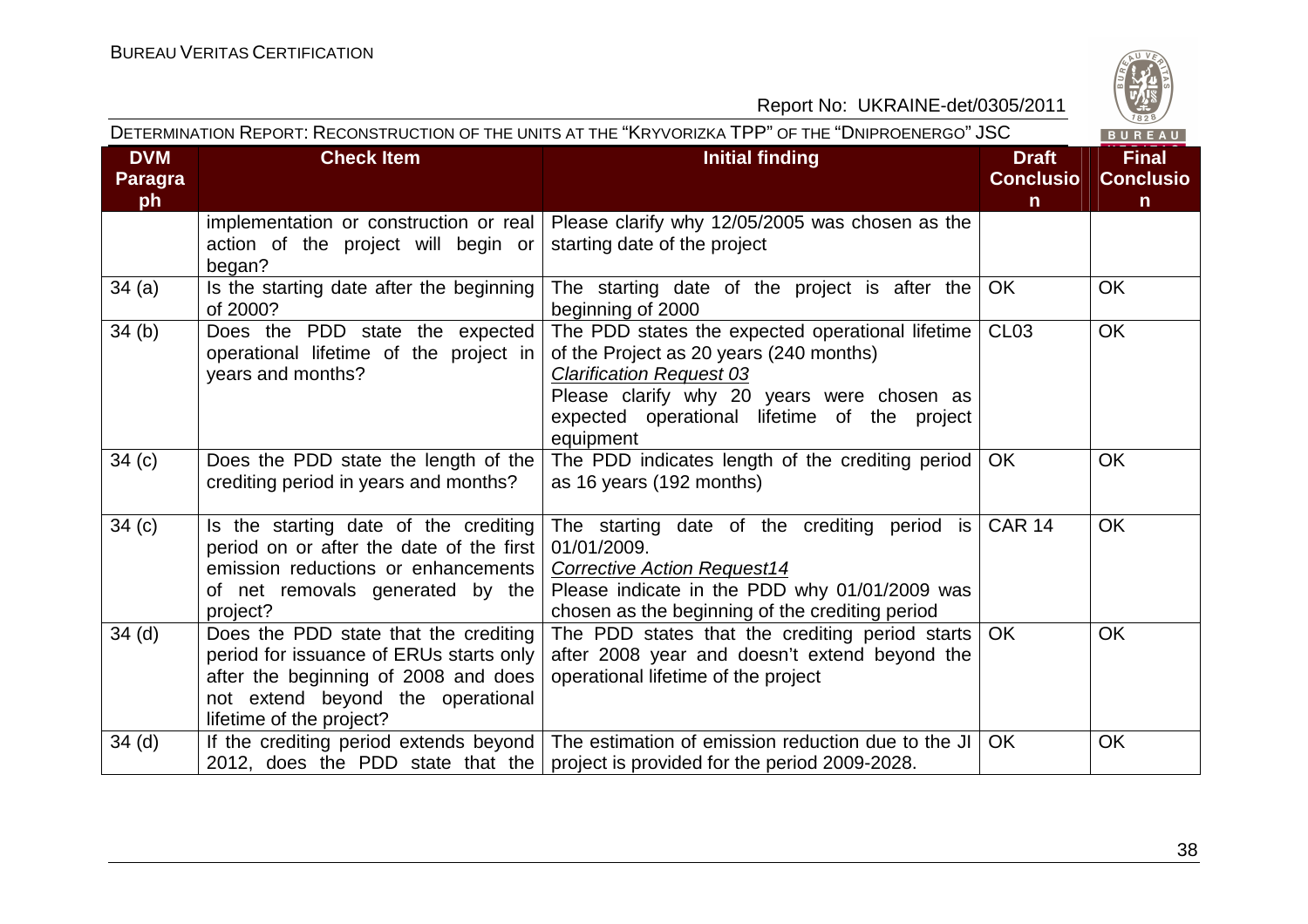

| Report No: UKRAINE-det/0305/2011   |                                                                                                                                                                                           |                                                                                                                                                                                                                                           |                                                  | $\frac{120}{1828}$                               |
|------------------------------------|-------------------------------------------------------------------------------------------------------------------------------------------------------------------------------------------|-------------------------------------------------------------------------------------------------------------------------------------------------------------------------------------------------------------------------------------------|--------------------------------------------------|--------------------------------------------------|
|                                    |                                                                                                                                                                                           | DETERMINATION REPORT: RECONSTRUCTION OF THE UNITS AT THE "KRYVORIZKA TPP" OF THE "DNIPROENERGO" JSC                                                                                                                                       |                                                  | BUREAU                                           |
| <b>DVM</b><br><b>Paragra</b><br>ph | <b>Check Item</b>                                                                                                                                                                         | <b>Initial finding</b>                                                                                                                                                                                                                    | <b>Draft</b><br><b>Conclusio</b><br>$\mathsf{n}$ | <b>Final</b><br><b>Conclusio</b><br>$\mathsf{n}$ |
|                                    | implementation or construction or real<br>action of the project will begin or<br>began?                                                                                                   | Please clarify why 12/05/2005 was chosen as the<br>starting date of the project                                                                                                                                                           |                                                  |                                                  |
| 34(a)                              | Is the starting date after the beginning<br>of 2000?                                                                                                                                      | The starting date of the project is after the<br>beginning of 2000                                                                                                                                                                        | <b>OK</b>                                        | <b>OK</b>                                        |
| 34(b)                              | Does the PDD state the expected<br>operational lifetime of the project in<br>years and months?                                                                                            | The PDD states the expected operational lifetime<br>of the Project as 20 years (240 months)<br><b>Clarification Request 03</b><br>Please clarify why 20 years were chosen as<br>expected operational lifetime of the project<br>equipment | <b>CL03</b>                                      | <b>OK</b>                                        |
| 34(c)                              | Does the PDD state the length of the<br>crediting period in years and months?                                                                                                             | The PDD indicates length of the crediting period<br>as 16 years (192 months)                                                                                                                                                              | <b>OK</b>                                        | <b>OK</b>                                        |
| 34(c)                              | Is the starting date of the crediting<br>period on or after the date of the first<br>emission reductions or enhancements<br>of net removals generated by the<br>project?                  | The starting date of the crediting period is<br>01/01/2009.<br><b>Corrective Action Request14</b><br>Please indicate in the PDD why 01/01/2009 was<br>chosen as the beginning of the crediting period                                     | <b>CAR 14</b>                                    | <b>OK</b>                                        |
| 34 <sub>(d)</sub>                  | Does the PDD state that the crediting<br>period for issuance of ERUs starts only<br>after the beginning of 2008 and does<br>not extend beyond the operational<br>lifetime of the project? | The PDD states that the crediting period starts<br>after 2008 year and doesn't extend beyond the<br>operational lifetime of the project                                                                                                   | <b>OK</b>                                        | <b>OK</b>                                        |
| 34 <sub>(d)</sub>                  | If the crediting period extends beyond<br>2012, does the PDD state that the                                                                                                               | The estimation of emission reduction due to the JI<br>project is provided for the period 2009-2028.                                                                                                                                       | <b>OK</b>                                        | OK                                               |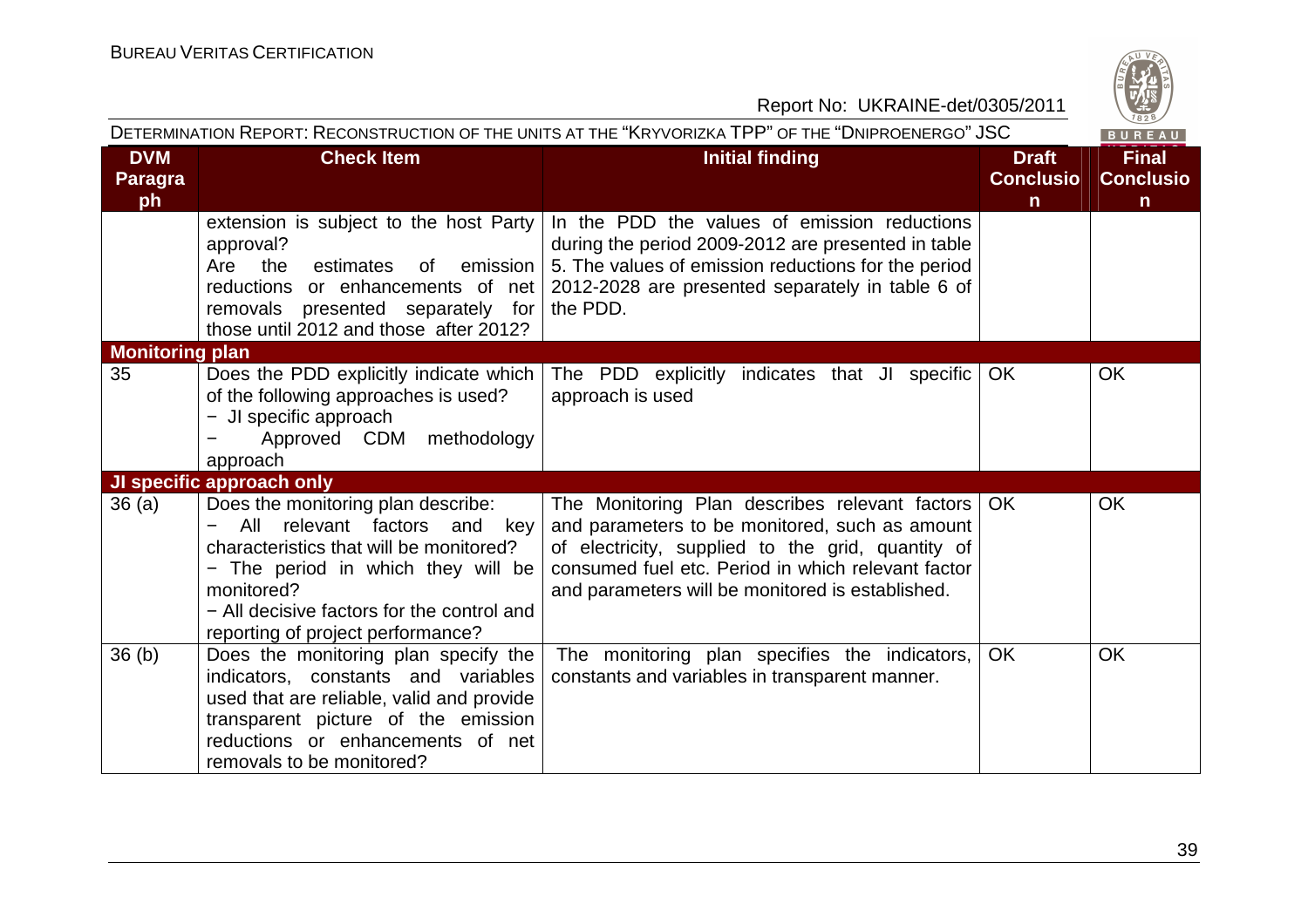

|                             | DETERMINATION REPORT: RECONSTRUCTION OF THE UNITS AT THE "KRYVORIZKA TPP" OF THE "DNIPROENERGO" JSC<br>BUREAU                                                                                                                                                 |                                                                                                                                                                                                                                                                      |                                                  |                                                  |  |
|-----------------------------|---------------------------------------------------------------------------------------------------------------------------------------------------------------------------------------------------------------------------------------------------------------|----------------------------------------------------------------------------------------------------------------------------------------------------------------------------------------------------------------------------------------------------------------------|--------------------------------------------------|--------------------------------------------------|--|
| <b>DVM</b><br>Paragra<br>ph | <b>Check Item</b>                                                                                                                                                                                                                                             | <b>Initial finding</b>                                                                                                                                                                                                                                               | <b>Draft</b><br><b>Conclusio</b><br>$\mathsf{n}$ | <b>Final</b><br><b>Conclusio</b><br>$\mathsf{n}$ |  |
|                             | extension is subject to the host Party<br>approval?<br>Are<br>the<br>emission<br>estimates<br>0f<br>reductions or enhancements of net<br>for<br>removals presented separately<br>those until 2012 and those after 2012?                                       | In the PDD the values of emission reductions<br>during the period 2009-2012 are presented in table<br>5. The values of emission reductions for the period<br>2012-2028 are presented separately in table 6 of<br>the PDD.                                            |                                                  |                                                  |  |
| <b>Monitoring plan</b>      |                                                                                                                                                                                                                                                               |                                                                                                                                                                                                                                                                      |                                                  |                                                  |  |
| 35                          | Does the PDD explicitly indicate which<br>of the following approaches is used?<br>- JI specific approach<br>Approved CDM methodology<br>approach                                                                                                              | The PDD explicitly indicates that JI specific<br>approach is used                                                                                                                                                                                                    | OK                                               | <b>OK</b>                                        |  |
|                             | JI specific approach only                                                                                                                                                                                                                                     |                                                                                                                                                                                                                                                                      |                                                  |                                                  |  |
| 36(a)                       | Does the monitoring plan describe:<br>relevant factors<br>All<br>and<br>key<br>characteristics that will be monitored?<br>- The period in which they will be<br>monitored?<br>- All decisive factors for the control and<br>reporting of project performance? | The Monitoring Plan describes relevant factors   OK<br>and parameters to be monitored, such as amount<br>of electricity, supplied to the grid, quantity of<br>consumed fuel etc. Period in which relevant factor<br>and parameters will be monitored is established. |                                                  | <b>OK</b>                                        |  |
| 36(b)                       | Does the monitoring plan specify the<br>indicators, constants and variables<br>used that are reliable, valid and provide<br>transparent picture of the emission<br>reductions or enhancements of net<br>removals to be monitored?                             | The monitoring plan specifies the indicators,<br>constants and variables in transparent manner.                                                                                                                                                                      | <b>OK</b>                                        | <b>OK</b>                                        |  |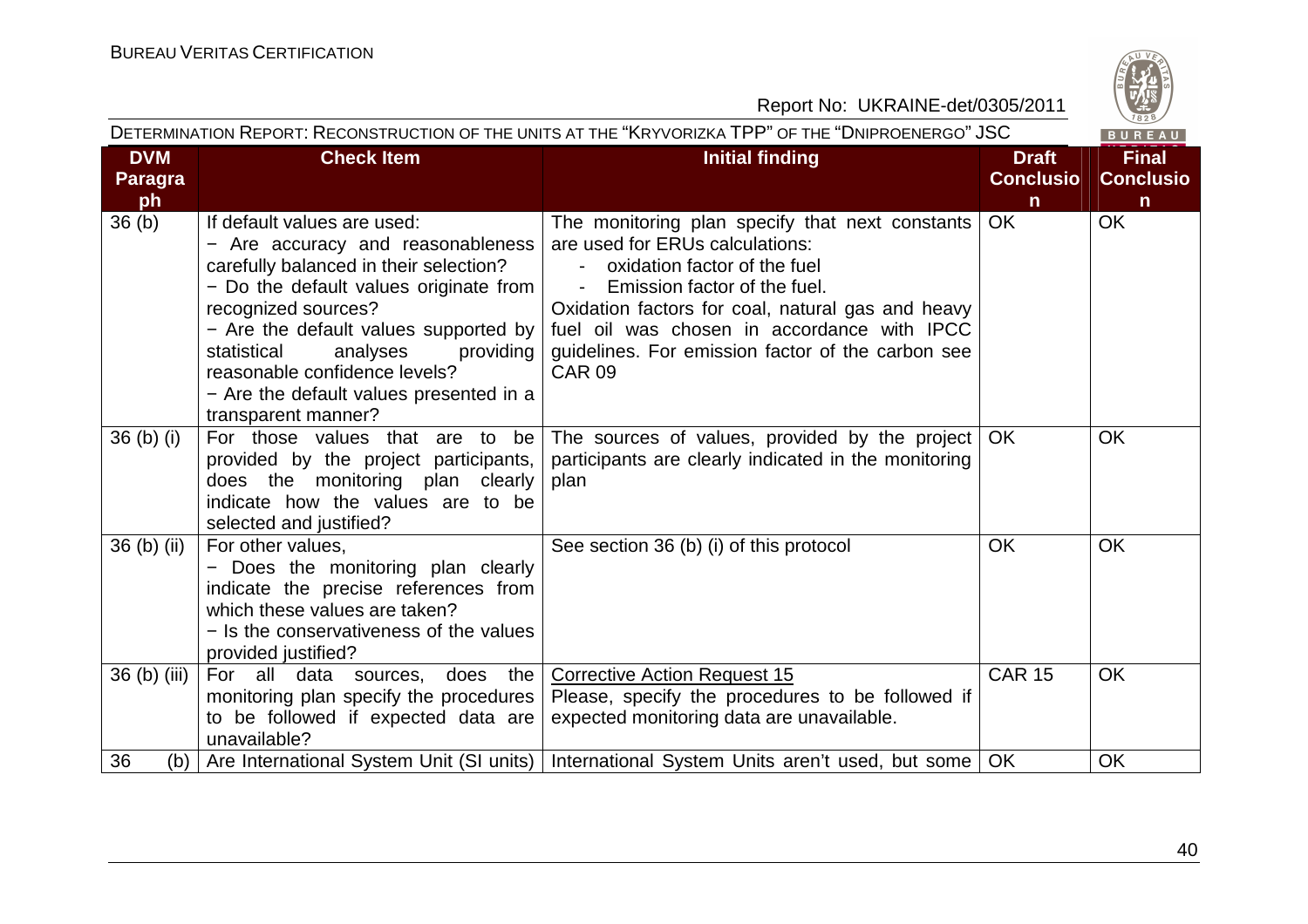

|                                    | DETERMINATION REPORT: RECONSTRUCTION OF THE UNITS AT THE "KRYVORIZKA TPP" OF THE "DNIPROENERGO" JSC<br>BUREAU                                                                                                                                                                                                                                                       |                                                                                                                                                                                                                                                                                                                                                                            |                                                  |                                                  |  |
|------------------------------------|---------------------------------------------------------------------------------------------------------------------------------------------------------------------------------------------------------------------------------------------------------------------------------------------------------------------------------------------------------------------|----------------------------------------------------------------------------------------------------------------------------------------------------------------------------------------------------------------------------------------------------------------------------------------------------------------------------------------------------------------------------|--------------------------------------------------|--------------------------------------------------|--|
| <b>DVM</b><br><b>Paragra</b><br>ph | <b>Check Item</b>                                                                                                                                                                                                                                                                                                                                                   | <b>Initial finding</b>                                                                                                                                                                                                                                                                                                                                                     | <b>Draft</b><br><b>Conclusio</b><br>$\mathsf{n}$ | <b>Final</b><br><b>Conclusio</b><br>$\mathsf{n}$ |  |
| 36 <sub>(b)</sub>                  | If default values are used:<br>- Are accuracy and reasonableness<br>carefully balanced in their selection?<br>- Do the default values originate from<br>recognized sources?<br>- Are the default values supported by $ $<br>analyses<br>statistical<br>providing<br>reasonable confidence levels?<br>- Are the default values presented in a<br>transparent manner? | The monitoring plan specify that next constants<br>are used for ERUs calculations:<br>oxidation factor of the fuel<br>$\overline{\phantom{a}}$<br>Emission factor of the fuel.<br>$\blacksquare$<br>Oxidation factors for coal, natural gas and heavy<br>fuel oil was chosen in accordance with IPCC<br>guidelines. For emission factor of the carbon see<br><b>CAR 09</b> | <b>OK</b>                                        | <b>OK</b>                                        |  |
| $36(b)$ (i)                        | For those values that are to be<br>provided by the project participants,<br>does the monitoring plan clearly<br>indicate how the values are to be<br>selected and justified?                                                                                                                                                                                        | The sources of values, provided by the project<br>participants are clearly indicated in the monitoring<br>plan                                                                                                                                                                                                                                                             | OK.                                              | <b>OK</b>                                        |  |
| $36$ (b) (ii)                      | For other values,<br>- Does the monitoring plan clearly<br>indicate the precise references from<br>which these values are taken?<br>- Is the conservativeness of the values<br>provided justified?                                                                                                                                                                  | See section 36 (b) (i) of this protocol                                                                                                                                                                                                                                                                                                                                    | <b>OK</b>                                        | <b>OK</b>                                        |  |
| 36 (b) (iii)                       | For all data sources,<br>does<br>the  <br>monitoring plan specify the procedures  <br>to be followed if expected data are<br>unavailable?                                                                                                                                                                                                                           | <b>Corrective Action Request 15</b><br>Please, specify the procedures to be followed if<br>expected monitoring data are unavailable.                                                                                                                                                                                                                                       | <b>CAR 15</b>                                    | <b>OK</b>                                        |  |
| 36<br>(b)                          |                                                                                                                                                                                                                                                                                                                                                                     | Are International System Unit (SI units)   International System Units aren't used, but some                                                                                                                                                                                                                                                                                | <b>OK</b>                                        | <b>OK</b>                                        |  |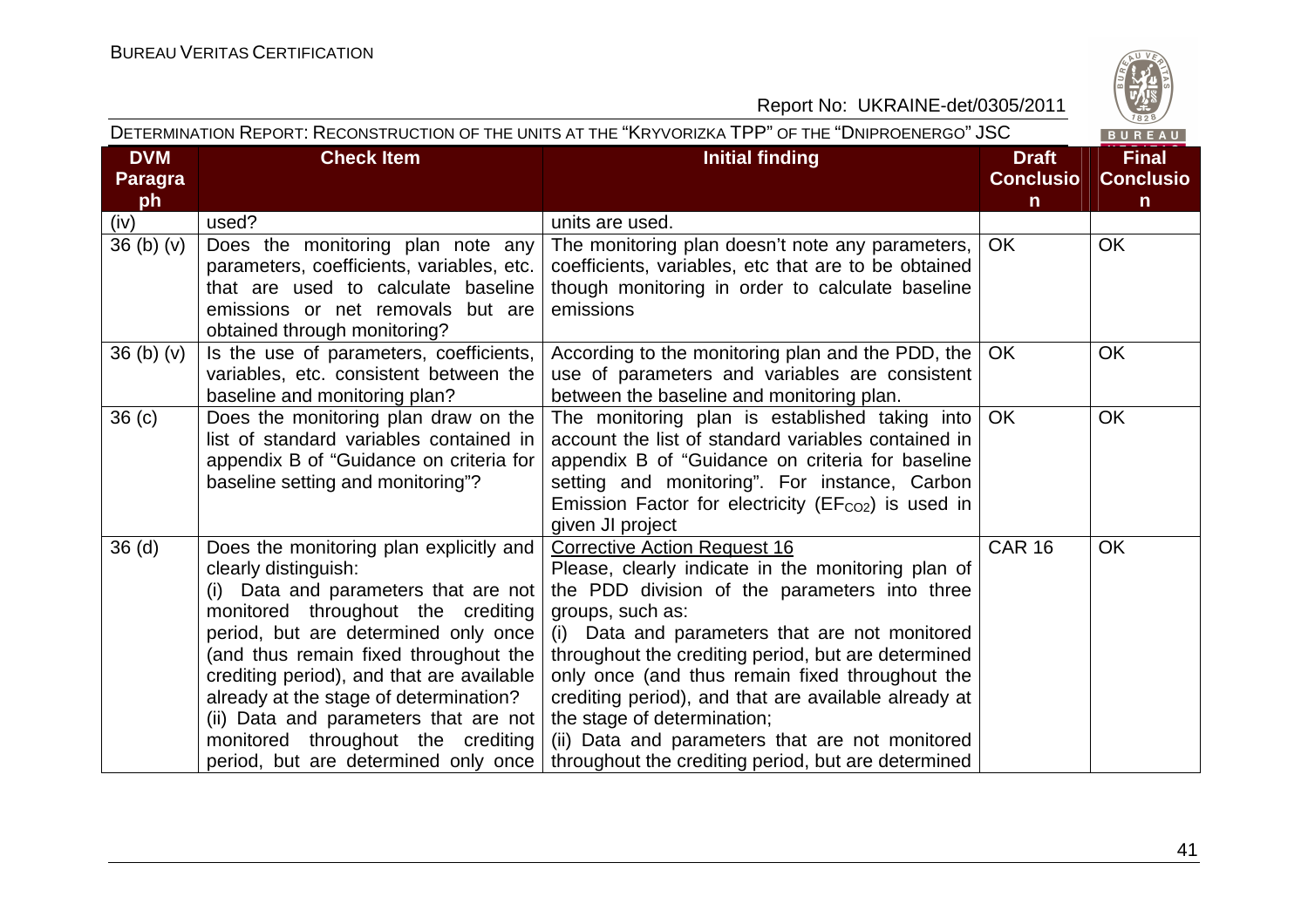

Report No: UKRAINE-det/0305/2011  $\overline{1}$ 

|                                    |                                                                                                                                                                                                                                                                                                                                                                                                                                              | DETERMINATION REPORT: RECONSTRUCTION OF THE UNITS AT THE "KRYVORIZKA TPP" OF THE "DNIPROENERGO" JSC                                                                                                                                                                                                                                                                                                                                                                                                                         |                                                  | BUREAU                                          |
|------------------------------------|----------------------------------------------------------------------------------------------------------------------------------------------------------------------------------------------------------------------------------------------------------------------------------------------------------------------------------------------------------------------------------------------------------------------------------------------|-----------------------------------------------------------------------------------------------------------------------------------------------------------------------------------------------------------------------------------------------------------------------------------------------------------------------------------------------------------------------------------------------------------------------------------------------------------------------------------------------------------------------------|--------------------------------------------------|-------------------------------------------------|
| <b>DVM</b><br><b>Paragra</b><br>ph | <b>Check Item</b>                                                                                                                                                                                                                                                                                                                                                                                                                            | <b>Initial finding</b>                                                                                                                                                                                                                                                                                                                                                                                                                                                                                                      | <b>Draft</b><br><b>Conclusio</b><br>$\mathsf{n}$ | <b>Final</b><br><b>Conclusio</b><br>$\mathbf n$ |
| (iv)                               | used?                                                                                                                                                                                                                                                                                                                                                                                                                                        | units are used.                                                                                                                                                                                                                                                                                                                                                                                                                                                                                                             |                                                  |                                                 |
| 36(b)(v)                           | Does the monitoring plan note any<br>parameters, coefficients, variables, etc.<br>that are used to calculate baseline<br>emissions or net removals but are<br>obtained through monitoring?                                                                                                                                                                                                                                                   | The monitoring plan doesn't note any parameters,<br>coefficients, variables, etc that are to be obtained<br>though monitoring in order to calculate baseline<br>emissions                                                                                                                                                                                                                                                                                                                                                   | <b>OK</b>                                        | <b>OK</b>                                       |
| 36 <sub>(b)</sub> <sub>(v)</sub>   | Is the use of parameters, coefficients,<br>variables, etc. consistent between the<br>baseline and monitoring plan?                                                                                                                                                                                                                                                                                                                           | According to the monitoring plan and the PDD, the<br>use of parameters and variables are consistent<br>between the baseline and monitoring plan.                                                                                                                                                                                                                                                                                                                                                                            | <b>OK</b>                                        | <b>OK</b>                                       |
| 36 <sub>(c)</sub>                  | Does the monitoring plan draw on the<br>list of standard variables contained in<br>appendix B of "Guidance on criteria for<br>baseline setting and monitoring"?                                                                                                                                                                                                                                                                              | The monitoring plan is established taking into<br>account the list of standard variables contained in<br>appendix B of "Guidance on criteria for baseline<br>setting and monitoring". For instance, Carbon<br>Emission Factor for electricity ( $EFCO2$ ) is used in<br>given JI project                                                                                                                                                                                                                                    | OK                                               | <b>OK</b>                                       |
| 36 <sub>(d)</sub>                  | Does the monitoring plan explicitly and<br>clearly distinguish:<br>(i) Data and parameters that are not<br>monitored throughout the crediting<br>period, but are determined only once<br>(and thus remain fixed throughout the<br>crediting period), and that are available<br>already at the stage of determination?<br>(ii) Data and parameters that are not<br>monitored throughout the crediting<br>period, but are determined only once | <b>Corrective Action Request 16</b><br>Please, clearly indicate in the monitoring plan of<br>the PDD division of the parameters into three<br>groups, such as:<br>(i) Data and parameters that are not monitored<br>throughout the crediting period, but are determined<br>only once (and thus remain fixed throughout the<br>crediting period), and that are available already at<br>the stage of determination;<br>(ii) Data and parameters that are not monitored<br>throughout the crediting period, but are determined | <b>CAR 16</b>                                    | <b>OK</b>                                       |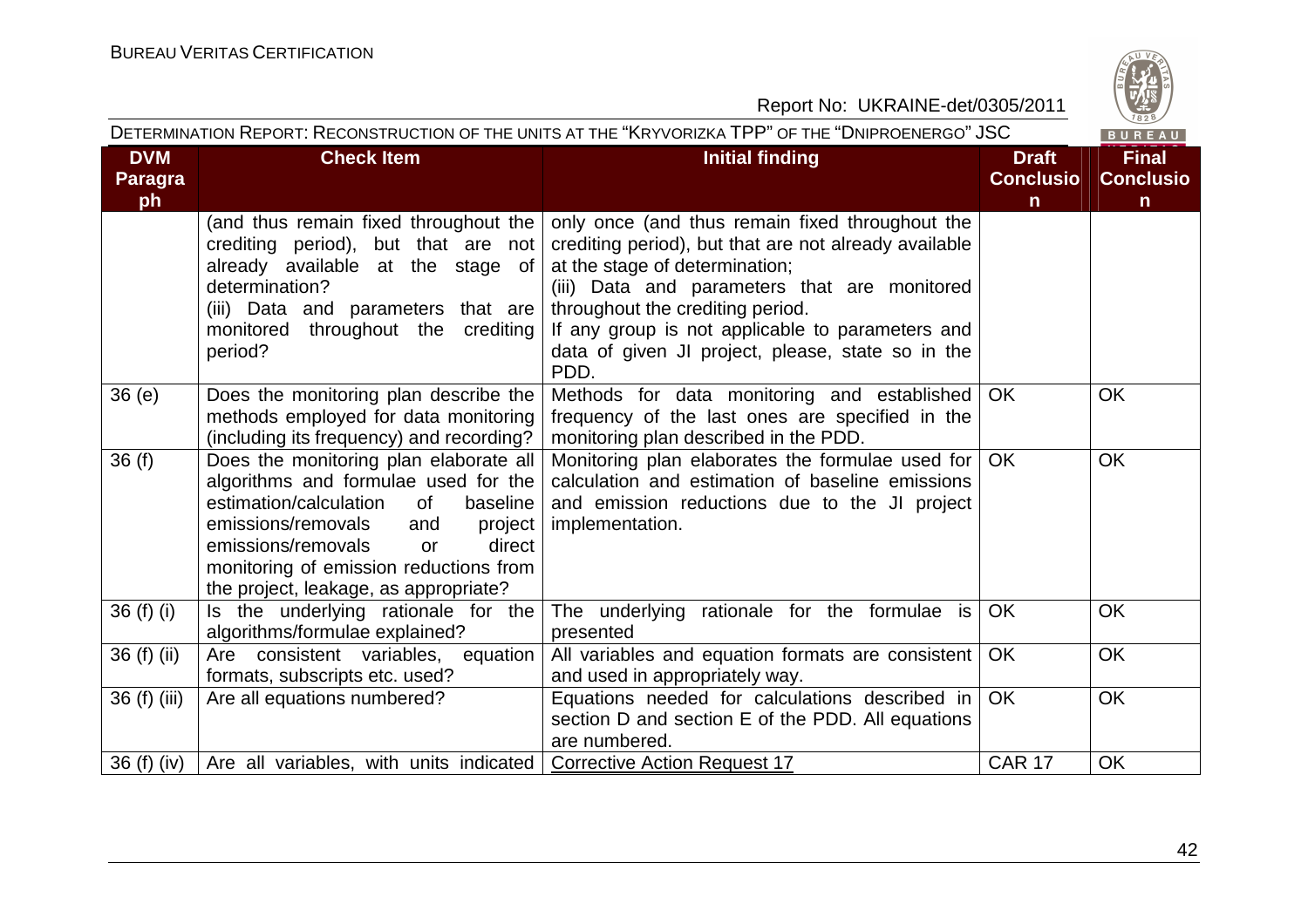

| DETERMINATION REPORT: RECONSTRUCTION OF THE UNITS AT THE "KRYVORIZKA TPP" OF THE "DNIPROENERGO" JSC |                                                                                                                                                                                                                                                                                                    |                                                                                                                                                                                                                                                                                                                                                 |                                                  | $\vee$ 829/<br>BUREAU                            |
|-----------------------------------------------------------------------------------------------------|----------------------------------------------------------------------------------------------------------------------------------------------------------------------------------------------------------------------------------------------------------------------------------------------------|-------------------------------------------------------------------------------------------------------------------------------------------------------------------------------------------------------------------------------------------------------------------------------------------------------------------------------------------------|--------------------------------------------------|--------------------------------------------------|
| <b>DVM</b><br><b>Paragra</b><br>ph                                                                  | <b>Check Item</b>                                                                                                                                                                                                                                                                                  | <b>Initial finding</b>                                                                                                                                                                                                                                                                                                                          | <b>Draft</b><br><b>Conclusio</b><br>$\mathsf{n}$ | <b>Final</b><br><b>Conclusio</b><br>$\mathsf{n}$ |
|                                                                                                     | (and thus remain fixed throughout the<br>crediting period), but that are not<br>already available at the stage of<br>determination?<br>(iii) Data and parameters that are<br>throughout the crediting<br>monitored<br>period?                                                                      | only once (and thus remain fixed throughout the<br>crediting period), but that are not already available<br>at the stage of determination;<br>(iii) Data and parameters that are monitored<br>throughout the crediting period.<br>If any group is not applicable to parameters and<br>data of given JI project, please, state so in the<br>PDD. |                                                  |                                                  |
| 36(e)                                                                                               | Does the monitoring plan describe the<br>methods employed for data monitoring<br>(including its frequency) and recording?                                                                                                                                                                          | Methods for data monitoring and established<br>frequency of the last ones are specified in the<br>monitoring plan described in the PDD.                                                                                                                                                                                                         | <b>OK</b>                                        | <b>OK</b>                                        |
| 36(f)                                                                                               | Does the monitoring plan elaborate all<br>algorithms and formulae used for the<br>estimation/calculation<br>0f<br>baseline<br>emissions/removals<br>and<br>project<br>emissions/removals<br>direct<br><b>or</b><br>monitoring of emission reductions from<br>the project, leakage, as appropriate? | Monitoring plan elaborates the formulae used for<br>calculation and estimation of baseline emissions<br>and emission reductions due to the JI project<br>implementation.                                                                                                                                                                        | <b>OK</b>                                        | OK                                               |
| 36 $(f)$ $(i)$                                                                                      | Is the underlying rationale for the<br>algorithms/formulae explained?                                                                                                                                                                                                                              | The underlying rationale for the formulae is<br>presented                                                                                                                                                                                                                                                                                       | OK                                               | <b>OK</b>                                        |
| 36 (f) (ii)                                                                                         | equation  <br>Are consistent variables,<br>formats, subscripts etc. used?                                                                                                                                                                                                                          | All variables and equation formats are consistent<br>and used in appropriately way.                                                                                                                                                                                                                                                             | <b>OK</b>                                        | <b>OK</b>                                        |
| 36 (f) (iii)                                                                                        | Are all equations numbered?                                                                                                                                                                                                                                                                        | Equations needed for calculations described in<br>section D and section E of the PDD. All equations<br>are numbered.                                                                                                                                                                                                                            | <b>OK</b>                                        | <b>OK</b>                                        |
| 36 (f) (iv)                                                                                         | Are all variables, with units indicated   Corrective Action Request 17                                                                                                                                                                                                                             |                                                                                                                                                                                                                                                                                                                                                 | <b>CAR 17</b>                                    | OK                                               |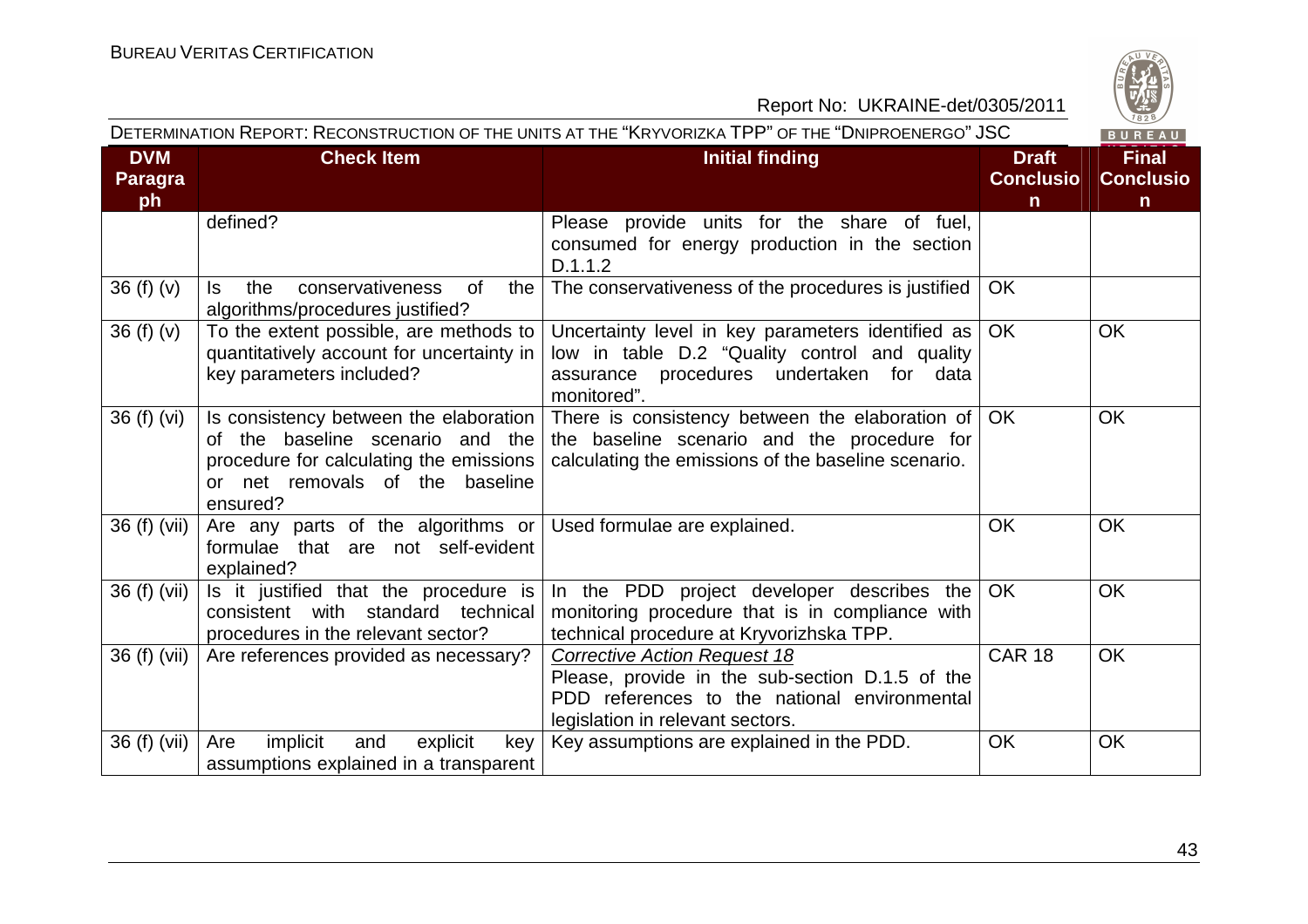

#### Report No: UKRAINE-det/0305/2011  $\overline{1}$

|                                    |                                                                                                                                                                        | DETERMINATION REPORT: RECONSTRUCTION OF THE UNITS AT THE "KRYVORIZKA TPP" OF THE "DNIPROENERGO" JSC                                                                        |                                                  | BUREAU                                           |
|------------------------------------|------------------------------------------------------------------------------------------------------------------------------------------------------------------------|----------------------------------------------------------------------------------------------------------------------------------------------------------------------------|--------------------------------------------------|--------------------------------------------------|
| <b>DVM</b><br><b>Paragra</b><br>ph | <b>Check Item</b>                                                                                                                                                      | <b>Initial finding</b>                                                                                                                                                     | <b>Draft</b><br><b>Conclusio</b><br>$\mathsf{n}$ | <b>Final</b><br><b>Conclusio</b><br>$\mathsf{n}$ |
|                                    | defined?                                                                                                                                                               | Please provide units for the share of fuel,<br>consumed for energy production in the section<br>D.1.1.2                                                                    |                                                  |                                                  |
| 36(f)(v)                           | conservativeness<br>ls.<br>the<br>0f<br>the I<br>algorithms/procedures justified?                                                                                      | The conservativeness of the procedures is justified                                                                                                                        | <b>OK</b>                                        |                                                  |
| 36(f)(v)                           | To the extent possible, are methods to $ $<br>quantitatively account for uncertainty in<br>key parameters included?                                                    | Uncertainty level in key parameters identified as<br>low in table D.2 "Quality control and quality<br>assurance procedures undertaken for data<br>monitored".              | OK.                                              | <b>OK</b>                                        |
| 36(f)(vi)                          | Is consistency between the elaboration  <br>of the baseline scenario and the<br>procedure for calculating the emissions<br>or net removals of the baseline<br>ensured? | There is consistency between the elaboration of<br>the baseline scenario and the procedure for<br>calculating the emissions of the baseline scenario.                      | OK.                                              | <b>OK</b>                                        |
| 36 (f) (vii)                       | Are any parts of the algorithms or<br>formulae that are not self-evident<br>explained?                                                                                 | Used formulae are explained.                                                                                                                                               | <b>OK</b>                                        | <b>OK</b>                                        |
| 36 (f) (vii)                       | Is it justified that the procedure is<br>with standard technical<br>consistent<br>procedures in the relevant sector?                                                   | In the PDD project developer describes the<br>monitoring procedure that is in compliance with<br>technical procedure at Kryvorizhska TPP.                                  | OK.                                              | <b>OK</b>                                        |
| 36 (f) (vii)                       | Are references provided as necessary?                                                                                                                                  | <b>Corrective Action Request 18</b><br>Please, provide in the sub-section D.1.5 of the<br>PDD references to the national environmental<br>legislation in relevant sectors. | <b>CAR 18</b>                                    | <b>OK</b>                                        |
| 36 (f) (vii)                       | implicit<br>explicit<br>Are<br>and<br>key<br>assumptions explained in a transparent                                                                                    | Key assumptions are explained in the PDD.                                                                                                                                  | <b>OK</b>                                        | <b>OK</b>                                        |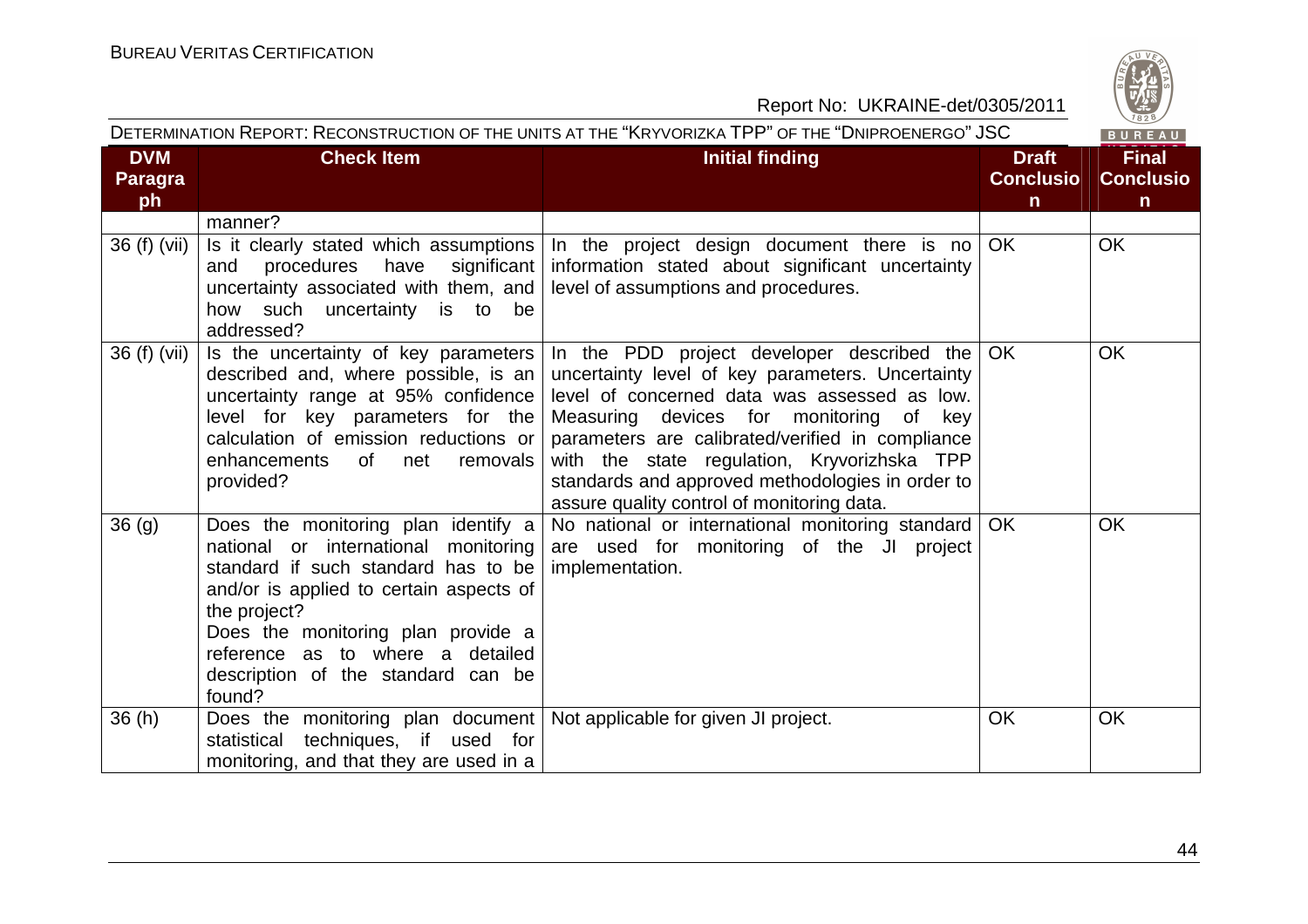

| DETERMINATION REPORT: RECONSTRUCTION OF THE UNITS AT THE "KRYVORIZKA TPP" OF THE "DNIPROENERGO" JSC |                                                                                                                                                                                                                                                                                                         |                                                                                                                                                                                                                                                                                                                                                                                                     |                                                  | BUREAU                                           |
|-----------------------------------------------------------------------------------------------------|---------------------------------------------------------------------------------------------------------------------------------------------------------------------------------------------------------------------------------------------------------------------------------------------------------|-----------------------------------------------------------------------------------------------------------------------------------------------------------------------------------------------------------------------------------------------------------------------------------------------------------------------------------------------------------------------------------------------------|--------------------------------------------------|--------------------------------------------------|
| <b>DVM</b><br><b>Paragra</b><br>ph                                                                  | <b>Check Item</b>                                                                                                                                                                                                                                                                                       | <b>Initial finding</b>                                                                                                                                                                                                                                                                                                                                                                              | <b>Draft</b><br><b>Conclusio</b><br>$\mathsf{n}$ | <b>Final</b><br><b>Conclusio</b><br>$\mathsf{n}$ |
|                                                                                                     | manner?                                                                                                                                                                                                                                                                                                 |                                                                                                                                                                                                                                                                                                                                                                                                     |                                                  |                                                  |
| 36 (f) (vii)                                                                                        | Is it clearly stated which assumptions<br>procedures have<br>significant  <br>and<br>uncertainty associated with them, and<br>how such uncertainty is to be<br>addressed?                                                                                                                               | In the project design document there is no<br>information stated about significant uncertainty<br>level of assumptions and procedures.                                                                                                                                                                                                                                                              | OK                                               | <b>OK</b>                                        |
| 36 (f) (vii)                                                                                        | Is the uncertainty of key parameters<br>described and, where possible, is an<br>uncertainty range at 95% confidence<br>level for key parameters for the<br>calculation of emission reductions or<br>enhancements<br>of<br>net<br>removals<br>provided?                                                  | In the PDD project developer described the $OK$<br>uncertainty level of key parameters. Uncertainty<br>level of concerned data was assessed as low.<br>Measuring devices for monitoring of key<br>parameters are calibrated/verified in compliance<br>with the state regulation, Kryvorizhska TPP<br>standards and approved methodologies in order to<br>assure quality control of monitoring data. |                                                  | <b>OK</b>                                        |
| 36 <sub>(g)</sub>                                                                                   | Does the monitoring plan identify a<br>national or international monitoring<br>standard if such standard has to be<br>and/or is applied to certain aspects of<br>the project?<br>Does the monitoring plan provide a<br>reference as to where a detailed<br>description of the standard can be<br>found? | No national or international monitoring standard   OK<br>are used for monitoring of the JI project<br>implementation.                                                                                                                                                                                                                                                                               |                                                  | <b>OK</b>                                        |
| 36(h)                                                                                               | Does the monitoring plan document   Not applicable for given JI project.<br>techniques, if used for<br>statistical<br>monitoring, and that they are used in a                                                                                                                                           |                                                                                                                                                                                                                                                                                                                                                                                                     | <b>OK</b>                                        | <b>OK</b>                                        |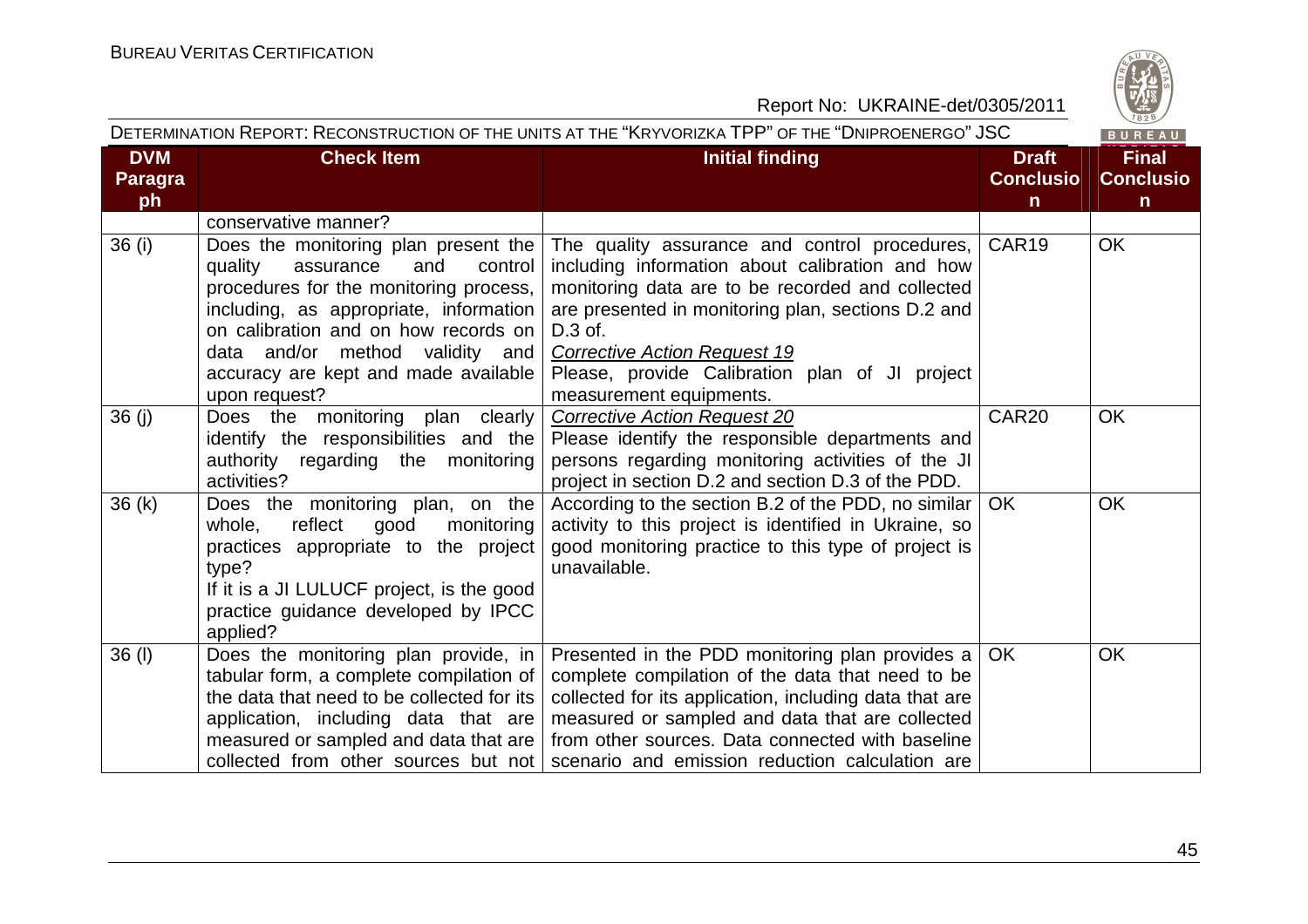

|                                    |                                                                                                                                                                                                                                                                                                             | DETERMINATION REPORT: RECONSTRUCTION OF THE UNITS AT THE "KRYVORIZKA TPP" OF THE "DNIPROENERGO" JSC                                                                                                                                                                                                                                       |                                                  | BUREAU                                           |
|------------------------------------|-------------------------------------------------------------------------------------------------------------------------------------------------------------------------------------------------------------------------------------------------------------------------------------------------------------|-------------------------------------------------------------------------------------------------------------------------------------------------------------------------------------------------------------------------------------------------------------------------------------------------------------------------------------------|--------------------------------------------------|--------------------------------------------------|
| <b>DVM</b><br><b>Paragra</b><br>ph | <b>Check Item</b>                                                                                                                                                                                                                                                                                           | <b>Initial finding</b>                                                                                                                                                                                                                                                                                                                    | <b>Draft</b><br><b>Conclusio</b><br>$\mathsf{n}$ | <b>Final</b><br><b>Conclusio</b><br>$\mathsf{n}$ |
|                                    | conservative manner?                                                                                                                                                                                                                                                                                        |                                                                                                                                                                                                                                                                                                                                           |                                                  |                                                  |
| 36(i)                              | Does the monitoring plan present the  <br>and<br>quality<br>assurance<br>control<br>procedures for the monitoring process,<br>including, as appropriate, information<br>on calibration and on how records on<br>data and/or method validity<br>and<br>accuracy are kept and made available<br>upon request? | The quality assurance and control procedures,<br>including information about calibration and how<br>monitoring data are to be recorded and collected<br>are presented in monitoring plan, sections D.2 and<br>D.3 of.<br><b>Corrective Action Request 19</b><br>Please, provide Calibration plan of JI project<br>measurement equipments. | CAR <sub>19</sub>                                | <b>OK</b>                                        |
| 36(j)                              | Does the monitoring plan clearly<br>identify the responsibilities and the<br>authority regarding the monitoring<br>activities?                                                                                                                                                                              | <b>Corrective Action Request 20</b><br>Please identify the responsible departments and<br>persons regarding monitoring activities of the JI<br>project in section D.2 and section D.3 of the PDD.                                                                                                                                         | CAR <sub>20</sub>                                | <b>OK</b>                                        |
| 36(k)                              | Does the monitoring plan, on the<br>reflect<br>good<br>monitoring<br>whole,<br>practices appropriate to the project<br>type?<br>If it is a JI LULUCF project, is the good<br>practice guidance developed by IPCC<br>applied?                                                                                | According to the section B.2 of the PDD, no similar<br>activity to this project is identified in Ukraine, so<br>good monitoring practice to this type of project is<br>unavailable.                                                                                                                                                       | OK.                                              | <b>OK</b>                                        |
| $36$ (l)                           | Does the monitoring plan provide, in<br>tabular form, a complete compilation of<br>the data that need to be collected for its<br>application, including data that are<br>measured or sampled and data that are  <br>collected from other sources but not                                                    | Presented in the PDD monitoring plan provides a<br>complete compilation of the data that need to be<br>collected for its application, including data that are<br>measured or sampled and data that are collected<br>from other sources. Data connected with baseline<br>scenario and emission reduction calculation are                   | <b>OK</b>                                        | <b>OK</b>                                        |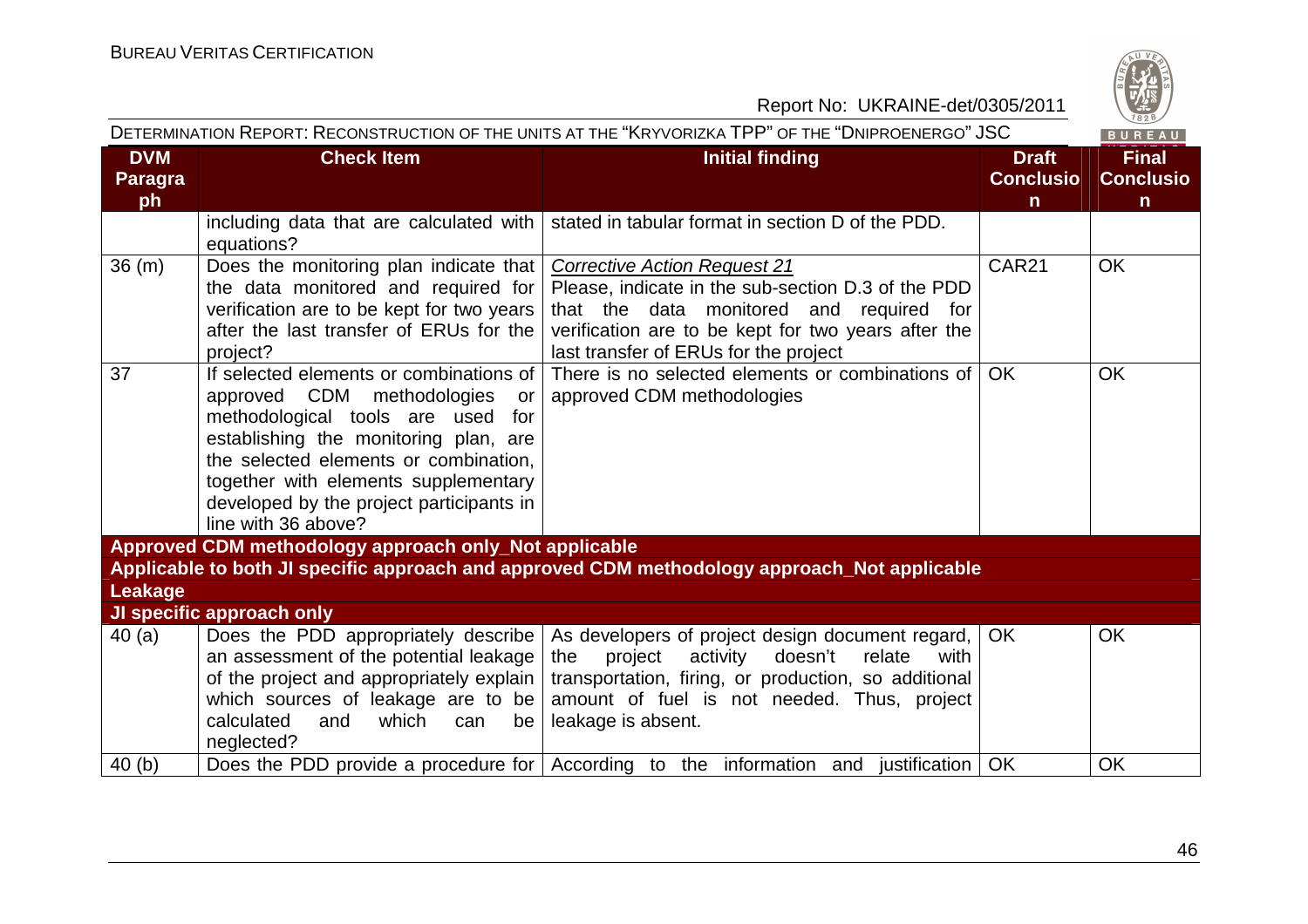

| DETERMINATION REPORT: RECONSTRUCTION OF THE UNITS AT THE "KRYVORIZKA TPP" OF THE "DNIPROENERGO" JSC<br>BUREAU |                                                                                                                                                                                                                                                                                                               |                                                                                                                                                                                                                                            |                                                  |                                                  |  |
|---------------------------------------------------------------------------------------------------------------|---------------------------------------------------------------------------------------------------------------------------------------------------------------------------------------------------------------------------------------------------------------------------------------------------------------|--------------------------------------------------------------------------------------------------------------------------------------------------------------------------------------------------------------------------------------------|--------------------------------------------------|--------------------------------------------------|--|
| <b>DVM</b><br>Paragra<br>ph                                                                                   | <b>Check Item</b>                                                                                                                                                                                                                                                                                             | <b>Initial finding</b>                                                                                                                                                                                                                     | <b>Draft</b><br><b>Conclusio</b><br>$\mathsf{n}$ | <b>Final</b><br><b>Conclusio</b><br>$\mathsf{n}$ |  |
|                                                                                                               | including data that are calculated with<br>equations?                                                                                                                                                                                                                                                         | stated in tabular format in section D of the PDD.                                                                                                                                                                                          |                                                  |                                                  |  |
| 36(m)                                                                                                         | Does the monitoring plan indicate that<br>the data monitored and required for<br>verification are to be kept for two years<br>after the last transfer of ERUs for the<br>project?                                                                                                                             | Corrective Action Request 21<br>Please, indicate in the sub-section D.3 of the PDD<br>that the data monitored and required for<br>verification are to be kept for two years after the<br>last transfer of ERUs for the project             | <b>CAR21</b>                                     | <b>OK</b>                                        |  |
| 37                                                                                                            | If selected elements or combinations of<br>approved CDM methodologies<br>or<br>methodological tools are used for<br>establishing the monitoring plan, are<br>the selected elements or combination,<br>together with elements supplementary<br>developed by the project participants in<br>line with 36 above? | There is no selected elements or combinations of<br>approved CDM methodologies                                                                                                                                                             | OK                                               | <b>OK</b>                                        |  |
|                                                                                                               | Approved CDM methodology approach only_Not applicable                                                                                                                                                                                                                                                         |                                                                                                                                                                                                                                            |                                                  |                                                  |  |
|                                                                                                               |                                                                                                                                                                                                                                                                                                               | Applicable to both JI specific approach and approved CDM methodology approach_Not applicable                                                                                                                                               |                                                  |                                                  |  |
| <b>Leakage</b>                                                                                                |                                                                                                                                                                                                                                                                                                               |                                                                                                                                                                                                                                            |                                                  |                                                  |  |
|                                                                                                               | JI specific approach only                                                                                                                                                                                                                                                                                     |                                                                                                                                                                                                                                            |                                                  |                                                  |  |
| 40(a)                                                                                                         | Does the PDD appropriately describe<br>an assessment of the potential leakage<br>of the project and appropriately explain  <br>which sources of leakage are to be<br>calculated<br>which<br>and<br>can<br>be<br>neglected?                                                                                    | As developers of project design document regard,  <br>doesn't<br>project<br>activity<br>relate<br>the<br>with<br>transportation, firing, or production, so additional<br>amount of fuel is not needed. Thus, project<br>leakage is absent. | <b>OK</b>                                        | <b>OK</b>                                        |  |
| 40(b)                                                                                                         |                                                                                                                                                                                                                                                                                                               | Does the PDD provide a procedure for $\vert$ According to the information and justification $\vert$ OK                                                                                                                                     |                                                  | <b>OK</b>                                        |  |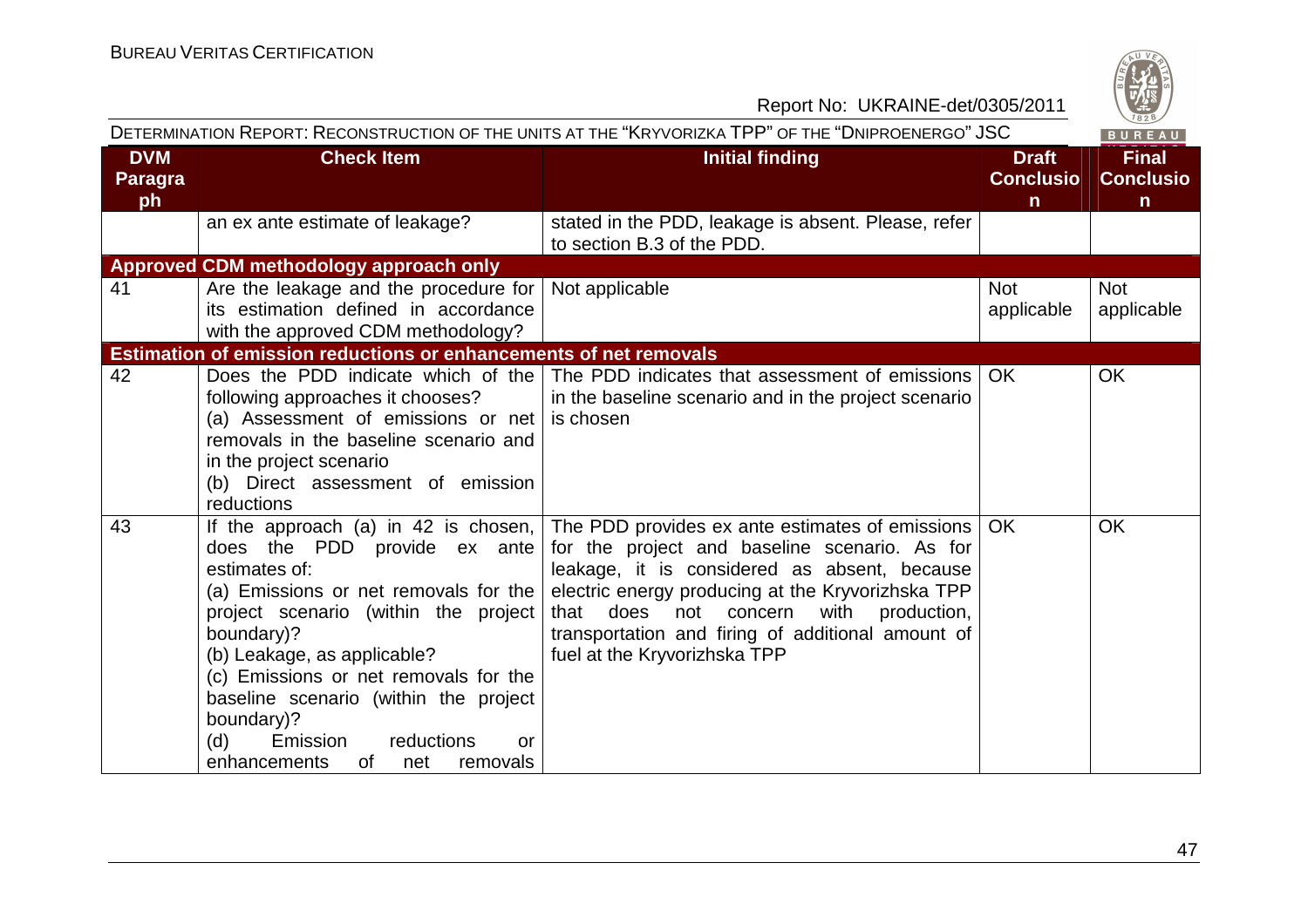

| DETERMINATION REPORT: RECONSTRUCTION OF THE UNITS AT THE "KRYVORIZKA TPP" OF THE "DNIPROENERGO" JSC |                                                                                                                                                                                                                                                                                                                                                                                                             |                                                                                                                                                                                                                                                                                                                                                 |                                                  | BUREAU                                |
|-----------------------------------------------------------------------------------------------------|-------------------------------------------------------------------------------------------------------------------------------------------------------------------------------------------------------------------------------------------------------------------------------------------------------------------------------------------------------------------------------------------------------------|-------------------------------------------------------------------------------------------------------------------------------------------------------------------------------------------------------------------------------------------------------------------------------------------------------------------------------------------------|--------------------------------------------------|---------------------------------------|
| <b>DVM</b><br><b>Paragra</b><br>ph                                                                  | <b>Check Item</b>                                                                                                                                                                                                                                                                                                                                                                                           | <b>Initial finding</b>                                                                                                                                                                                                                                                                                                                          | <b>Draft</b><br><b>Conclusio</b><br>$\mathsf{n}$ | <b>Final</b><br><b>Conclusio</b><br>n |
|                                                                                                     | an ex ante estimate of leakage?                                                                                                                                                                                                                                                                                                                                                                             | stated in the PDD, leakage is absent. Please, refer<br>to section B.3 of the PDD.                                                                                                                                                                                                                                                               |                                                  |                                       |
|                                                                                                     | Approved CDM methodology approach only                                                                                                                                                                                                                                                                                                                                                                      |                                                                                                                                                                                                                                                                                                                                                 |                                                  |                                       |
| 41                                                                                                  | Are the leakage and the procedure for<br>its estimation defined in accordance<br>with the approved CDM methodology?                                                                                                                                                                                                                                                                                         | Not applicable                                                                                                                                                                                                                                                                                                                                  | <b>Not</b><br>applicable                         | <b>Not</b><br>applicable              |
|                                                                                                     | <b>Estimation of emission reductions or enhancements of net removals</b>                                                                                                                                                                                                                                                                                                                                    |                                                                                                                                                                                                                                                                                                                                                 |                                                  |                                       |
| 42                                                                                                  | Does the PDD indicate which of the<br>following approaches it chooses?<br>(a) Assessment of emissions or net  <br>removals in the baseline scenario and<br>in the project scenario<br>(b) Direct assessment of emission<br>reductions                                                                                                                                                                       | The PDD indicates that assessment of emissions<br>in the baseline scenario and in the project scenario<br>is chosen                                                                                                                                                                                                                             | OK.                                              | <b>OK</b>                             |
| 43                                                                                                  | If the approach (a) in 42 is chosen, $\vert$<br>does the PDD provide ex ante<br>estimates of:<br>(a) Emissions or net removals for the<br>project scenario (within the project<br>boundary)?<br>(b) Leakage, as applicable?<br>(c) Emissions or net removals for the<br>baseline scenario (within the project<br>boundary)?<br>Emission<br>reductions<br>(d)<br>or<br>enhancements<br>of<br>removals<br>net | The PDD provides ex ante estimates of emissions  <br>for the project and baseline scenario. As for<br>leakage, it is considered as absent, because<br>electric energy producing at the Kryvorizhska TPP<br>that<br>does not concern<br>production,<br>with<br>transportation and firing of additional amount of<br>fuel at the Kryvorizhska TPP | OK.                                              | <b>OK</b>                             |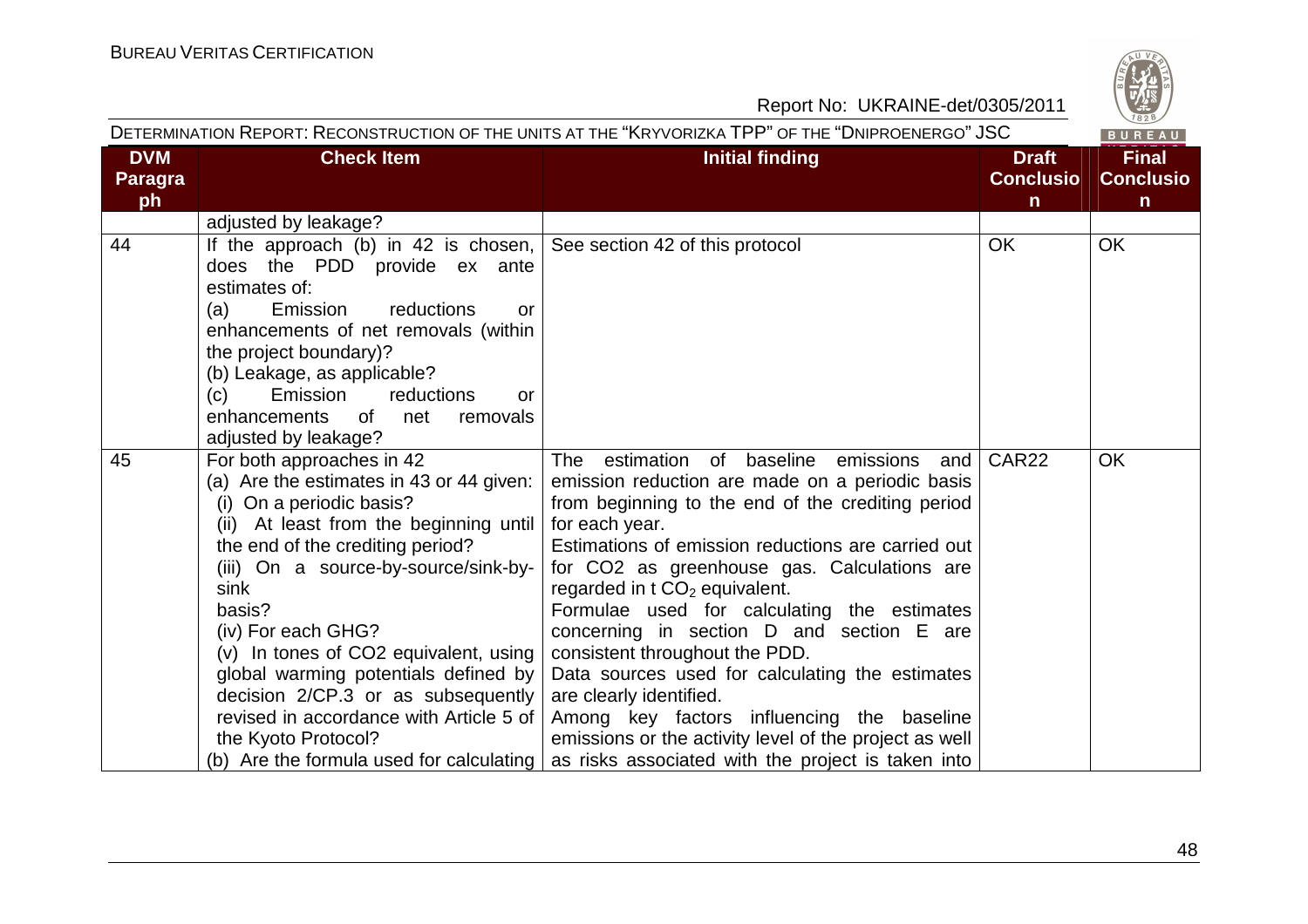| $\omega$ |  |
|----------|--|
| W<br>828 |  |

| DETERMINATION REPORT: RECONSTRUCTION OF THE UNITS AT THE "KRYVORIZKA TPP" OF THE "DNIPROENERGO" JSC |                                                                                                                                                                                                                                                                                                                                                                                                                                                          |                                                                                                                                                                                                                                                                                                                                                                                                                                                                                                                                                                                                                                                                                                                                                  | BUREAU                                           |                                                  |
|-----------------------------------------------------------------------------------------------------|----------------------------------------------------------------------------------------------------------------------------------------------------------------------------------------------------------------------------------------------------------------------------------------------------------------------------------------------------------------------------------------------------------------------------------------------------------|--------------------------------------------------------------------------------------------------------------------------------------------------------------------------------------------------------------------------------------------------------------------------------------------------------------------------------------------------------------------------------------------------------------------------------------------------------------------------------------------------------------------------------------------------------------------------------------------------------------------------------------------------------------------------------------------------------------------------------------------------|--------------------------------------------------|--------------------------------------------------|
| <b>DVM</b><br><b>Paragra</b><br>ph                                                                  | <b>Check Item</b>                                                                                                                                                                                                                                                                                                                                                                                                                                        | <b>Initial finding</b>                                                                                                                                                                                                                                                                                                                                                                                                                                                                                                                                                                                                                                                                                                                           | <b>Draft</b><br><b>Conclusio</b><br>$\mathsf{n}$ | <b>Final</b><br><b>Conclusio</b><br>$\mathsf{n}$ |
|                                                                                                     | adjusted by leakage?                                                                                                                                                                                                                                                                                                                                                                                                                                     |                                                                                                                                                                                                                                                                                                                                                                                                                                                                                                                                                                                                                                                                                                                                                  |                                                  |                                                  |
| 44                                                                                                  | If the approach (b) in 42 is chosen, $\vert$<br>does the PDD provide ex ante<br>estimates of:<br>reductions<br>(a)<br>Emission<br>or<br>enhancements of net removals (within<br>the project boundary)?<br>(b) Leakage, as applicable?<br>Emission<br>reductions<br>(c)<br>or<br>enhancements of<br>removals<br>net<br>adjusted by leakage?                                                                                                               | See section 42 of this protocol                                                                                                                                                                                                                                                                                                                                                                                                                                                                                                                                                                                                                                                                                                                  | <b>OK</b>                                        | <b>OK</b>                                        |
| 45                                                                                                  | For both approaches in 42<br>(a) Are the estimates in 43 or 44 given:<br>(i) On a periodic basis?<br>(ii) At least from the beginning until<br>the end of the crediting period?<br>(iii) On a source-by-source/sink-by-<br>sink<br>basis?<br>(iv) For each GHG?<br>(v) In tones of CO2 equivalent, using<br>global warming potentials defined by<br>decision 2/CP.3 or as subsequently<br>revised in accordance with Article 5 of<br>the Kyoto Protocol? | The estimation of baseline emissions and<br>emission reduction are made on a periodic basis<br>from beginning to the end of the crediting period<br>for each year.<br>Estimations of emission reductions are carried out<br>for CO2 as greenhouse gas. Calculations are<br>regarded in $t \, \text{CO}_2$ equivalent.<br>Formulae used for calculating the estimates<br>concerning in section D and section E are<br>consistent throughout the PDD.<br>Data sources used for calculating the estimates<br>are clearly identified.<br>Among key factors influencing the baseline<br>emissions or the activity level of the project as well<br>(b) Are the formula used for calculating $\vert$ as risks associated with the project is taken into | CAR <sub>22</sub>                                | <b>OK</b>                                        |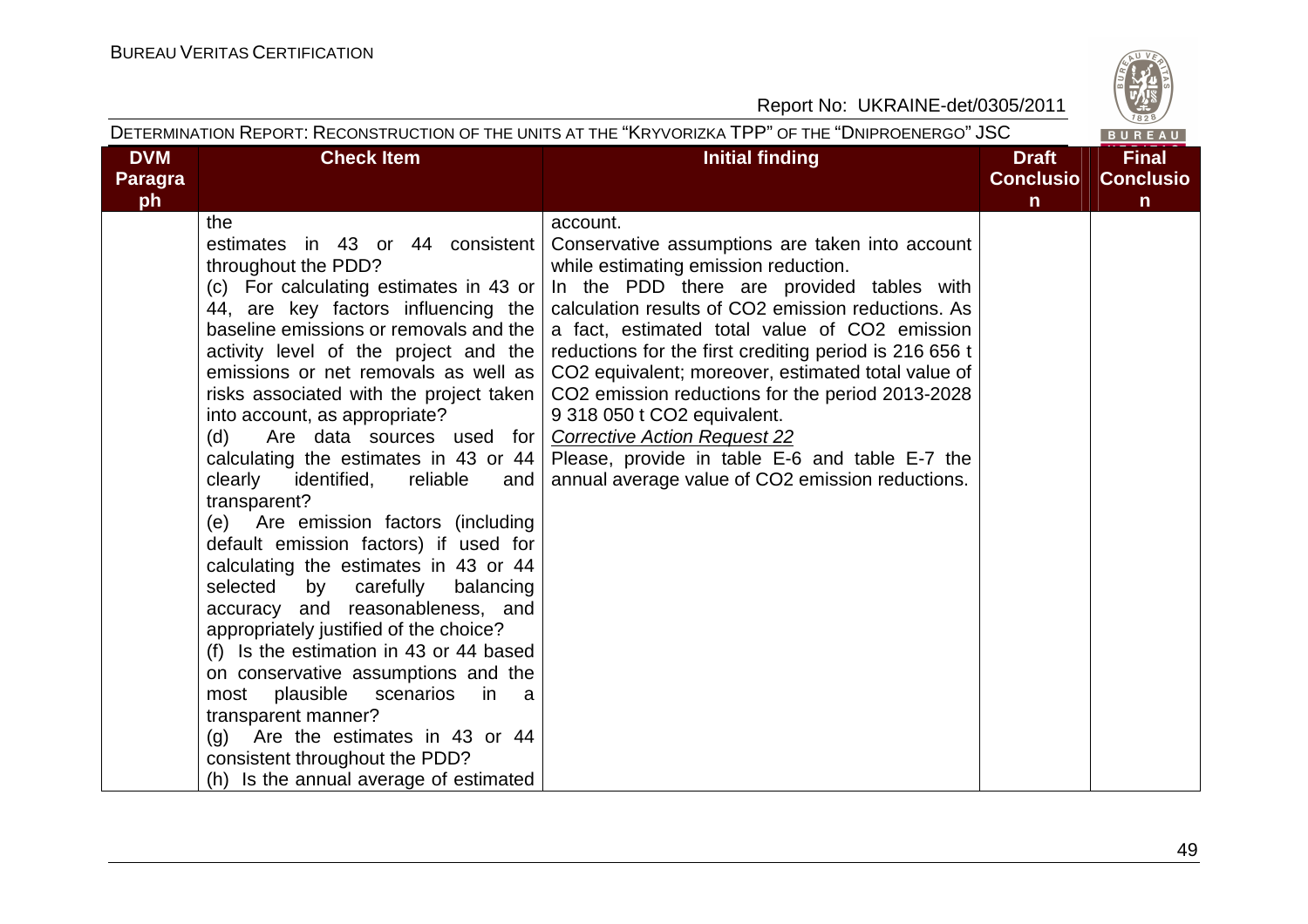|                                    |                                                                                                                                                                                                                                                                                                                                                                                                                                                                                                                                                                                                                                                                                                                                                                                                                                                                                                                                                                                                                                                            | DETERMINATION REPORT: RECONSTRUCTION OF THE UNITS AT THE "KRYVORIZKA TPP" OF THE "DNIPROENERGO" JSC                                                                                                                                                                                                                                                                                                                                                                                                                                                                          |                                                  | BUREAU                                           |
|------------------------------------|------------------------------------------------------------------------------------------------------------------------------------------------------------------------------------------------------------------------------------------------------------------------------------------------------------------------------------------------------------------------------------------------------------------------------------------------------------------------------------------------------------------------------------------------------------------------------------------------------------------------------------------------------------------------------------------------------------------------------------------------------------------------------------------------------------------------------------------------------------------------------------------------------------------------------------------------------------------------------------------------------------------------------------------------------------|------------------------------------------------------------------------------------------------------------------------------------------------------------------------------------------------------------------------------------------------------------------------------------------------------------------------------------------------------------------------------------------------------------------------------------------------------------------------------------------------------------------------------------------------------------------------------|--------------------------------------------------|--------------------------------------------------|
| <b>DVM</b><br><b>Paragra</b><br>ph | <b>Check Item</b>                                                                                                                                                                                                                                                                                                                                                                                                                                                                                                                                                                                                                                                                                                                                                                                                                                                                                                                                                                                                                                          | <b>Initial finding</b>                                                                                                                                                                                                                                                                                                                                                                                                                                                                                                                                                       | <b>Draft</b><br><b>Conclusio</b><br>$\mathsf{n}$ | <b>Final</b><br><b>Conclusio</b><br>$\mathsf{n}$ |
|                                    | the<br>estimates in 43 or 44 consistent<br>throughout the PDD?<br>(c) For calculating estimates in 43 or<br>44, are key factors influencing the<br>baseline emissions or removals and the<br>activity level of the project and the<br>emissions or net removals as well as<br>risks associated with the project taken  <br>into account, as appropriate?<br>Are data sources used for   Corrective Action Request 22<br>(d)<br>calculating the estimates in 43 or 44 $ $<br>clearly<br>identified,<br>reliable<br>and<br>transparent?<br>(e) Are emission factors (including<br>default emission factors) if used for<br>calculating the estimates in 43 or 44<br>selected by carefully<br>balancing<br>accuracy and reasonableness, and<br>appropriately justified of the choice?<br>(f) Is the estimation in 43 or 44 based<br>on conservative assumptions and the<br>most plausible scenarios<br>in i<br>a a<br>transparent manner?<br>Are the estimates in 43 or 44<br>(g)<br>consistent throughout the PDD?<br>(h) Is the annual average of estimated | account.<br>Conservative assumptions are taken into account<br>while estimating emission reduction.<br>In the PDD there are provided tables with<br>calculation results of CO2 emission reductions. As<br>a fact, estimated total value of CO2 emission<br>reductions for the first crediting period is 216 656 t<br>CO <sub>2</sub> equivalent; moreover, estimated total value of<br>CO2 emission reductions for the period 2013-2028<br>9 318 050 t CO2 equivalent.<br>Please, provide in table E-6 and table E-7 the<br>annual average value of CO2 emission reductions. |                                                  |                                                  |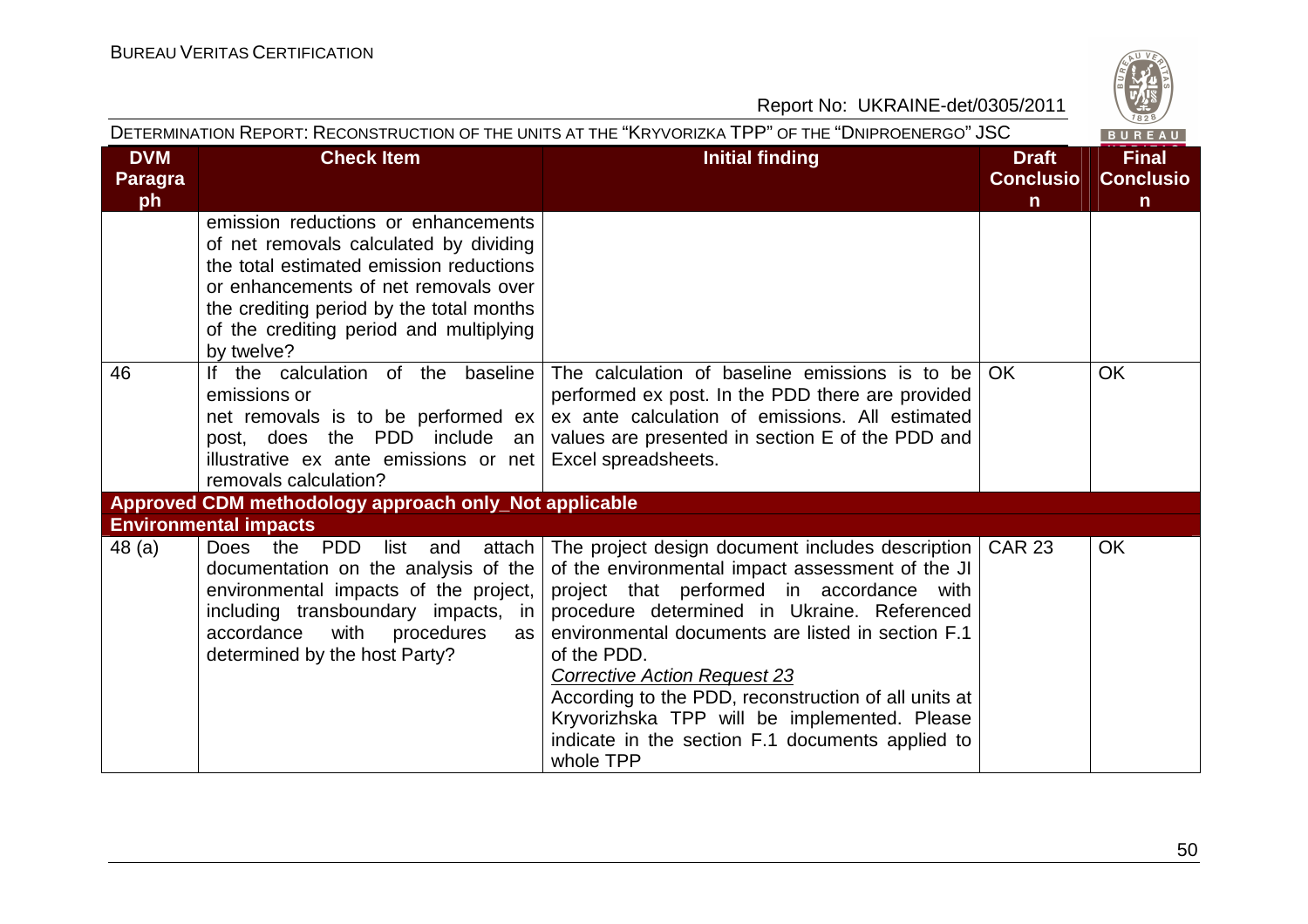

|                |                                                                                                                                                                                                                                                                       | DETERMINATION REPORT: RECONSTRUCTION OF THE UNITS AT THE "KRYVORIZKA TPP" OF THE "DNIPROENERGO" JSC                                                                                                                                                                                                                                                                                                                                                                                           |                  | BUREAU           |
|----------------|-----------------------------------------------------------------------------------------------------------------------------------------------------------------------------------------------------------------------------------------------------------------------|-----------------------------------------------------------------------------------------------------------------------------------------------------------------------------------------------------------------------------------------------------------------------------------------------------------------------------------------------------------------------------------------------------------------------------------------------------------------------------------------------|------------------|------------------|
| <b>DVM</b>     | <b>Check Item</b>                                                                                                                                                                                                                                                     | <b>Initial finding</b>                                                                                                                                                                                                                                                                                                                                                                                                                                                                        | <b>Draft</b>     | <b>Final</b>     |
| <b>Paragra</b> |                                                                                                                                                                                                                                                                       |                                                                                                                                                                                                                                                                                                                                                                                                                                                                                               | <b>Conclusio</b> | <b>Conclusio</b> |
| ph             |                                                                                                                                                                                                                                                                       |                                                                                                                                                                                                                                                                                                                                                                                                                                                                                               | $\mathsf{n}$     | $\mathsf{n}$     |
|                | emission reductions or enhancements<br>of net removals calculated by dividing<br>the total estimated emission reductions<br>or enhancements of net removals over<br>the crediting period by the total months<br>of the crediting period and multiplying<br>by twelve? |                                                                                                                                                                                                                                                                                                                                                                                                                                                                                               |                  |                  |
| 46             | the calculation of the baseline<br>lf.<br>emissions or<br>net removals is to be performed $ex$<br>post, does the PDD include an<br>illustrative ex ante emissions or net<br>removals calculation?                                                                     | The calculation of baseline emissions is to be<br>performed ex post. In the PDD there are provided<br>ex ante calculation of emissions. All estimated<br>values are presented in section E of the PDD and<br>Excel spreadsheets.                                                                                                                                                                                                                                                              | OK               | <b>OK</b>        |
|                | Approved CDM methodology approach only_Not applicable                                                                                                                                                                                                                 |                                                                                                                                                                                                                                                                                                                                                                                                                                                                                               |                  |                  |
|                | <b>Environmental impacts</b>                                                                                                                                                                                                                                          |                                                                                                                                                                                                                                                                                                                                                                                                                                                                                               |                  |                  |
| 48(a)          | Does the PDD<br>list and<br>attach  <br>documentation on the analysis of the<br>environmental impacts of the project,<br>including transboundary impacts, in<br>accordance<br>with procedures<br>as l<br>determined by the host Party?                                | The project design document includes description   CAR 23<br>of the environmental impact assessment of the JI<br>project that performed in accordance with<br>procedure determined in Ukraine. Referenced<br>environmental documents are listed in section F.1<br>of the PDD.<br><b>Corrective Action Request 23</b><br>According to the PDD, reconstruction of all units at<br>Kryvorizhska TPP will be implemented. Please<br>indicate in the section F.1 documents applied to<br>whole TPP |                  | <b>OK</b>        |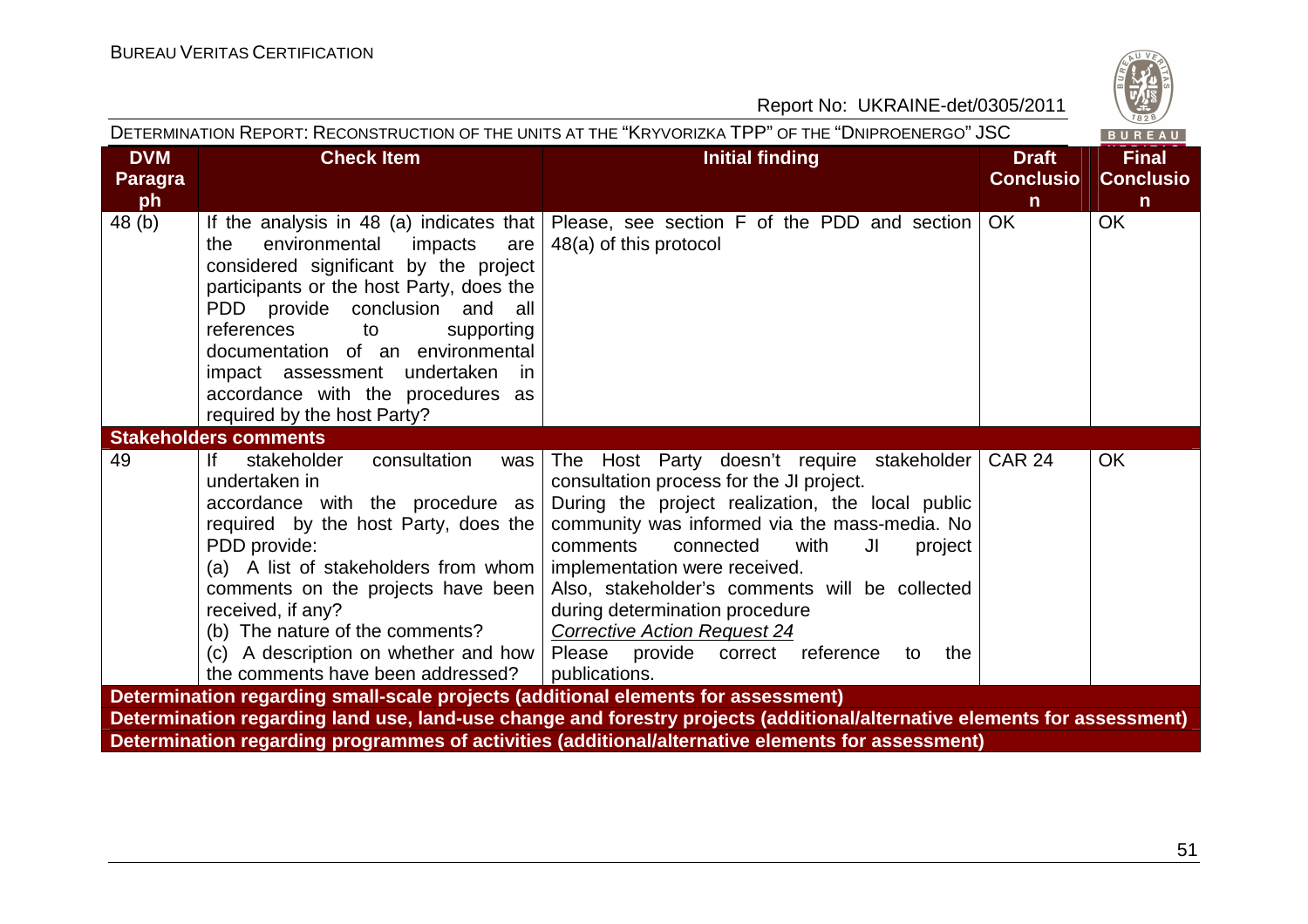|                                    | DETERMINATION REPORT: RECONSTRUCTION OF THE UNITS AT THE "KRYVORIZKA TPP" OF THE "DNIPROENERGO" JSC<br>BUREAU                                                                                                                                                                                                                                                                                   |                                                                                                                                                                                                                                                                                                                                                                                                                                                                             |                                                  |                                                  |  |
|------------------------------------|-------------------------------------------------------------------------------------------------------------------------------------------------------------------------------------------------------------------------------------------------------------------------------------------------------------------------------------------------------------------------------------------------|-----------------------------------------------------------------------------------------------------------------------------------------------------------------------------------------------------------------------------------------------------------------------------------------------------------------------------------------------------------------------------------------------------------------------------------------------------------------------------|--------------------------------------------------|--------------------------------------------------|--|
| <b>DVM</b><br><b>Paragra</b><br>ph | <b>Check Item</b>                                                                                                                                                                                                                                                                                                                                                                               | <b>Initial finding</b>                                                                                                                                                                                                                                                                                                                                                                                                                                                      | <b>Draft</b><br><b>Conclusio</b><br>$\mathsf{n}$ | <b>Final</b><br><b>Conclusio</b><br>$\mathsf{n}$ |  |
| 48 (b)                             | If the analysis in 48 (a) indicates that $ $<br>environmental<br>the<br>impacts<br>are<br>considered significant by the project<br>participants or the host Party, does the<br>PDD provide conclusion and all<br>references<br>supporting<br>to<br>documentation of an environmental<br>impact assessment undertaken<br>in.<br>accordance with the procedures as<br>required by the host Party? | Please, see section F of the PDD and section<br>48(a) of this protocol                                                                                                                                                                                                                                                                                                                                                                                                      | <b>OK</b>                                        | OK                                               |  |
|                                    | <b>Stakeholders comments</b>                                                                                                                                                                                                                                                                                                                                                                    |                                                                                                                                                                                                                                                                                                                                                                                                                                                                             |                                                  |                                                  |  |
| 49                                 | lf<br>stakeholder<br>consultation<br>was<br>undertaken in<br>accordance with the procedure as<br>required by the host Party, does the<br>PDD provide:<br>(a) A list of stakeholders from whom $\vert$<br>comments on the projects have been<br>received, if any?<br>(b) The nature of the comments?<br>(c) A description on whether and how  <br>the comments have been addressed?              | The Host Party doesn't require stakeholder<br>consultation process for the JI project.<br>During the project realization, the local public<br>community was informed via the mass-media. No<br>comments<br>connected<br>with<br>JI<br>project<br>implementation were received.<br>Also, stakeholder's comments will be collected<br>during determination procedure<br><b>Corrective Action Request 24</b><br>Please provide correct reference<br>the<br>to<br>publications. | <b>CAR 24</b>                                    | <b>OK</b>                                        |  |
|                                    | Determination regarding small-scale projects (additional elements for assessment)                                                                                                                                                                                                                                                                                                               |                                                                                                                                                                                                                                                                                                                                                                                                                                                                             |                                                  |                                                  |  |
|                                    |                                                                                                                                                                                                                                                                                                                                                                                                 | Determination regarding land use, land-use change and forestry projects (additional/alternative elements for assessment)<br>Determination regarding programmes of activities (additional/alternative elements for assessment)                                                                                                                                                                                                                                               |                                                  |                                                  |  |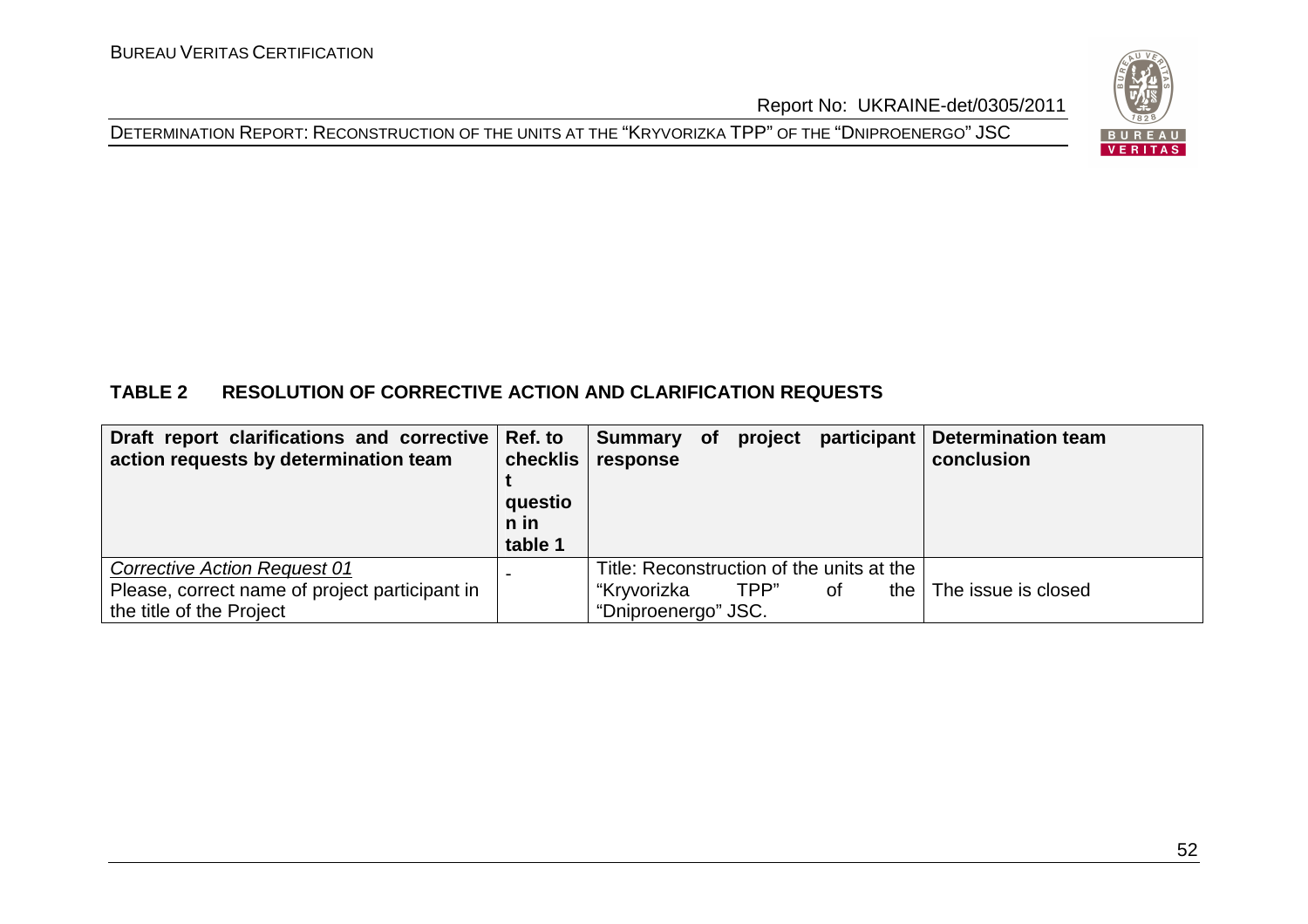



# **TABLE 2 RESOLUTION OF CORRECTIVE ACTION AND CLARIFICATION REQUESTS**

| Draft report clarifications and corrective   Ref. to<br>action requests by determination team | checklis<br>questio<br>n in<br>table 1 | Summary of project<br>response |      | participant                               | <b>Determination team</b><br>conclusion |
|-----------------------------------------------------------------------------------------------|----------------------------------------|--------------------------------|------|-------------------------------------------|-----------------------------------------|
| <b>Corrective Action Request 01</b>                                                           |                                        |                                |      | Title: Reconstruction of the units at the |                                         |
| Please, correct name of project participant in                                                |                                        | "Kryvorizka                    | TPP" | the<br>0f                                 | The issue is closed                     |
| the title of the Project                                                                      |                                        | "Dniproenergo" JSC.            |      |                                           |                                         |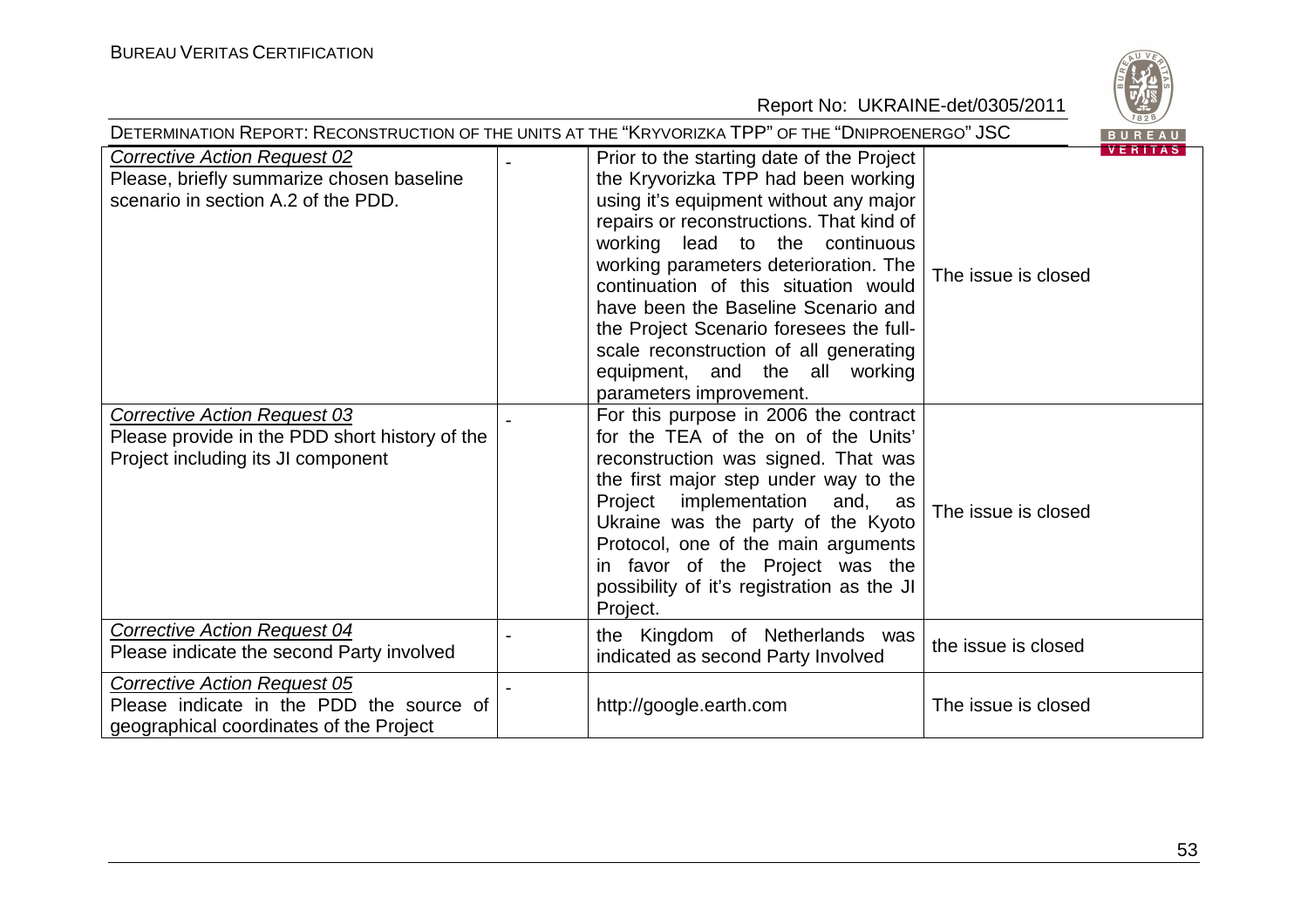

| DETERMINATION REPORT: RECONSTRUCTION OF THE UNITS AT THE "KRYVORIZKA TPP" OF THE "DNIPROENERGO" JSC<br>BUREAU               |  |                                                                                                                                                                                                                                                                                                                                                                                                                                                                                    |                                       |  |  |
|-----------------------------------------------------------------------------------------------------------------------------|--|------------------------------------------------------------------------------------------------------------------------------------------------------------------------------------------------------------------------------------------------------------------------------------------------------------------------------------------------------------------------------------------------------------------------------------------------------------------------------------|---------------------------------------|--|--|
| <b>Corrective Action Request 02</b><br>Please, briefly summarize chosen baseline<br>scenario in section A.2 of the PDD.     |  | Prior to the starting date of the Project<br>the Kryvorizka TPP had been working<br>using it's equipment without any major<br>repairs or reconstructions. That kind of<br>working lead to the continuous<br>working parameters deterioration. The<br>continuation of this situation would<br>have been the Baseline Scenario and<br>the Project Scenario foresees the full-<br>scale reconstruction of all generating<br>equipment, and the all working<br>parameters improvement. | <b>VERITAS</b><br>The issue is closed |  |  |
| <b>Corrective Action Request 03</b><br>Please provide in the PDD short history of the<br>Project including its JI component |  | For this purpose in 2006 the contract<br>for the TEA of the on of the Units'<br>reconstruction was signed. That was<br>the first major step under way to the<br>Project implementation<br>and, as<br>Ukraine was the party of the Kyoto<br>Protocol, one of the main arguments<br>in favor of the Project was the<br>possibility of it's registration as the JI<br>Project.                                                                                                        | The issue is closed                   |  |  |
| <b>Corrective Action Request 04</b><br>Please indicate the second Party involved                                            |  | the Kingdom of Netherlands was<br>indicated as second Party Involved                                                                                                                                                                                                                                                                                                                                                                                                               | the issue is closed                   |  |  |
| Corrective Action Request 05<br>Please indicate in the PDD the source of<br>geographical coordinates of the Project         |  | http://google.earth.com                                                                                                                                                                                                                                                                                                                                                                                                                                                            | The issue is closed                   |  |  |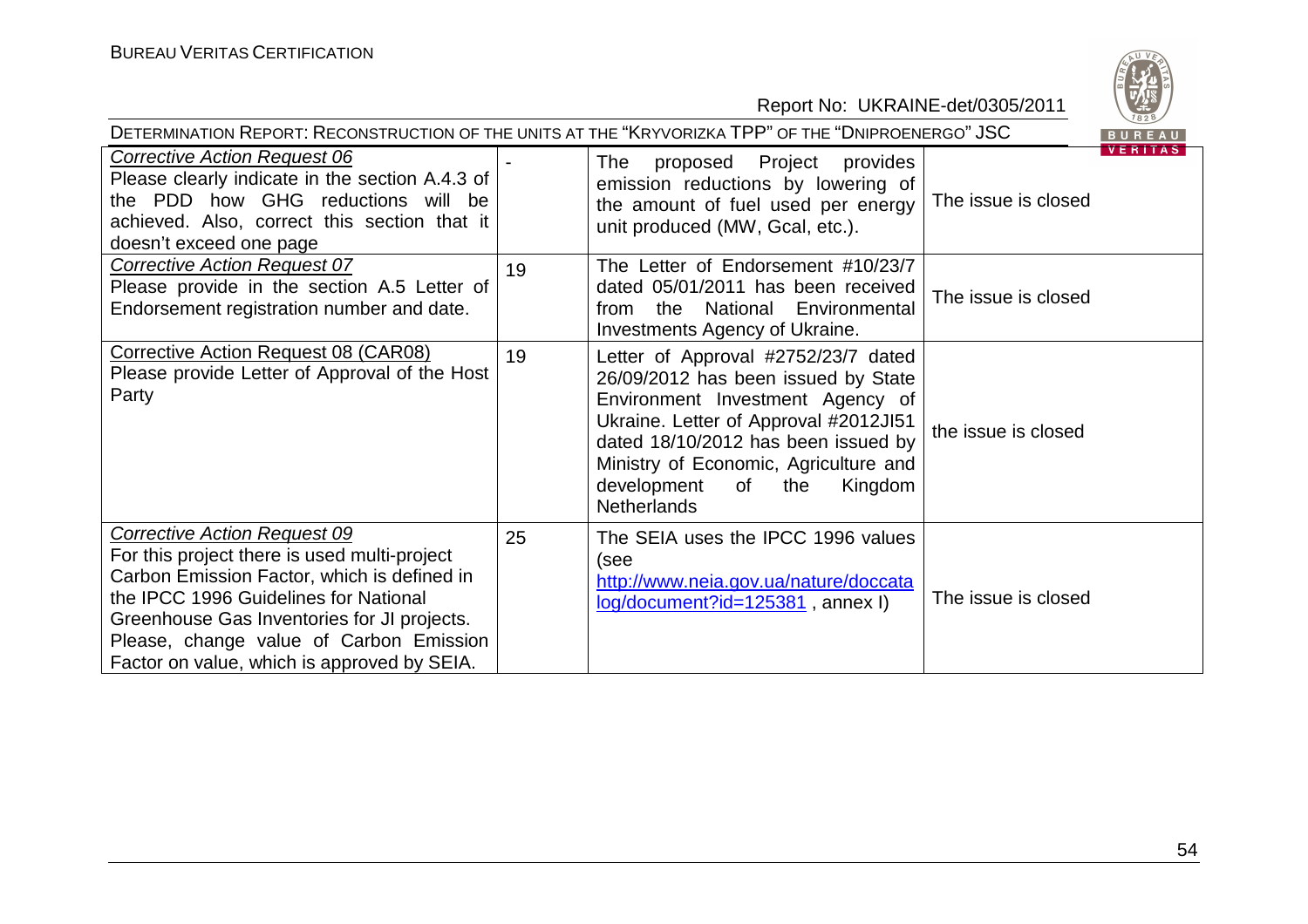| DETERMINATION REPORT: RECONSTRUCTION OF THE UNITS AT THE "KRYVORIZKA TPP" OF THE "DNIPROENERGO" JSC<br><b>BUREAU</b>                                                                                                                                                                                                 |    |                                                                                                                                                                                                                                                                                                      |                     |                |  |
|----------------------------------------------------------------------------------------------------------------------------------------------------------------------------------------------------------------------------------------------------------------------------------------------------------------------|----|------------------------------------------------------------------------------------------------------------------------------------------------------------------------------------------------------------------------------------------------------------------------------------------------------|---------------------|----------------|--|
| <b>Corrective Action Request 06</b><br>Please clearly indicate in the section A.4.3 of<br>the PDD how GHG reductions will be<br>achieved. Also, correct this section that it<br>doesn't exceed one page                                                                                                              |    | proposed Project<br>provides<br><b>The</b><br>emission reductions by lowering of<br>the amount of fuel used per energy<br>unit produced (MW, Gcal, etc.).                                                                                                                                            | The issue is closed | <b>VERITAS</b> |  |
| <b>Corrective Action Request 07</b><br>Please provide in the section A.5 Letter of<br>Endorsement registration number and date.                                                                                                                                                                                      | 19 | The Letter of Endorsement #10/23/7<br>dated 05/01/2011 has been received<br>National Environmental<br>the<br>from<br>Investments Agency of Ukraine.                                                                                                                                                  | The issue is closed |                |  |
| <b>Corrective Action Request 08 (CAR08)</b><br>Please provide Letter of Approval of the Host<br>Party                                                                                                                                                                                                                | 19 | Letter of Approval #2752/23/7 dated<br>26/09/2012 has been issued by State<br>Environment Investment Agency of<br>Ukraine. Letter of Approval #2012JI51<br>dated 18/10/2012 has been issued by<br>Ministry of Economic, Agriculture and<br>development<br>of<br>the<br>Kingdom<br><b>Netherlands</b> | the issue is closed |                |  |
| <b>Corrective Action Request 09</b><br>For this project there is used multi-project<br>Carbon Emission Factor, which is defined in<br>the IPCC 1996 Guidelines for National<br>Greenhouse Gas Inventories for JI projects.<br>Please, change value of Carbon Emission<br>Factor on value, which is approved by SEIA. | 25 | The SEIA uses the IPCC 1996 values<br>(see<br>http://www.neia.gov.ua/nature/doccata<br>$log/document$ ?id=125381, annex I)                                                                                                                                                                           | The issue is closed |                |  |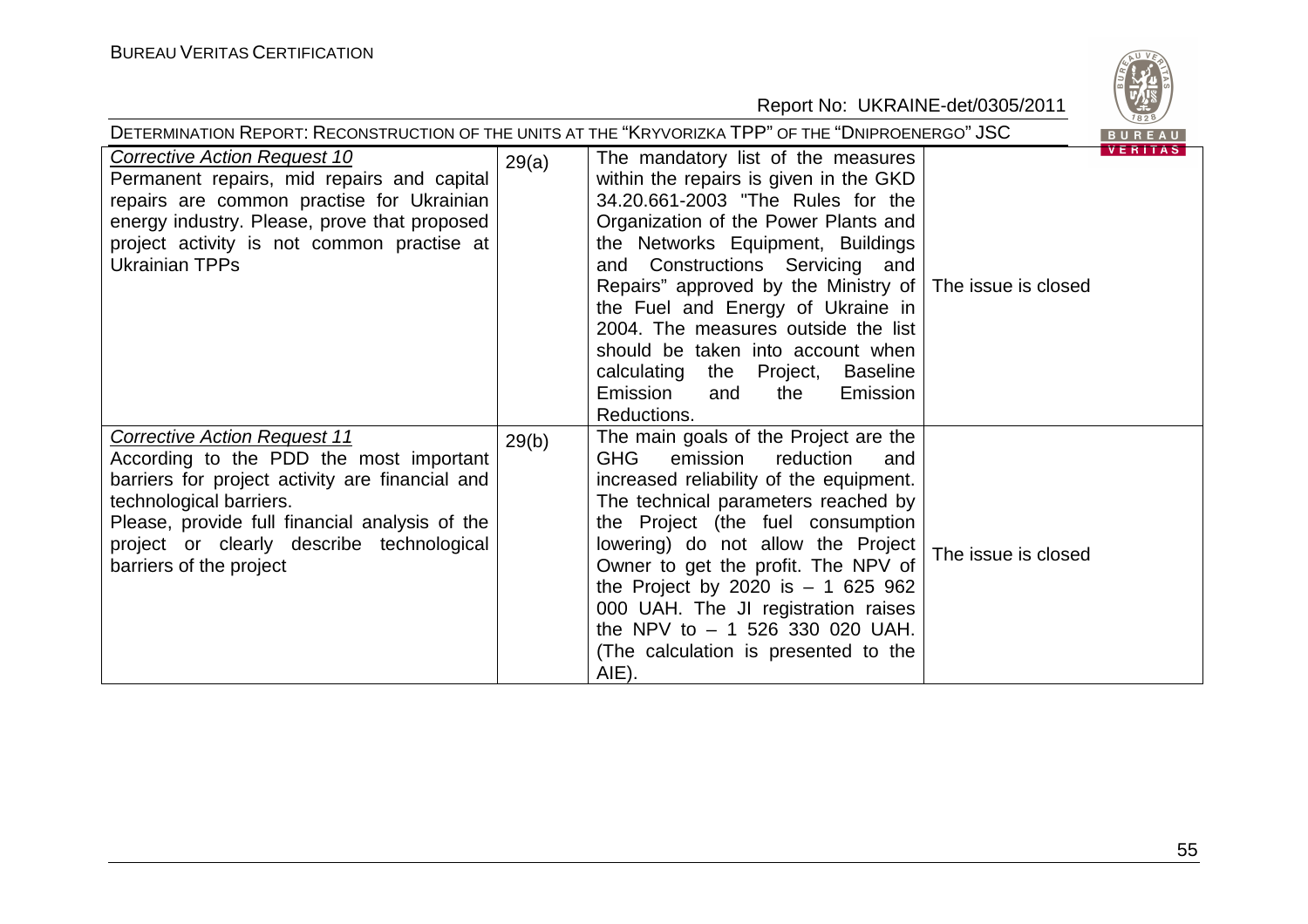

| DETERMINATION REPORT: RECONSTRUCTION OF THE UNITS AT THE "KRYVORIZKA TPP" OF THE "DNIPROENERGO" JSC<br>BUREAU                                                                                                                                                                          |       |                                                                                                                                                                                                                                                                                                                                                                                                                                                                                                                    |                     |                |  |  |
|----------------------------------------------------------------------------------------------------------------------------------------------------------------------------------------------------------------------------------------------------------------------------------------|-------|--------------------------------------------------------------------------------------------------------------------------------------------------------------------------------------------------------------------------------------------------------------------------------------------------------------------------------------------------------------------------------------------------------------------------------------------------------------------------------------------------------------------|---------------------|----------------|--|--|
| <b>Corrective Action Request 10</b><br>Permanent repairs, mid repairs and capital<br>repairs are common practise for Ukrainian<br>energy industry. Please, prove that proposed<br>project activity is not common practise at<br><b>Ukrainian TPPs</b>                                  | 29(a) | The mandatory list of the measures<br>within the repairs is given in the GKD<br>34.20.661-2003 "The Rules for the<br>Organization of the Power Plants and<br>the Networks Equipment, Buildings<br>and Constructions Servicing and<br>Repairs" approved by the Ministry of The issue is closed<br>the Fuel and Energy of Ukraine in<br>2004. The measures outside the list<br>should be taken into account when<br>calculating the Project,<br><b>Baseline</b><br>Emission<br>Emission<br>and<br>the<br>Reductions. |                     | <b>VERITAS</b> |  |  |
| <b>Corrective Action Request 11</b><br>According to the PDD the most important<br>barriers for project activity are financial and<br>technological barriers.<br>Please, provide full financial analysis of the<br>project or clearly describe technological<br>barriers of the project | 29(b) | The main goals of the Project are the<br><b>GHG</b><br>emission<br>reduction<br>and<br>increased reliability of the equipment.<br>The technical parameters reached by<br>the Project (the fuel consumption<br>lowering) do not allow the Project<br>Owner to get the profit. The NPV of<br>the Project by 2020 is $- 1625962$<br>000 UAH. The JI registration raises<br>the NPV to $-$ 1 526 330 020 UAH.<br>(The calculation is presented to the<br>AIE).                                                         | The issue is closed |                |  |  |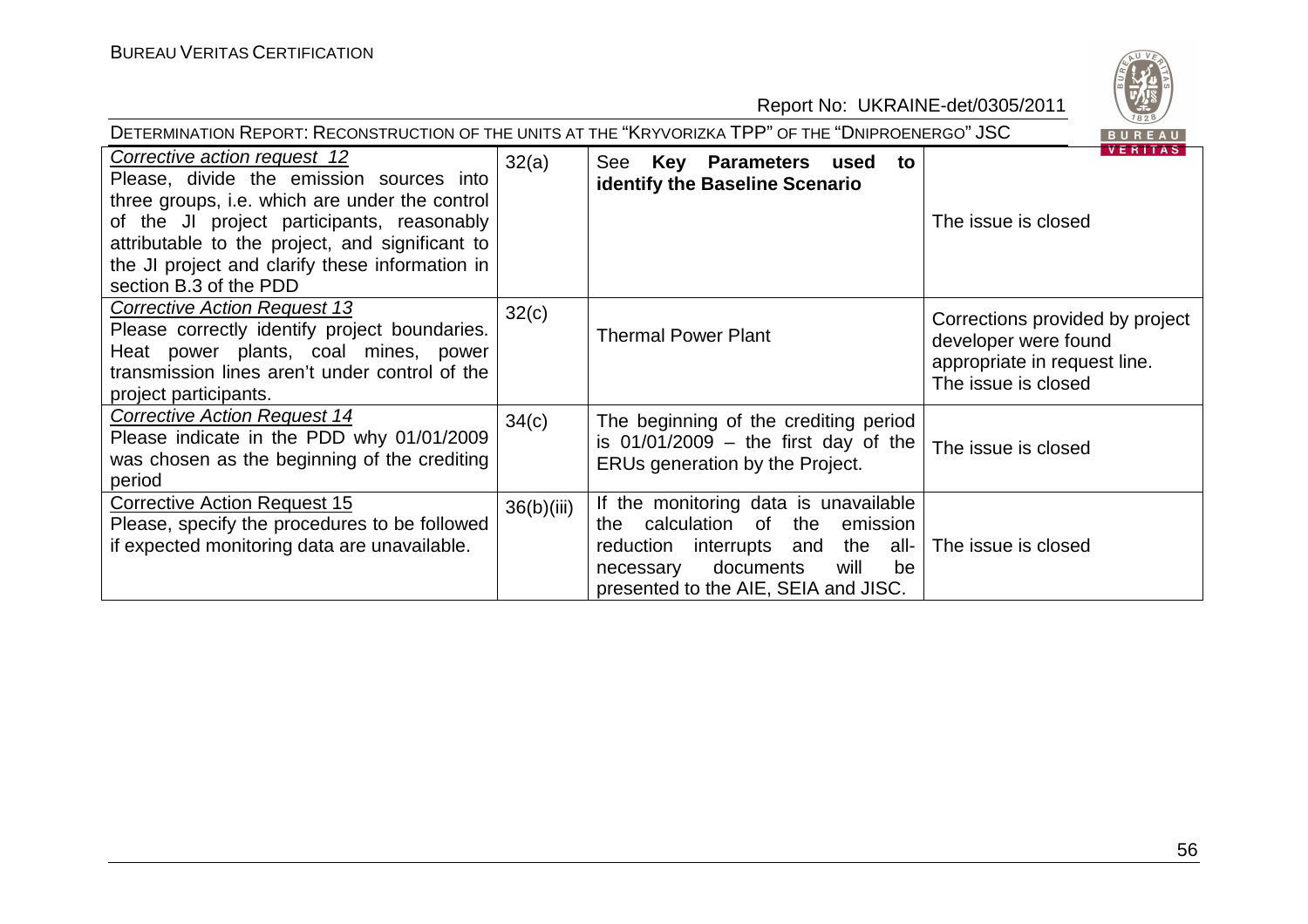| DETERMINATION REPORT: RECONSTRUCTION OF THE UNITS AT THE "KRYVORIZKA TPP" OF THE "DNIPROENERGO" JSC<br>BUREAU                                                                                                                                                                                            |            |                                                                                                                                                                                                              |                                                                                                                |  |  |
|----------------------------------------------------------------------------------------------------------------------------------------------------------------------------------------------------------------------------------------------------------------------------------------------------------|------------|--------------------------------------------------------------------------------------------------------------------------------------------------------------------------------------------------------------|----------------------------------------------------------------------------------------------------------------|--|--|
| Corrective action request 12<br>Please, divide the emission sources into<br>three groups, i.e. which are under the control<br>of the JI project participants, reasonably<br>attributable to the project, and significant to<br>the JI project and clarify these information in<br>section B.3 of the PDD | 32(a)      | See Key Parameters used<br>to<br><b>identify the Baseline Scenario</b>                                                                                                                                       | <b>VERITAS</b><br>The issue is closed                                                                          |  |  |
| <b>Corrective Action Request 13</b><br>Please correctly identify project boundaries.<br>Heat power plants, coal mines, power<br>transmission lines aren't under control of the<br>project participants.                                                                                                  | 32(c)      | <b>Thermal Power Plant</b>                                                                                                                                                                                   | Corrections provided by project<br>developer were found<br>appropriate in request line.<br>The issue is closed |  |  |
| <b>Corrective Action Request 14</b><br>Please indicate in the PDD why 01/01/2009<br>was chosen as the beginning of the crediting<br>period                                                                                                                                                               | 34(c)      | The beginning of the crediting period<br>is $01/01/2009$ – the first day of the<br>ERUs generation by the Project.                                                                                           | The issue is closed                                                                                            |  |  |
| <b>Corrective Action Request 15</b><br>Please, specify the procedures to be followed<br>if expected monitoring data are unavailable.                                                                                                                                                                     | 36(b)(iii) | If the monitoring data is unavailable<br>calculation of<br>the<br>emission<br>the<br>interrupts and<br>reduction<br>the all-<br>documents<br>will<br>be<br>necessary<br>presented to the AIE, SEIA and JISC. | The issue is closed                                                                                            |  |  |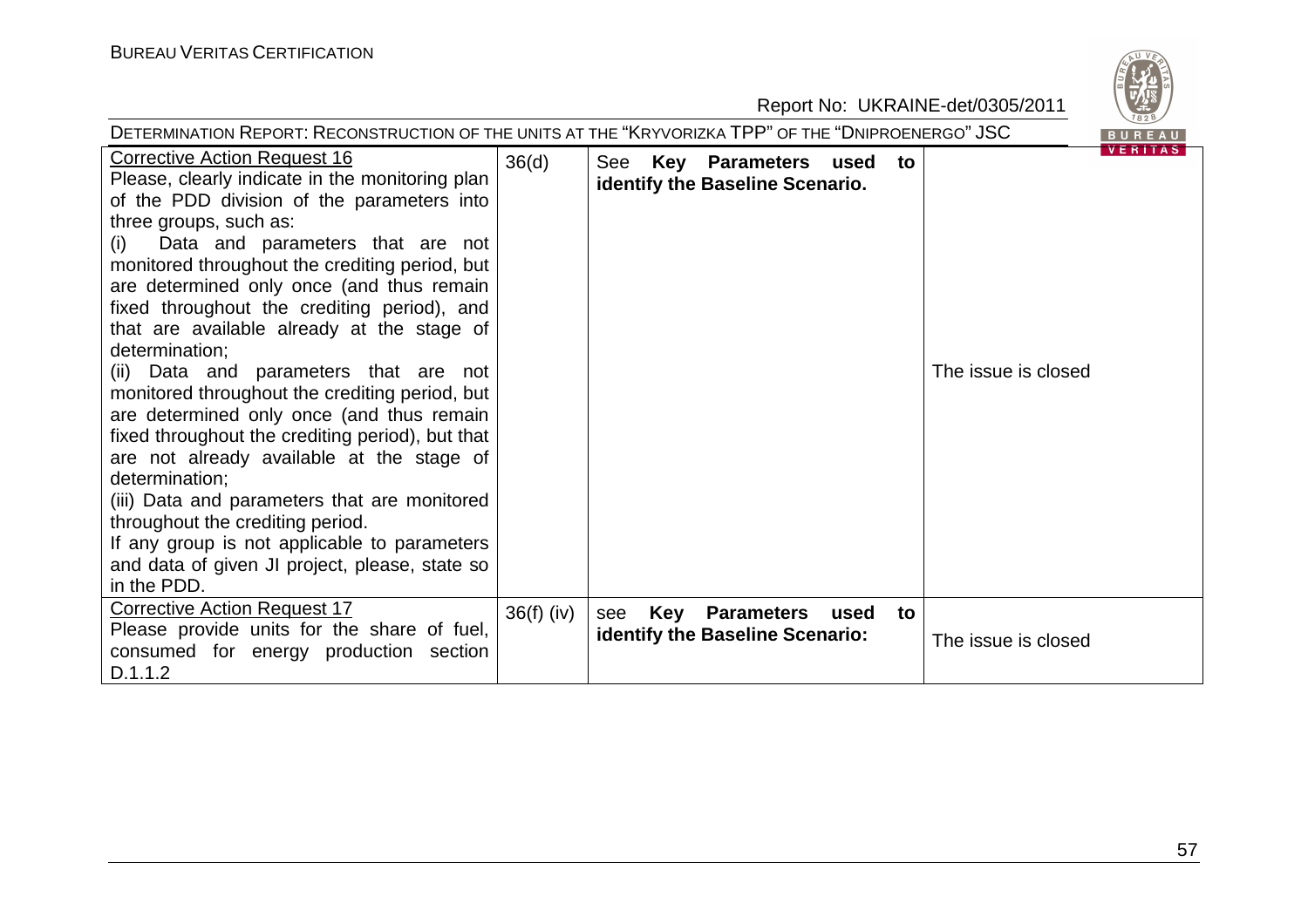

| DETERMINATION REPORT: RECONSTRUCTION OF THE UNITS AT THE "KRYVORIZKA TPP" OF THE "DNIPROENERGO" JSC                                                                                                                                                                                                                                                                                                                                                                                                                                                                                                                                                                                                                                                                                                                                                                                     |              |                                                                                                             |                |  |
|-----------------------------------------------------------------------------------------------------------------------------------------------------------------------------------------------------------------------------------------------------------------------------------------------------------------------------------------------------------------------------------------------------------------------------------------------------------------------------------------------------------------------------------------------------------------------------------------------------------------------------------------------------------------------------------------------------------------------------------------------------------------------------------------------------------------------------------------------------------------------------------------|--------------|-------------------------------------------------------------------------------------------------------------|----------------|--|
| <b>Corrective Action Request 16</b><br>Please, clearly indicate in the monitoring plan<br>of the PDD division of the parameters into<br>three groups, such as:<br>Data and parameters that are not<br>(i)<br>monitored throughout the crediting period, but<br>are determined only once (and thus remain<br>fixed throughout the crediting period), and<br>that are available already at the stage of<br>determination;<br>(ii) Data and parameters that are not<br>monitored throughout the crediting period, but<br>are determined only once (and thus remain<br>fixed throughout the crediting period), but that<br>are not already available at the stage of<br>determination;<br>(iii) Data and parameters that are monitored<br>throughout the crediting period.<br>If any group is not applicable to parameters<br>and data of given JI project, please, state so<br>in the PDD. | 36(d)        | Key Parameters used to<br>See<br>identify the Baseline Scenario.<br>The issue is closed                     | <b>VERITAS</b> |  |
| <b>Corrective Action Request 17</b><br>Please provide units for the share of fuel,<br>consumed for energy production section<br>D.1.1.2                                                                                                                                                                                                                                                                                                                                                                                                                                                                                                                                                                                                                                                                                                                                                 | $36(f)$ (iv) | <b>Key Parameters</b><br>see<br>used<br>to<br><b>identify the Baseline Scenario:</b><br>The issue is closed |                |  |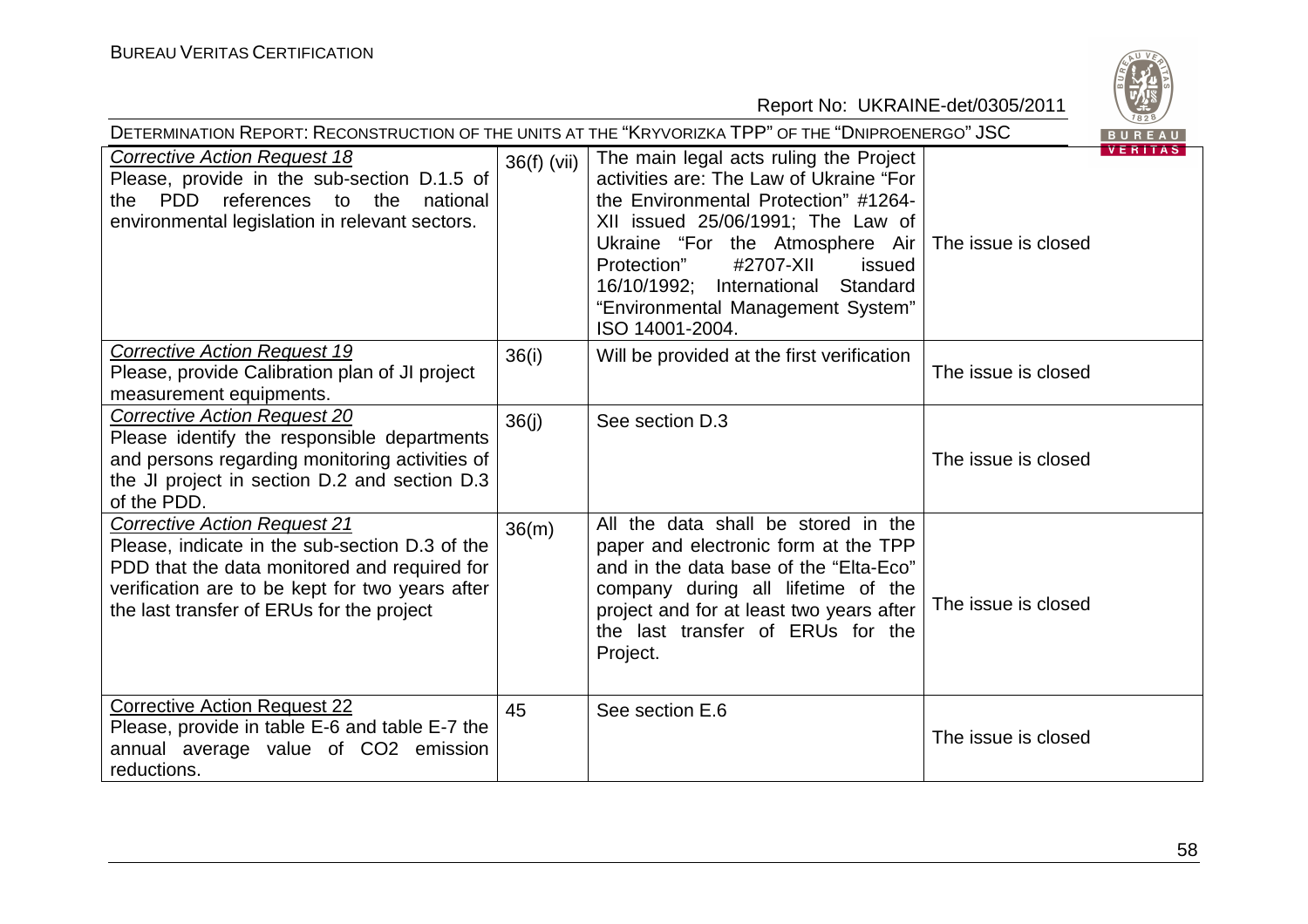

| DETERMINATION REPORT: RECONSTRUCTION OF THE UNITS AT THE "KRYVORIZKA TPP" OF THE "DNIPROENERGO" JSC<br>BUREAU                                                                                                                         |               |                                                                                                                                                                                                                                                                                                                                             |                                |  |
|---------------------------------------------------------------------------------------------------------------------------------------------------------------------------------------------------------------------------------------|---------------|---------------------------------------------------------------------------------------------------------------------------------------------------------------------------------------------------------------------------------------------------------------------------------------------------------------------------------------------|--------------------------------|--|
| <b>Corrective Action Request 18</b><br>Please, provide in the sub-section D.1.5 of<br>PDD references to the<br>national<br>the<br>environmental legislation in relevant sectors.                                                      | $36(f)$ (vii) | The main legal acts ruling the Project<br>activities are: The Law of Ukraine "For<br>the Environmental Protection" #1264-<br>XII issued 25/06/1991; The Law of<br>Ukraine "For the Atmosphere Air<br>Protection"<br>#2707-XII<br>issued<br>16/10/1992;<br>Standard<br>International<br>"Environmental Management System"<br>ISO 14001-2004. | VERIIAS<br>The issue is closed |  |
| <b>Corrective Action Request 19</b><br>Please, provide Calibration plan of JI project<br>measurement equipments.                                                                                                                      | 36(i)         | Will be provided at the first verification                                                                                                                                                                                                                                                                                                  | The issue is closed            |  |
| <b>Corrective Action Request 20</b><br>Please identify the responsible departments<br>and persons regarding monitoring activities of<br>the JI project in section D.2 and section D.3<br>of the PDD.                                  | 36(j)         | See section D.3                                                                                                                                                                                                                                                                                                                             | The issue is closed            |  |
| <b>Corrective Action Request 21</b><br>Please, indicate in the sub-section D.3 of the<br>PDD that the data monitored and required for<br>verification are to be kept for two years after<br>the last transfer of ERUs for the project | 36(m)         | All the data shall be stored in the<br>paper and electronic form at the TPP<br>and in the data base of the "Elta-Eco"<br>company during all lifetime of the<br>project and for at least two years after<br>the last transfer of ERUs for the<br>Project.                                                                                    | The issue is closed            |  |
| <b>Corrective Action Request 22</b><br>Please, provide in table E-6 and table E-7 the<br>annual average value of CO2 emission<br>reductions.                                                                                          | 45            | See section E.6                                                                                                                                                                                                                                                                                                                             | The issue is closed            |  |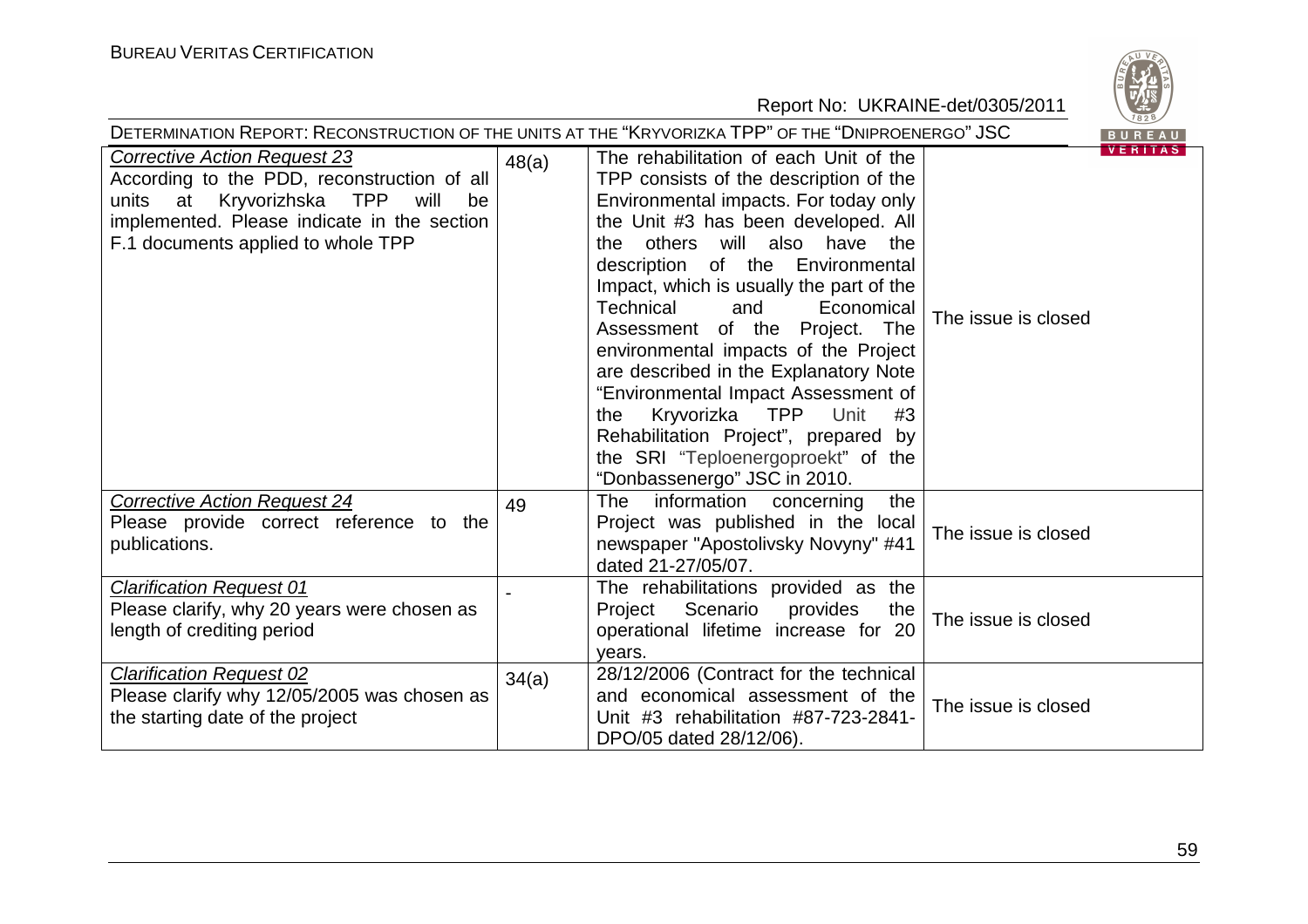

| DETERMINATION REPORT: RECONSTRUCTION OF THE UNITS AT THE "KRYVORIZKA TPP" OF THE "DNIPROENERGO" JSC<br>BUREAU                                                                                                      |       |                                                                                                                                                                                                                                                                                                                                                                                                                                                                                                                                                                                                                                                  |                     |                |
|--------------------------------------------------------------------------------------------------------------------------------------------------------------------------------------------------------------------|-------|--------------------------------------------------------------------------------------------------------------------------------------------------------------------------------------------------------------------------------------------------------------------------------------------------------------------------------------------------------------------------------------------------------------------------------------------------------------------------------------------------------------------------------------------------------------------------------------------------------------------------------------------------|---------------------|----------------|
| <b>Corrective Action Request 23</b><br>According to the PDD, reconstruction of all<br>units at Kryvorizhska TPP<br>will<br>be<br>implemented. Please indicate in the section<br>F.1 documents applied to whole TPP | 48(a) | The rehabilitation of each Unit of the<br>TPP consists of the description of the<br>Environmental impacts. For today only<br>the Unit #3 has been developed. All<br>others will also have the<br>the.<br>description of the Environmental<br>Impact, which is usually the part of the<br><b>Technical</b><br>Economical<br>and<br>Assessment of the Project.<br>The<br>environmental impacts of the Project<br>are described in the Explanatory Note<br>"Environmental Impact Assessment of<br>Kryvorizka TPP<br>Unit<br>#3<br>the<br>Rehabilitation Project", prepared by<br>the SRI "Teploenergoproekt" of the<br>"Donbassenergo" JSC in 2010. | The issue is closed | <b>VERITAS</b> |
| <b>Corrective Action Request 24</b><br>Please provide correct reference to the<br>publications.                                                                                                                    | 49    | information<br>concerning<br>the<br><b>The</b><br>Project was published in the local<br>newspaper "Apostolivsky Novyny" #41<br>dated 21-27/05/07.                                                                                                                                                                                                                                                                                                                                                                                                                                                                                                | The issue is closed |                |
| <b>Clarification Request 01</b><br>Please clarify, why 20 years were chosen as<br>length of crediting period                                                                                                       |       | The rehabilitations provided as the<br>Scenario<br>provides<br>Project<br>the<br>operational lifetime increase for 20<br>years.                                                                                                                                                                                                                                                                                                                                                                                                                                                                                                                  | The issue is closed |                |
| <b>Clarification Request 02</b><br>Please clarify why 12/05/2005 was chosen as<br>the starting date of the project                                                                                                 | 34(a) | 28/12/2006 (Contract for the technical<br>and economical assessment of the<br>Unit #3 rehabilitation #87-723-2841-<br>DPO/05 dated 28/12/06).                                                                                                                                                                                                                                                                                                                                                                                                                                                                                                    | The issue is closed |                |